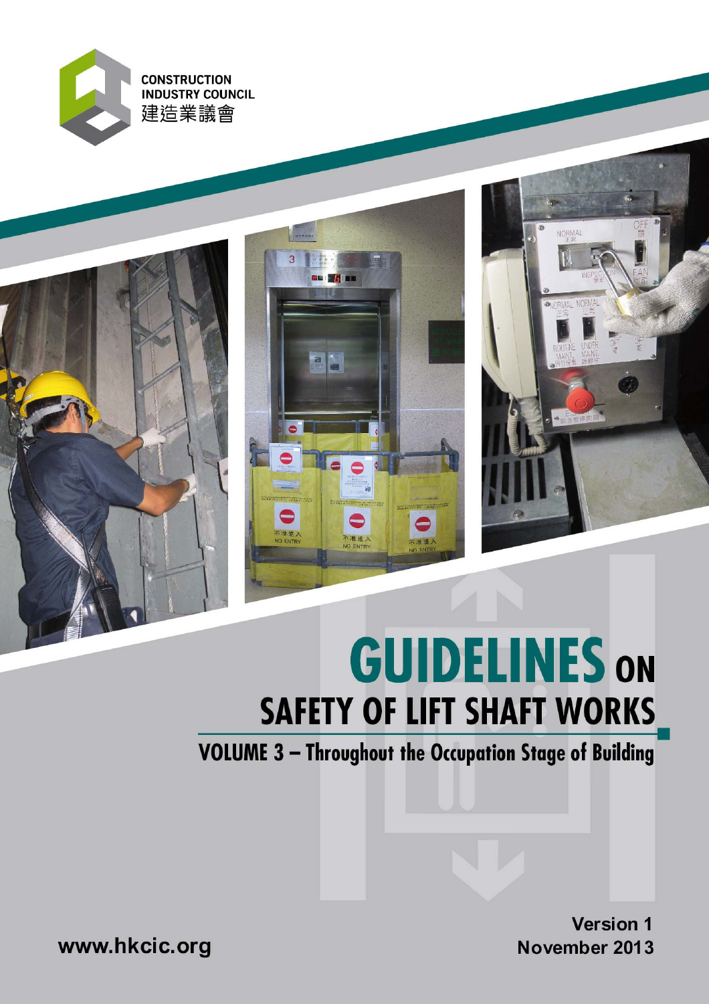







# **GUIDELINES ON SAFETY OF LIFT SHAFT WORKS**

VOLUME 3 - Throughout the Occupation Stage of Building

**Version 1** November 2013

www.hkcic.org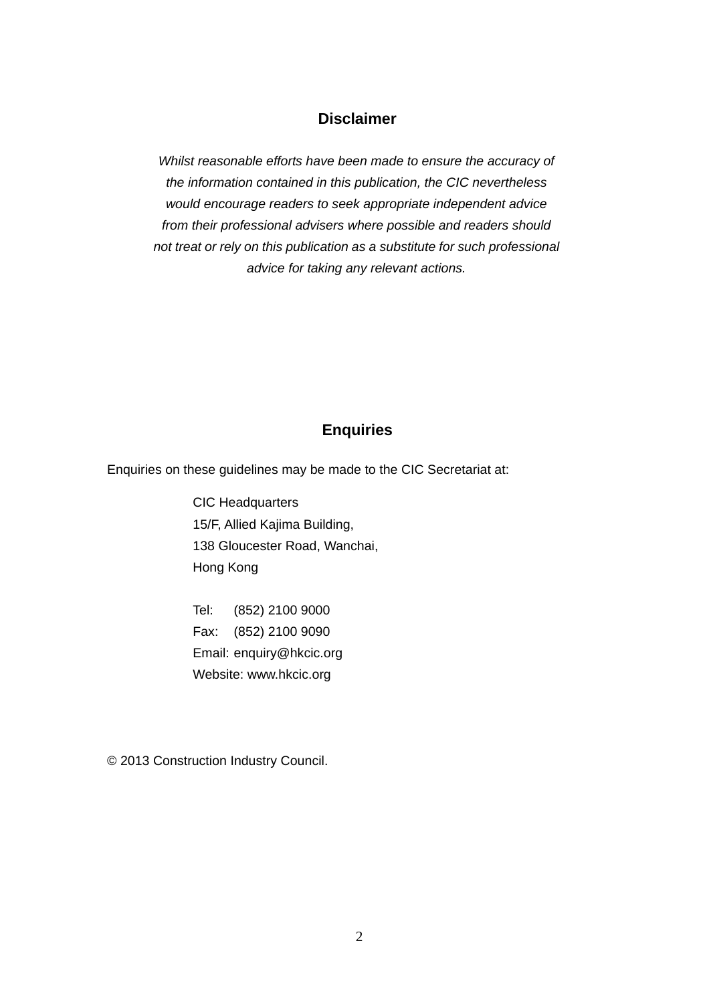## **Disclaimer**

*Whilst reasonable efforts have been made to ensure the accuracy of the information contained in this publication, the CIC nevertheless would encourage readers to seek appropriate independent advice from their professional advisers where possible and readers should not treat or rely on this publication as a substitute for such professional advice for taking any relevant actions.* 

# **Enquiries**

Enquiries on these guidelines may be made to the CIC Secretariat at:

CIC Headquarters 15/F, Allied Kajima Building, 138 Gloucester Road, Wanchai, Hong Kong

Tel: (852) 2100 9000 Fax: (852) 2100 9090 Email: enquiry@hkcic.org Website: www.hkcic.org

© 2013 Construction Industry Council.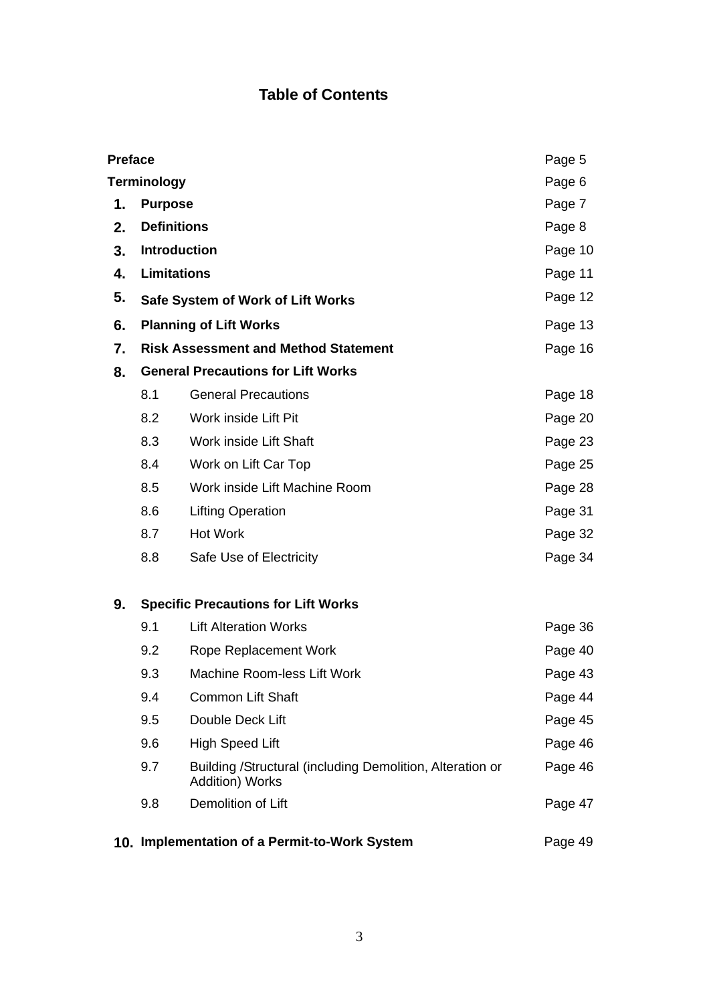# **Table of Contents**

| <b>Preface</b> |                                                          |                                                                              | Page 5  |
|----------------|----------------------------------------------------------|------------------------------------------------------------------------------|---------|
|                | <b>Terminology</b><br>Page 6                             |                                                                              |         |
| 1.             | Page 7<br><b>Purpose</b>                                 |                                                                              |         |
| 2.             | <b>Definitions</b><br>Page 8                             |                                                                              |         |
| 3.             | <b>Introduction</b><br>Page 10                           |                                                                              |         |
| 4.             | <b>Limitations</b>                                       |                                                                              | Page 11 |
| 5.             | Safe System of Work of Lift Works                        |                                                                              | Page 12 |
| 6.             | <b>Planning of Lift Works</b>                            |                                                                              | Page 13 |
| 7.             | <b>Risk Assessment and Method Statement</b>              |                                                                              | Page 16 |
| 8.             |                                                          | <b>General Precautions for Lift Works</b>                                    |         |
|                | 8.1                                                      | <b>General Precautions</b>                                                   | Page 18 |
|                | 8.2                                                      | Work inside Lift Pit                                                         | Page 20 |
|                | 8.3                                                      | Work inside Lift Shaft                                                       | Page 23 |
|                | 8.4                                                      | Work on Lift Car Top                                                         | Page 25 |
|                | 8.5                                                      | Work inside Lift Machine Room                                                | Page 28 |
|                | 8.6                                                      | <b>Lifting Operation</b>                                                     | Page 31 |
|                | 8.7                                                      | <b>Hot Work</b>                                                              | Page 32 |
|                | 8.8                                                      | Safe Use of Electricity                                                      | Page 34 |
| 9.             |                                                          | <b>Specific Precautions for Lift Works</b>                                   |         |
|                | 9.1                                                      | <b>Lift Alteration Works</b>                                                 | Page 36 |
|                | 9.2                                                      | Rope Replacement Work                                                        | Page 40 |
|                | 9.3                                                      | Machine Room-less Lift Work                                                  | Page 43 |
|                | 9.4                                                      | <b>Common Lift Shaft</b>                                                     | Page 44 |
|                | 9.5                                                      | Double Deck Lift                                                             | Page 45 |
|                | 9.6                                                      | <b>High Speed Lift</b>                                                       | Page 46 |
|                | 9.7                                                      | Building /Structural (including Demolition, Alteration or<br>Addition) Works | Page 46 |
|                | 9.8                                                      | Demolition of Lift                                                           | Page 47 |
|                | 10. Implementation of a Permit-to-Work System<br>Page 49 |                                                                              |         |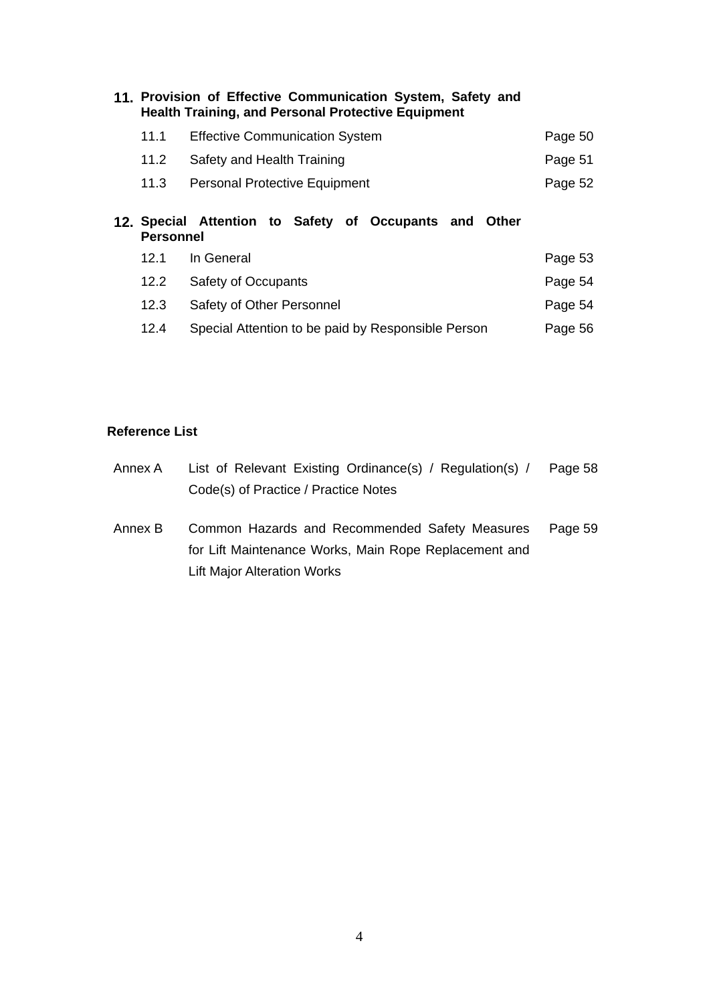| 11. Provision of Effective Communication System, Safety and<br><b>Health Training, and Personal Protective Equipment</b> |                                                        |         |
|--------------------------------------------------------------------------------------------------------------------------|--------------------------------------------------------|---------|
| 11.1                                                                                                                     | <b>Effective Communication System</b>                  | Page 50 |
| 11.2                                                                                                                     | Safety and Health Training                             | Page 51 |
| 11.3                                                                                                                     | <b>Personal Protective Equipment</b>                   | Page 52 |
| <b>Personnel</b>                                                                                                         | 12. Special Attention to Safety of Occupants and Other |         |
| 12.1                                                                                                                     | In General                                             | Page 53 |

| 12.2 | Safety of Occupants                                | Page 54 |
|------|----------------------------------------------------|---------|
| 12.3 | Safety of Other Personnel                          | Page 54 |
| 12.4 | Special Attention to be paid by Responsible Person | Page 56 |

#### **Reference List**

| Annex A | List of Relevant Existing Ordinance(s) / Regulation(s) /                                                           | Page 58 |
|---------|--------------------------------------------------------------------------------------------------------------------|---------|
|         | Code(s) of Practice / Practice Notes                                                                               |         |
| Annex B | Common Hazards and Recommended Safety Measures<br>Page 59<br>for Lift Maintenance Works, Main Rope Replacement and |         |
|         | <b>Lift Major Alteration Works</b>                                                                                 |         |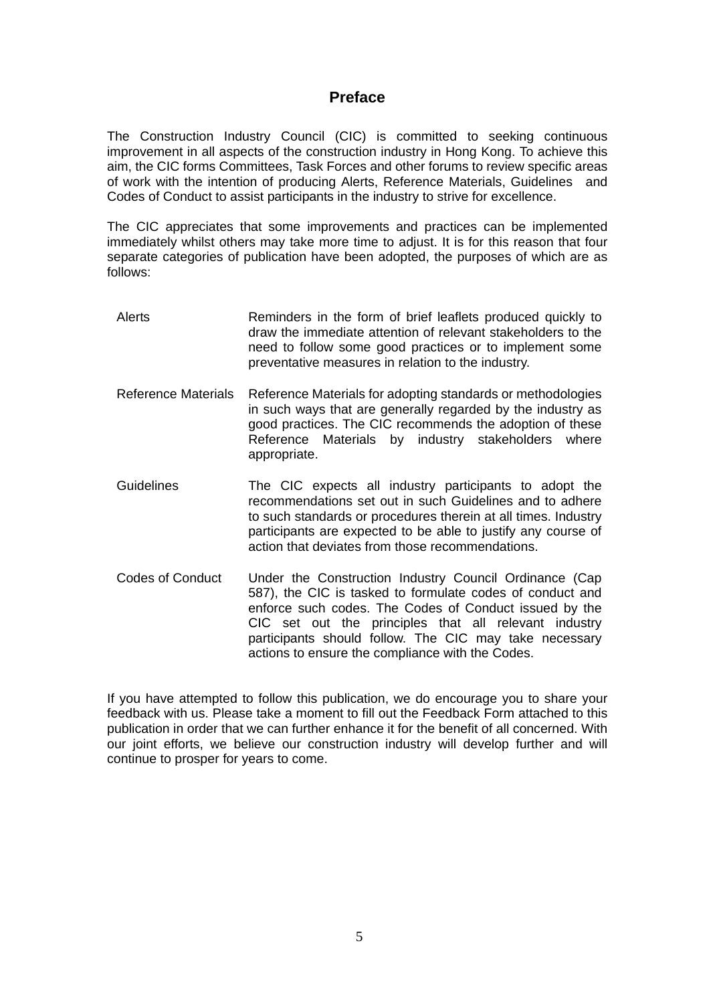## **Preface**

The Construction Industry Council (CIC) is committed to seeking continuous improvement in all aspects of the construction industry in Hong Kong. To achieve this aim, the CIC forms Committees, Task Forces and other forums to review specific areas of work with the intention of producing Alerts, Reference Materials, Guidelines and Codes of Conduct to assist participants in the industry to strive for excellence.

The CIC appreciates that some improvements and practices can be implemented immediately whilst others may take more time to adjust. It is for this reason that four separate categories of publication have been adopted, the purposes of which are as follows:

- Alerts Reminders in the form of brief leaflets produced quickly to draw the immediate attention of relevant stakeholders to the need to follow some good practices or to implement some preventative measures in relation to the industry.
- Reference Materials Reference Materials for adopting standards or methodologies in such ways that are generally regarded by the industry as good practices. The CIC recommends the adoption of these Reference Materials by industry stakeholders where appropriate.
- Guidelines The CIC expects all industry participants to adopt the recommendations set out in such Guidelines and to adhere to such standards or procedures therein at all times. Industry participants are expected to be able to justify any course of action that deviates from those recommendations.
- Codes of Conduct Under the Construction Industry Council Ordinance (Cap 587), the CIC is tasked to formulate codes of conduct and enforce such codes. The Codes of Conduct issued by the CIC set out the principles that all relevant industry participants should follow. The CIC may take necessary actions to ensure the compliance with the Codes.

If you have attempted to follow this publication, we do encourage you to share your feedback with us. Please take a moment to fill out the Feedback Form attached to this publication in order that we can further enhance it for the benefit of all concerned. With our joint efforts, we believe our construction industry will develop further and will continue to prosper for years to come.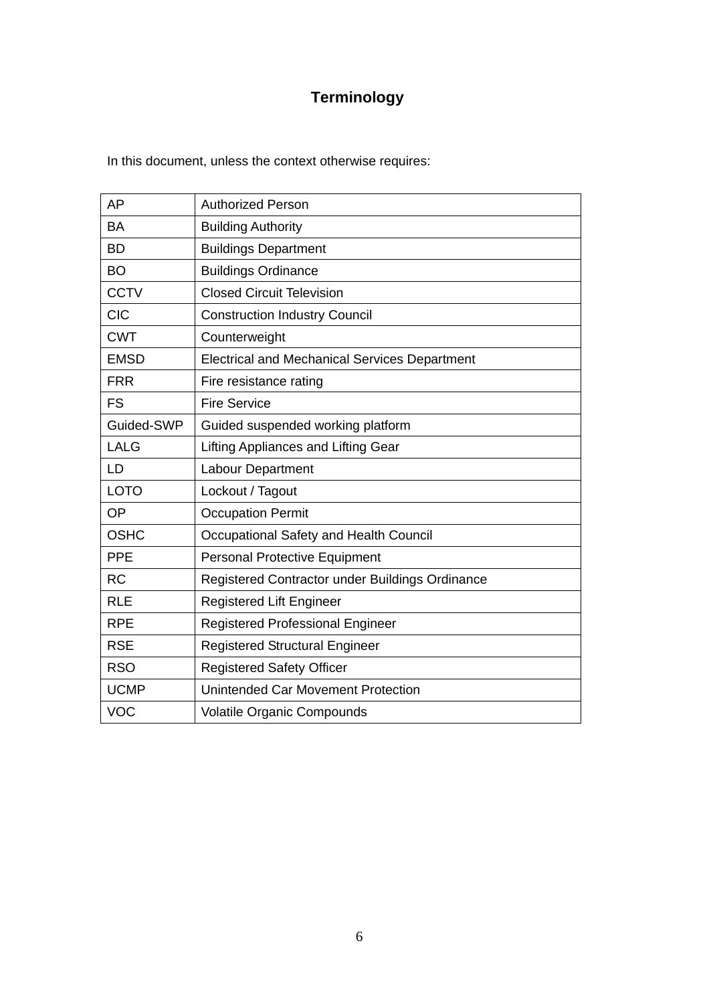# **Terminology**

In this document, unless the context otherwise requires:

| AP          | <b>Authorized Person</b>                             |
|-------------|------------------------------------------------------|
| <b>BA</b>   | <b>Building Authority</b>                            |
| <b>BD</b>   | <b>Buildings Department</b>                          |
| <b>BO</b>   | <b>Buildings Ordinance</b>                           |
| <b>CCTV</b> | <b>Closed Circuit Television</b>                     |
| <b>CIC</b>  | <b>Construction Industry Council</b>                 |
| <b>CWT</b>  | Counterweight                                        |
| <b>EMSD</b> | <b>Electrical and Mechanical Services Department</b> |
| <b>FRR</b>  | Fire resistance rating                               |
| <b>FS</b>   | <b>Fire Service</b>                                  |
| Guided-SWP  | Guided suspended working platform                    |
| <b>LALG</b> | Lifting Appliances and Lifting Gear                  |
| LD          | Labour Department                                    |
| <b>LOTO</b> | Lockout / Tagout                                     |
| OP          | <b>Occupation Permit</b>                             |
| <b>OSHC</b> | Occupational Safety and Health Council               |
| <b>PPE</b>  | <b>Personal Protective Equipment</b>                 |
| <b>RC</b>   | Registered Contractor under Buildings Ordinance      |
| <b>RLE</b>  | <b>Registered Lift Engineer</b>                      |
| <b>RPE</b>  | <b>Registered Professional Engineer</b>              |
| <b>RSE</b>  | <b>Registered Structural Engineer</b>                |
| <b>RSO</b>  | <b>Registered Safety Officer</b>                     |
| <b>UCMP</b> | Unintended Car Movement Protection                   |
| <b>VOC</b>  | Volatile Organic Compounds                           |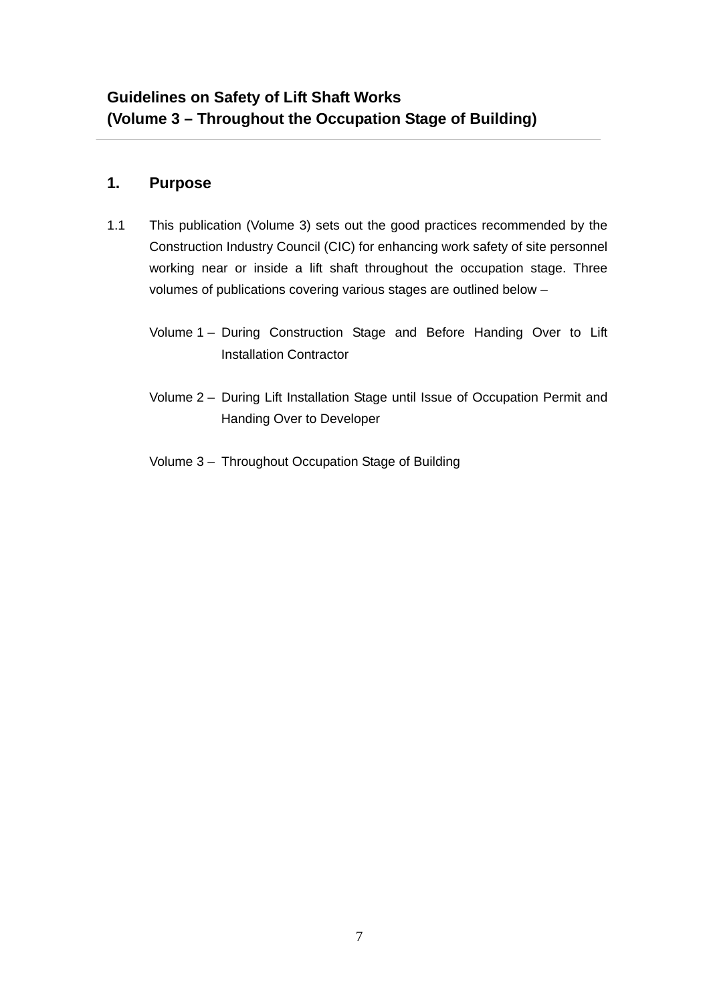# **1. Purpose**

- 1.1 This publication (Volume 3) sets out the good practices recommended by the Construction Industry Council (CIC) for enhancing work safety of site personnel working near or inside a lift shaft throughout the occupation stage. Three volumes of publications covering various stages are outlined below –
	- Volume 1 During Construction Stage and Before Handing Over to Lift Installation Contractor
	- Volume 2 During Lift Installation Stage until Issue of Occupation Permit and Handing Over to Developer
	- Volume 3 Throughout Occupation Stage of Building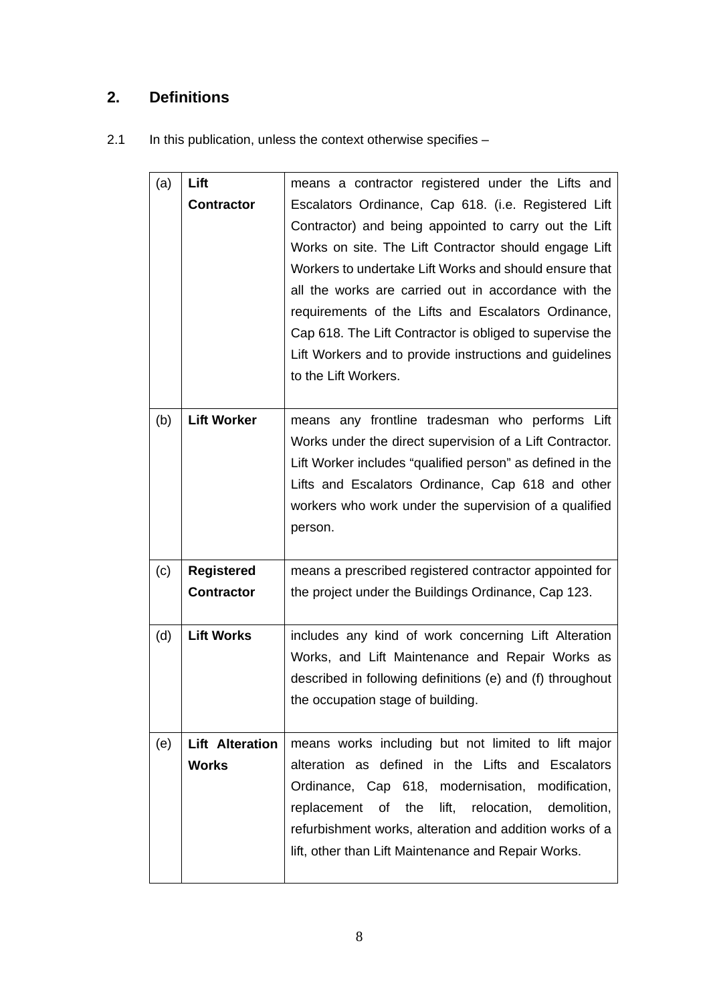# **2. Definitions**

2.1 In this publication, unless the context otherwise specifies -

| (a) | Lift                                   | means a contractor registered under the Lifts and                                                                                                                                                                                                                                                                                                                                                                                                                                              |
|-----|----------------------------------------|------------------------------------------------------------------------------------------------------------------------------------------------------------------------------------------------------------------------------------------------------------------------------------------------------------------------------------------------------------------------------------------------------------------------------------------------------------------------------------------------|
|     | <b>Contractor</b>                      | Escalators Ordinance, Cap 618. (i.e. Registered Lift<br>Contractor) and being appointed to carry out the Lift<br>Works on site. The Lift Contractor should engage Lift<br>Workers to undertake Lift Works and should ensure that<br>all the works are carried out in accordance with the<br>requirements of the Lifts and Escalators Ordinance,<br>Cap 618. The Lift Contractor is obliged to supervise the<br>Lift Workers and to provide instructions and guidelines<br>to the Lift Workers. |
| (b) | <b>Lift Worker</b>                     | means any frontline tradesman who performs Lift<br>Works under the direct supervision of a Lift Contractor.<br>Lift Worker includes "qualified person" as defined in the<br>Lifts and Escalators Ordinance, Cap 618 and other<br>workers who work under the supervision of a qualified<br>person.                                                                                                                                                                                              |
| (c) | <b>Registered</b><br><b>Contractor</b> | means a prescribed registered contractor appointed for<br>the project under the Buildings Ordinance, Cap 123.                                                                                                                                                                                                                                                                                                                                                                                  |
| (d) | <b>Lift Works</b>                      | includes any kind of work concerning Lift Alteration<br>Works, and Lift Maintenance and Repair Works as<br>described in following definitions (e) and (f) throughout<br>the occupation stage of building.                                                                                                                                                                                                                                                                                      |
| (e) | <b>Lift Alteration</b><br><b>Works</b> | means works including but not limited to lift major<br>alteration as defined in the Lifts and Escalators<br>Ordinance, Cap 618, modernisation, modification,<br>the lift, relocation, demolition,<br>replacement<br>of<br>refurbishment works, alteration and addition works of a<br>lift, other than Lift Maintenance and Repair Works.                                                                                                                                                       |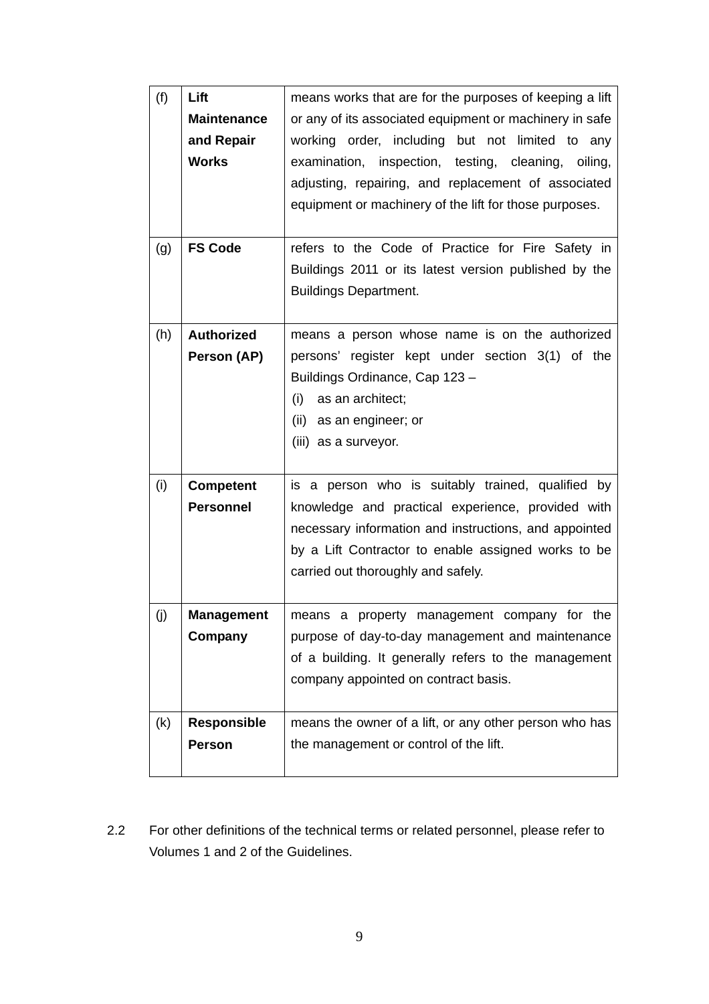| (f) | Lift               | means works that are for the purposes of keeping a lift |
|-----|--------------------|---------------------------------------------------------|
|     | <b>Maintenance</b> | or any of its associated equipment or machinery in safe |
|     | and Repair         | working order, including but not limited to any         |
|     | <b>Works</b>       | examination, inspection, testing, cleaning, oiling,     |
|     |                    |                                                         |
|     |                    | adjusting, repairing, and replacement of associated     |
|     |                    | equipment or machinery of the lift for those purposes.  |
|     |                    |                                                         |
| (g) | <b>FS Code</b>     | refers to the Code of Practice for Fire Safety in       |
|     |                    | Buildings 2011 or its latest version published by the   |
|     |                    | <b>Buildings Department.</b>                            |
|     |                    |                                                         |
| (h) | <b>Authorized</b>  | means a person whose name is on the authorized          |
|     | Person (AP)        | persons' register kept under section 3(1) of the        |
|     |                    | Buildings Ordinance, Cap 123-                           |
|     |                    | (i)<br>as an architect;                                 |
|     |                    | (ii) as an engineer; or                                 |
|     |                    | (iii) as a surveyor.                                    |
|     |                    |                                                         |
| (i) | <b>Competent</b>   | is a person who is suitably trained, qualified by       |
|     | <b>Personnel</b>   | knowledge and practical experience, provided with       |
|     |                    | necessary information and instructions, and appointed   |
|     |                    | by a Lift Contractor to enable assigned works to be     |
|     |                    | carried out thoroughly and safely.                      |
|     |                    |                                                         |
|     | <b>Management</b>  | means a property management company for the             |
| (j) |                    |                                                         |
|     | Company            | purpose of day-to-day management and maintenance        |
|     |                    | of a building. It generally refers to the management    |
|     |                    | company appointed on contract basis.                    |
| (k) | <b>Responsible</b> | means the owner of a lift, or any other person who has  |
|     | <b>Person</b>      |                                                         |
|     |                    | the management or control of the lift.                  |
|     |                    |                                                         |

2.2 For other definitions of the technical terms or related personnel, please refer to Volumes 1 and 2 of the Guidelines.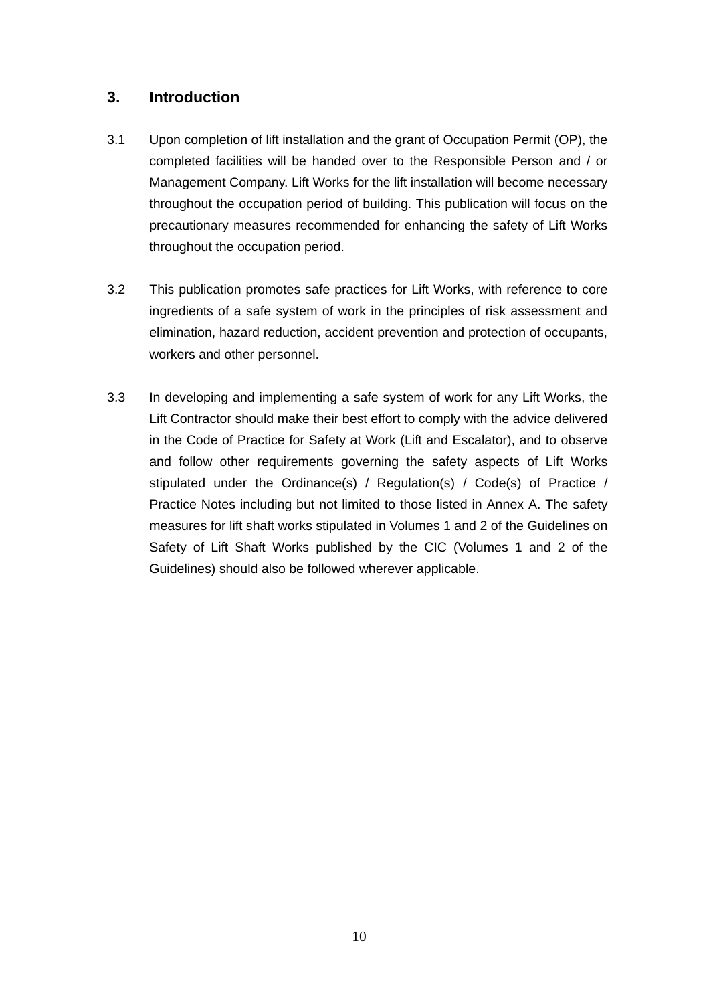# **3. Introduction**

- 3.1 Upon completion of lift installation and the grant of Occupation Permit (OP), the completed facilities will be handed over to the Responsible Person and / or Management Company. Lift Works for the lift installation will become necessary throughout the occupation period of building. This publication will focus on the precautionary measures recommended for enhancing the safety of Lift Works throughout the occupation period.
- 3.2 This publication promotes safe practices for Lift Works, with reference to core ingredients of a safe system of work in the principles of risk assessment and elimination, hazard reduction, accident prevention and protection of occupants, workers and other personnel.
- 3.3 In developing and implementing a safe system of work for any Lift Works, the Lift Contractor should make their best effort to comply with the advice delivered in the Code of Practice for Safety at Work (Lift and Escalator), and to observe and follow other requirements governing the safety aspects of Lift Works stipulated under the Ordinance(s) / Regulation(s) / Code(s) of Practice / Practice Notes including but not limited to those listed in Annex A. The safety measures for lift shaft works stipulated in Volumes 1 and 2 of the Guidelines on Safety of Lift Shaft Works published by the CIC (Volumes 1 and 2 of the Guidelines) should also be followed wherever applicable.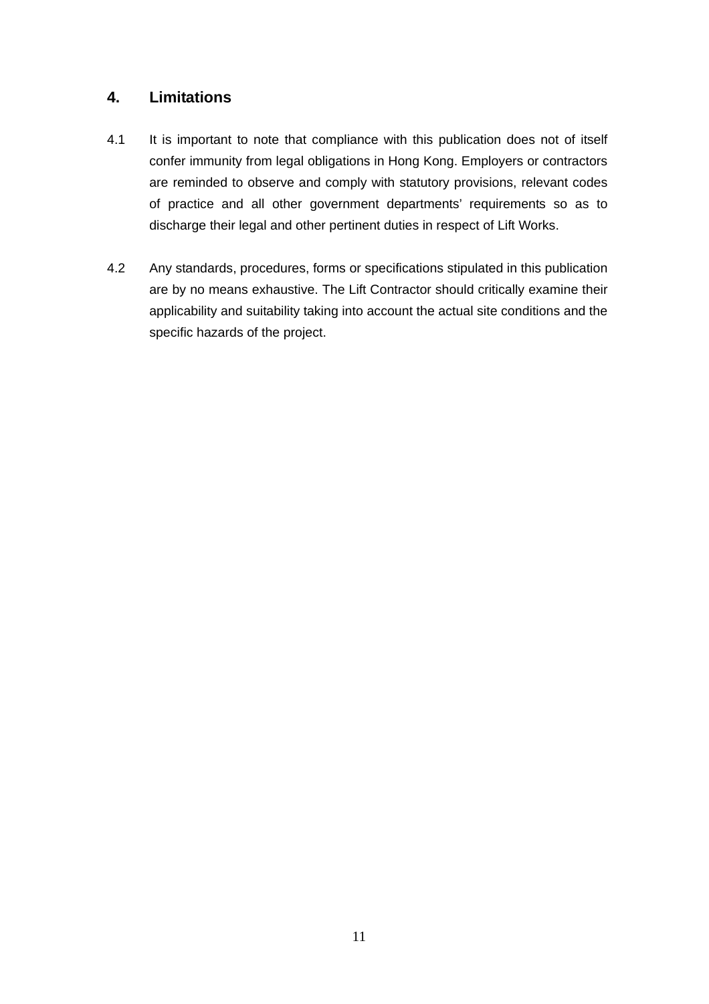# **4. Limitations**

- 4.1 It is important to note that compliance with this publication does not of itself confer immunity from legal obligations in Hong Kong. Employers or contractors are reminded to observe and comply with statutory provisions, relevant codes of practice and all other government departments' requirements so as to discharge their legal and other pertinent duties in respect of Lift Works.
- 4.2 Any standards, procedures, forms or specifications stipulated in this publication are by no means exhaustive. The Lift Contractor should critically examine their applicability and suitability taking into account the actual site conditions and the specific hazards of the project.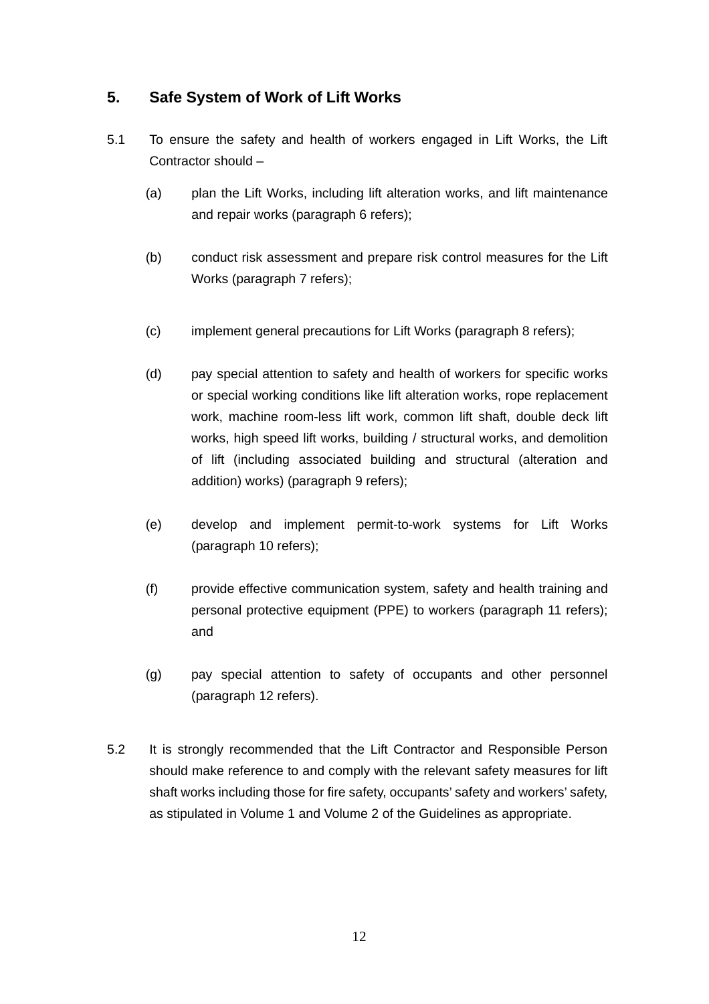# **5. Safe System of Work of Lift Works**

- 5.1 To ensure the safety and health of workers engaged in Lift Works, the Lift Contractor should –
	- (a) plan the Lift Works, including lift alteration works, and lift maintenance and repair works (paragraph 6 refers);
	- (b) conduct risk assessment and prepare risk control measures for the Lift Works (paragraph 7 refers);
	- (c) implement general precautions for Lift Works (paragraph 8 refers);
	- (d) pay special attention to safety and health of workers for specific works or special working conditions like lift alteration works, rope replacement work, machine room-less lift work, common lift shaft, double deck lift works, high speed lift works, building / structural works, and demolition of lift (including associated building and structural (alteration and addition) works) (paragraph 9 refers);
	- (e) develop and implement permit-to-work systems for Lift Works (paragraph 10 refers);
	- (f) provide effective communication system, safety and health training and personal protective equipment (PPE) to workers (paragraph 11 refers); and
	- (g) pay special attention to safety of occupants and other personnel (paragraph 12 refers).
- 5.2 It is strongly recommended that the Lift Contractor and Responsible Person should make reference to and comply with the relevant safety measures for lift shaft works including those for fire safety, occupants' safety and workers' safety, as stipulated in Volume 1 and Volume 2 of the Guidelines as appropriate.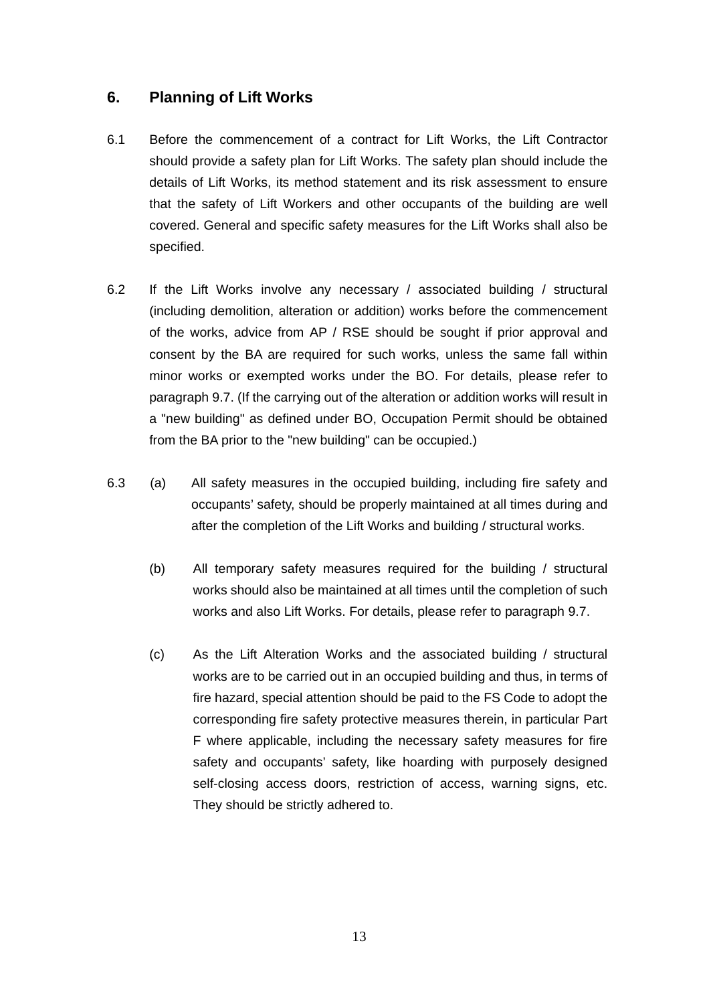# **6. Planning of Lift Works**

- 6.1 Before the commencement of a contract for Lift Works, the Lift Contractor should provide a safety plan for Lift Works. The safety plan should include the details of Lift Works, its method statement and its risk assessment to ensure that the safety of Lift Workers and other occupants of the building are well covered. General and specific safety measures for the Lift Works shall also be specified.
- 6.2 If the Lift Works involve any necessary / associated building / structural (including demolition, alteration or addition) works before the commencement of the works, advice from AP / RSE should be sought if prior approval and consent by the BA are required for such works, unless the same fall within minor works or exempted works under the BO. For details, please refer to paragraph 9.7. (If the carrying out of the alteration or addition works will result in a "new building" as defined under BO, Occupation Permit should be obtained from the BA prior to the "new building" can be occupied.)
- 6.3 (a) All safety measures in the occupied building, including fire safety and occupants' safety, should be properly maintained at all times during and after the completion of the Lift Works and building / structural works.
	- (b) All temporary safety measures required for the building / structural works should also be maintained at all times until the completion of such works and also Lift Works. For details, please refer to paragraph 9.7.
	- (c) As the Lift Alteration Works and the associated building / structural works are to be carried out in an occupied building and thus, in terms of fire hazard, special attention should be paid to the FS Code to adopt the corresponding fire safety protective measures therein, in particular Part F where applicable, including the necessary safety measures for fire safety and occupants' safety, like hoarding with purposely designed self-closing access doors, restriction of access, warning signs, etc. They should be strictly adhered to.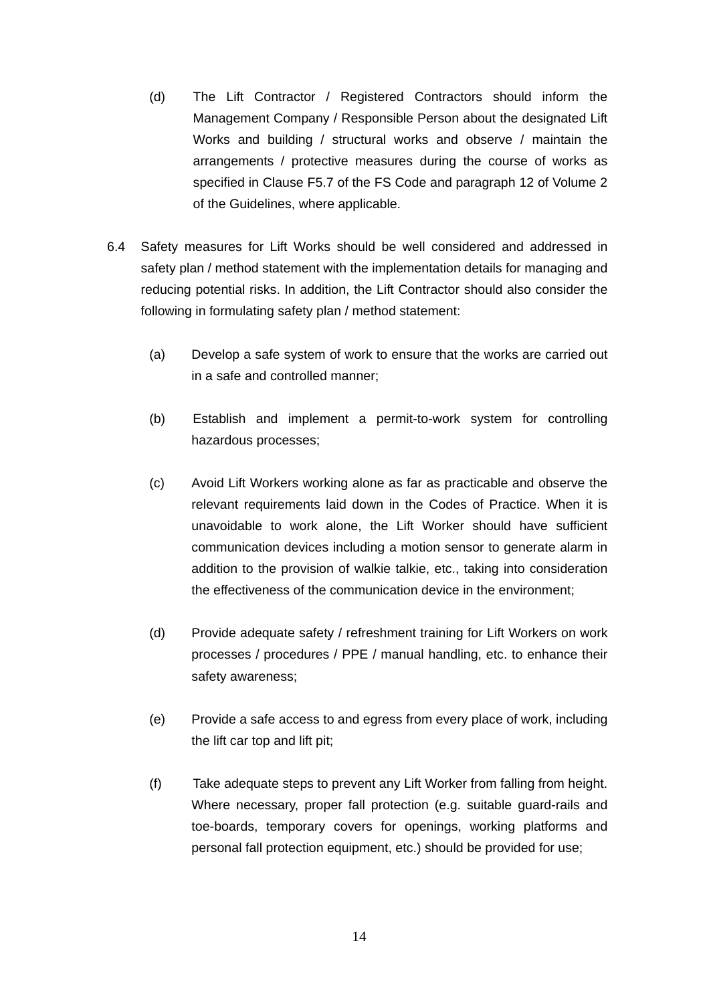- (d) The Lift Contractor / Registered Contractors should inform the Management Company / Responsible Person about the designated Lift Works and building / structural works and observe / maintain the arrangements / protective measures during the course of works as specified in Clause F5.7 of the FS Code and paragraph 12 of Volume 2 of the Guidelines, where applicable.
- 6.4 Safety measures for Lift Works should be well considered and addressed in safety plan / method statement with the implementation details for managing and reducing potential risks. In addition, the Lift Contractor should also consider the following in formulating safety plan / method statement:
	- (a) Develop a safe system of work to ensure that the works are carried out in a safe and controlled manner;
	- (b) Establish and implement a permit-to-work system for controlling hazardous processes;
	- (c) Avoid Lift Workers working alone as far as practicable and observe the relevant requirements laid down in the Codes of Practice. When it is unavoidable to work alone, the Lift Worker should have sufficient communication devices including a motion sensor to generate alarm in addition to the provision of walkie talkie, etc., taking into consideration the effectiveness of the communication device in the environment;
	- (d) Provide adequate safety / refreshment training for Lift Workers on work processes / procedures / PPE / manual handling, etc. to enhance their safety awareness;
	- (e) Provide a safe access to and egress from every place of work, including the lift car top and lift pit;
	- (f) Take adequate steps to prevent any Lift Worker from falling from height. Where necessary, proper fall protection (e.g. suitable guard-rails and toe-boards, temporary covers for openings, working platforms and personal fall protection equipment, etc.) should be provided for use;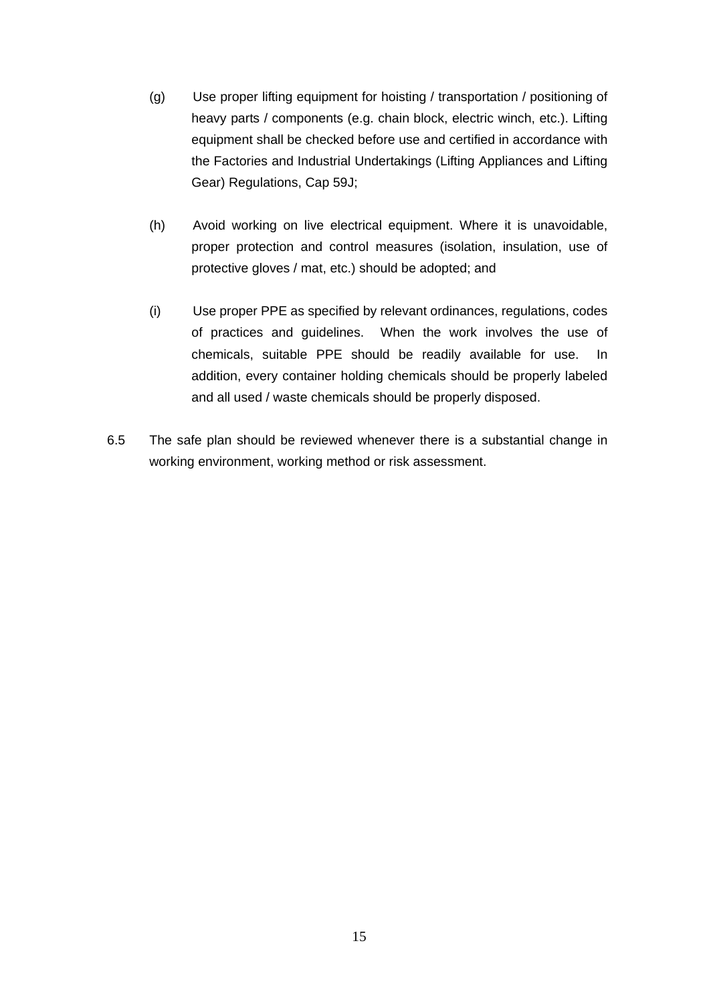- (g) Use proper lifting equipment for hoisting / transportation / positioning of heavy parts / components (e.g. chain block, electric winch, etc.). Lifting equipment shall be checked before use and certified in accordance with the Factories and Industrial Undertakings (Lifting Appliances and Lifting Gear) Regulations, Cap 59J;
- (h) Avoid working on live electrical equipment. Where it is unavoidable, proper protection and control measures (isolation, insulation, use of protective gloves / mat, etc.) should be adopted; and
- (i) Use proper PPE as specified by relevant ordinances, regulations, codes of practices and guidelines. When the work involves the use of chemicals, suitable PPE should be readily available for use. In addition, every container holding chemicals should be properly labeled and all used / waste chemicals should be properly disposed.
- 6.5 The safe plan should be reviewed whenever there is a substantial change in working environment, working method or risk assessment.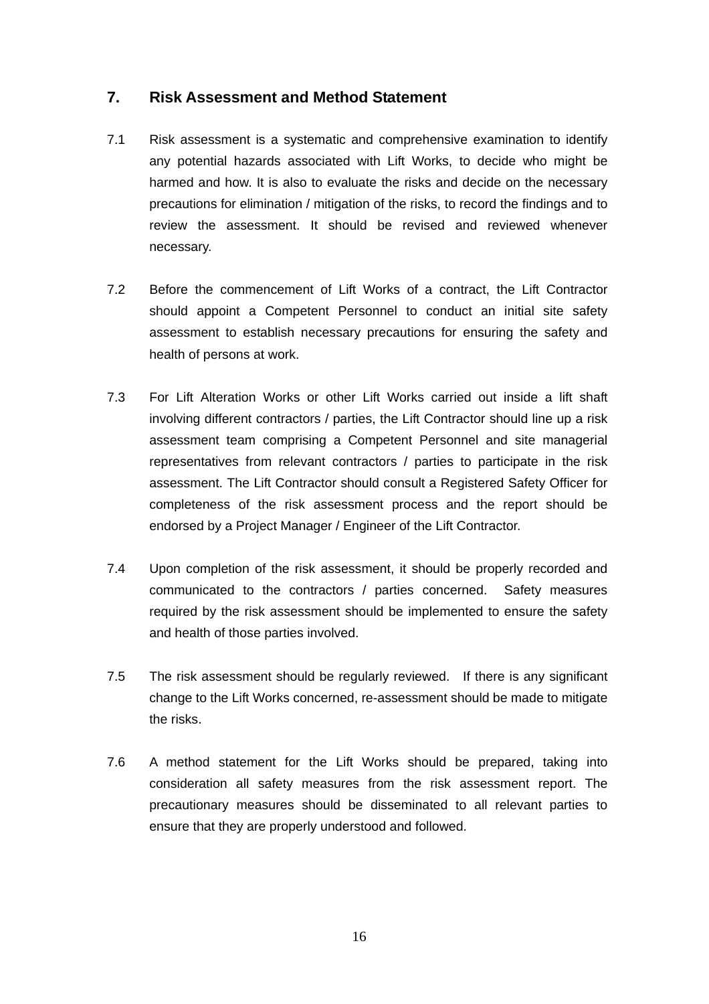# **7. Risk Assessment and Method Statement**

- 7.1 Risk assessment is a systematic and comprehensive examination to identify any potential hazards associated with Lift Works, to decide who might be harmed and how. It is also to evaluate the risks and decide on the necessary precautions for elimination / mitigation of the risks, to record the findings and to review the assessment. It should be revised and reviewed whenever necessary.
- 7.2 Before the commencement of Lift Works of a contract, the Lift Contractor should appoint a Competent Personnel to conduct an initial site safety assessment to establish necessary precautions for ensuring the safety and health of persons at work.
- 7.3 For Lift Alteration Works or other Lift Works carried out inside a lift shaft involving different contractors / parties, the Lift Contractor should line up a risk assessment team comprising a Competent Personnel and site managerial representatives from relevant contractors / parties to participate in the risk assessment. The Lift Contractor should consult a Registered Safety Officer for completeness of the risk assessment process and the report should be endorsed by a Project Manager / Engineer of the Lift Contractor.
- 7.4 Upon completion of the risk assessment, it should be properly recorded and communicated to the contractors / parties concerned. Safety measures required by the risk assessment should be implemented to ensure the safety and health of those parties involved.
- 7.5 The risk assessment should be regularly reviewed. If there is any significant change to the Lift Works concerned, re-assessment should be made to mitigate the risks.
- 7.6 A method statement for the Lift Works should be prepared, taking into consideration all safety measures from the risk assessment report. The precautionary measures should be disseminated to all relevant parties to ensure that they are properly understood and followed.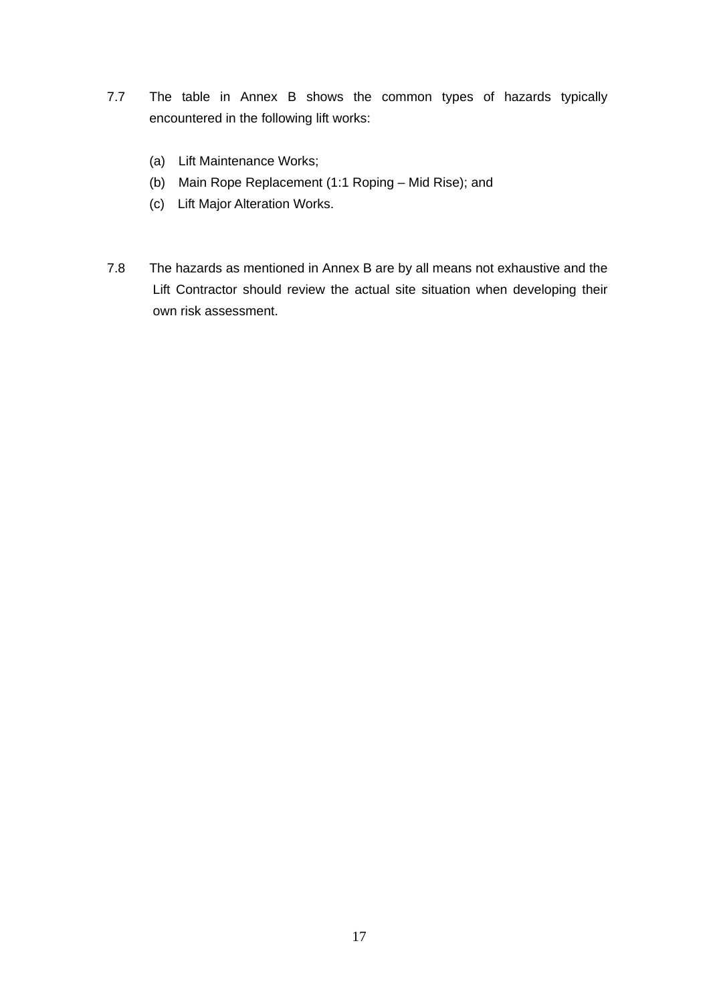- 7.7 The table in Annex B shows the common types of hazards typically encountered in the following lift works:
	- (a) Lift Maintenance Works;
	- (b) Main Rope Replacement (1:1 Roping Mid Rise); and
	- (c) Lift Major Alteration Works.
- 7.8 The hazards as mentioned in Annex B are by all means not exhaustive and the Lift Contractor should review the actual site situation when developing their own risk assessment.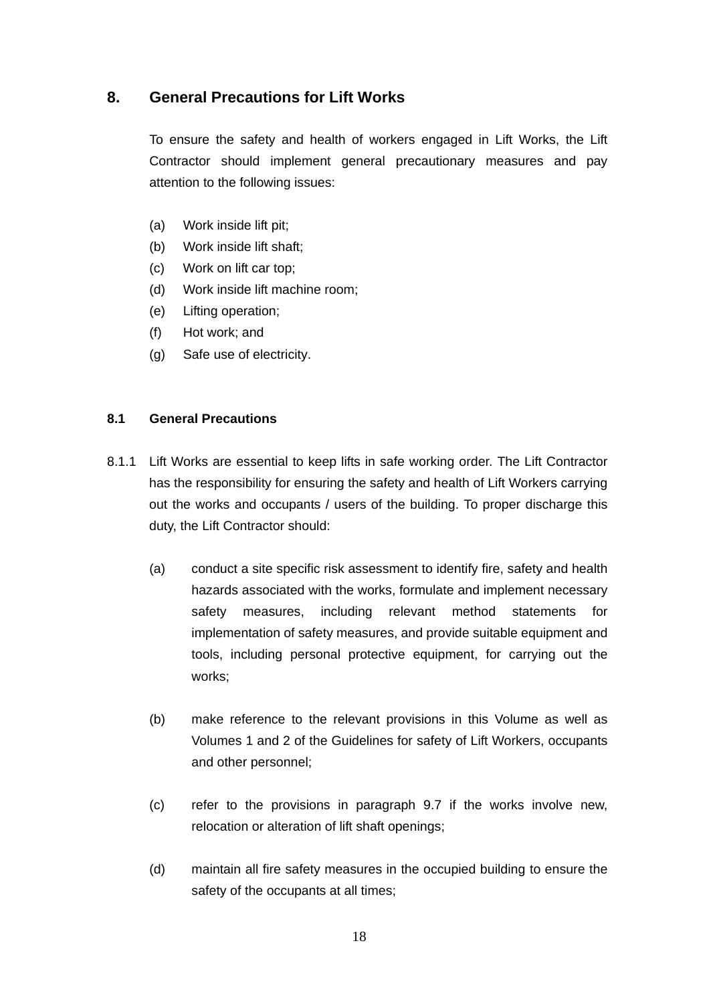# **8. General Precautions for Lift Works**

To ensure the safety and health of workers engaged in Lift Works, the Lift Contractor should implement general precautionary measures and pay attention to the following issues:

- (a) Work inside lift pit;
- (b) Work inside lift shaft;
- (c) Work on lift car top;
- (d) Work inside lift machine room;
- (e) Lifting operation;
- (f) Hot work; and
- (g) Safe use of electricity.

#### **8.1 General Precautions**

- 8.1.1 Lift Works are essential to keep lifts in safe working order. The Lift Contractor has the responsibility for ensuring the safety and health of Lift Workers carrying out the works and occupants / users of the building. To proper discharge this duty, the Lift Contractor should:
	- (a) conduct a site specific risk assessment to identify fire, safety and health hazards associated with the works, formulate and implement necessary safety measures, including relevant method statements for implementation of safety measures, and provide suitable equipment and tools, including personal protective equipment, for carrying out the works;
	- (b) make reference to the relevant provisions in this Volume as well as Volumes 1 and 2 of the Guidelines for safety of Lift Workers, occupants and other personnel;
	- (c) refer to the provisions in paragraph 9.7 if the works involve new, relocation or alteration of lift shaft openings;
	- (d) maintain all fire safety measures in the occupied building to ensure the safety of the occupants at all times;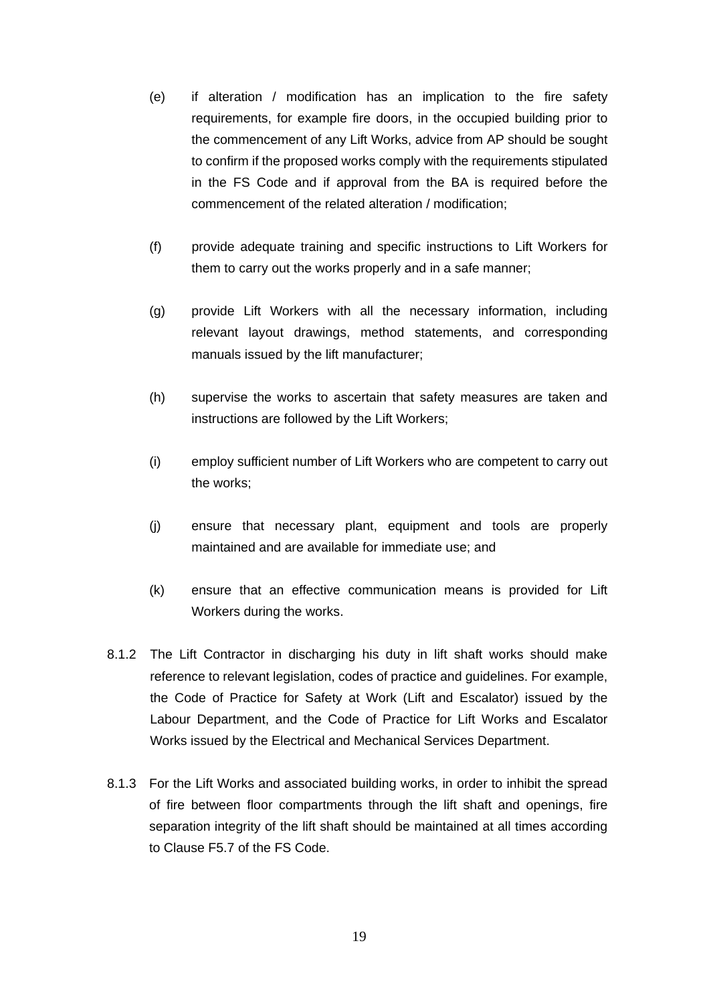- (e) if alteration / modification has an implication to the fire safety requirements, for example fire doors, in the occupied building prior to the commencement of any Lift Works, advice from AP should be sought to confirm if the proposed works comply with the requirements stipulated in the FS Code and if approval from the BA is required before the commencement of the related alteration / modification;
- (f) provide adequate training and specific instructions to Lift Workers for them to carry out the works properly and in a safe manner;
- (g) provide Lift Workers with all the necessary information, including relevant layout drawings, method statements, and corresponding manuals issued by the lift manufacturer;
- (h) supervise the works to ascertain that safety measures are taken and instructions are followed by the Lift Workers;
- (i) employ sufficient number of Lift Workers who are competent to carry out the works;
- (j) ensure that necessary plant, equipment and tools are properly maintained and are available for immediate use; and
- (k) ensure that an effective communication means is provided for Lift Workers during the works.
- 8.1.2 The Lift Contractor in discharging his duty in lift shaft works should make reference to relevant legislation, codes of practice and guidelines. For example, the Code of Practice for Safety at Work (Lift and Escalator) issued by the Labour Department, and the Code of Practice for Lift Works and Escalator Works issued by the Electrical and Mechanical Services Department.
- 8.1.3 For the Lift Works and associated building works, in order to inhibit the spread of fire between floor compartments through the lift shaft and openings, fire separation integrity of the lift shaft should be maintained at all times according to Clause F5.7 of the FS Code.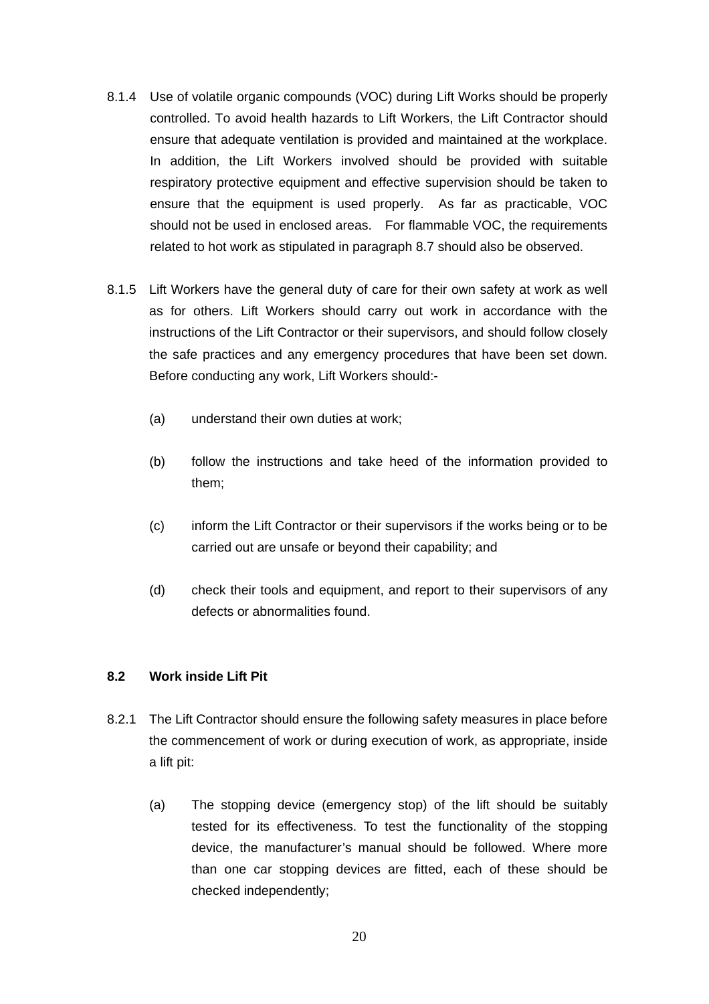- 8.1.4 Use of volatile organic compounds (VOC) during Lift Works should be properly controlled. To avoid health hazards to Lift Workers, the Lift Contractor should ensure that adequate ventilation is provided and maintained at the workplace. In addition, the Lift Workers involved should be provided with suitable respiratory protective equipment and effective supervision should be taken to ensure that the equipment is used properly. As far as practicable, VOC should not be used in enclosed areas. For flammable VOC, the requirements related to hot work as stipulated in paragraph 8.7 should also be observed.
- 8.1.5 Lift Workers have the general duty of care for their own safety at work as well as for others. Lift Workers should carry out work in accordance with the instructions of the Lift Contractor or their supervisors, and should follow closely the safe practices and any emergency procedures that have been set down. Before conducting any work, Lift Workers should:-
	- (a) understand their own duties at work;
	- (b) follow the instructions and take heed of the information provided to them;
	- (c) inform the Lift Contractor or their supervisors if the works being or to be carried out are unsafe or beyond their capability; and
	- (d) check their tools and equipment, and report to their supervisors of any defects or abnormalities found.

#### **8.2 Work inside Lift Pit**

- 8.2.1 The Lift Contractor should ensure the following safety measures in place before the commencement of work or during execution of work, as appropriate, inside a lift pit:
	- (a) The stopping device (emergency stop) of the lift should be suitably tested for its effectiveness. To test the functionality of the stopping device, the manufacturer's manual should be followed. Where more than one car stopping devices are fitted, each of these should be checked independently;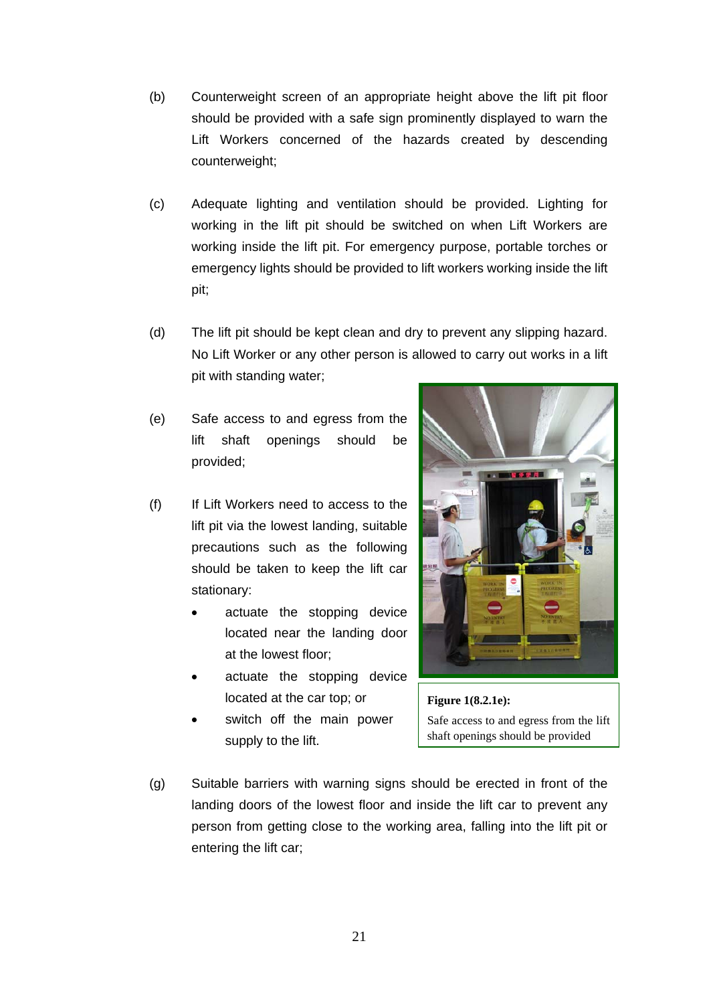- (b) Counterweight screen of an appropriate height above the lift pit floor should be provided with a safe sign prominently displayed to warn the Lift Workers concerned of the hazards created by descending counterweight;
- (c) Adequate lighting and ventilation should be provided. Lighting for working in the lift pit should be switched on when Lift Workers are working inside the lift pit. For emergency purpose, portable torches or emergency lights should be provided to lift workers working inside the lift pit;
- (d) The lift pit should be kept clean and dry to prevent any slipping hazard. No Lift Worker or any other person is allowed to carry out works in a lift pit with standing water;
- (e) Safe access to and egress from the lift shaft openings should be provided;
- (f) If Lift Workers need to access to the lift pit via the lowest landing, suitable precautions such as the following should be taken to keep the lift car stationary:
	- actuate the stopping device located near the landing door at the lowest floor;
	- actuate the stopping device located at the car top; or
	- switch off the main power supply to the lift.





(g) Suitable barriers with warning signs should be erected in front of the landing doors of the lowest floor and inside the lift car to prevent any person from getting close to the working area, falling into the lift pit or entering the lift car;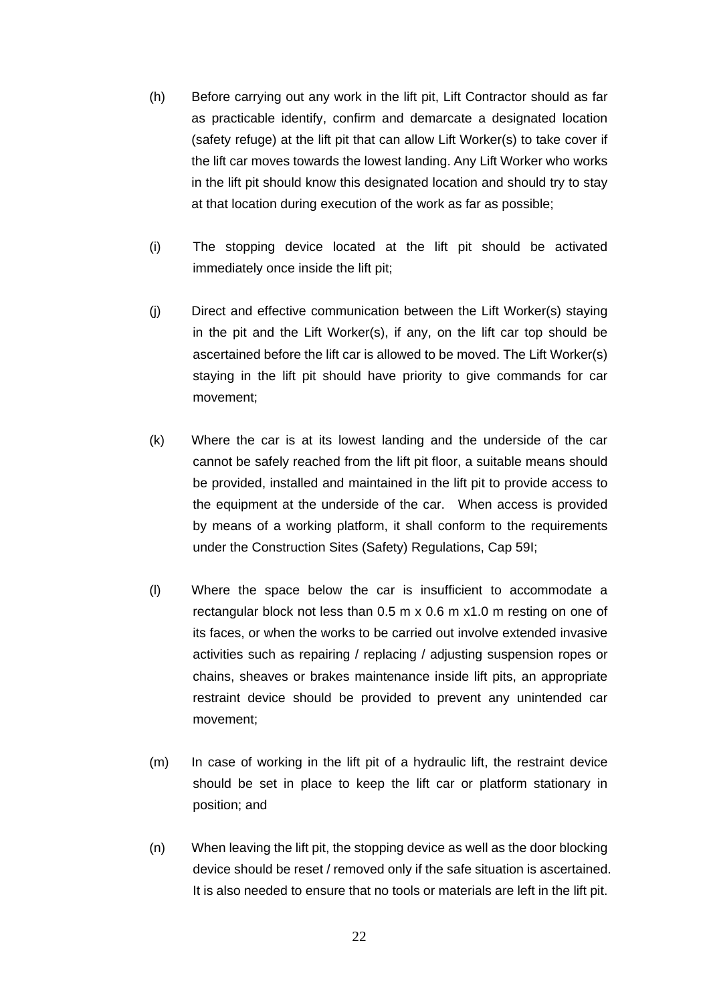- (h) Before carrying out any work in the lift pit, Lift Contractor should as far as practicable identify, confirm and demarcate a designated location (safety refuge) at the lift pit that can allow Lift Worker(s) to take cover if the lift car moves towards the lowest landing. Any Lift Worker who works in the lift pit should know this designated location and should try to stay at that location during execution of the work as far as possible;
- (i) The stopping device located at the lift pit should be activated immediately once inside the lift pit;
- (j) Direct and effective communication between the Lift Worker(s) staying in the pit and the Lift Worker(s), if any, on the lift car top should be ascertained before the lift car is allowed to be moved. The Lift Worker(s) staying in the lift pit should have priority to give commands for car movement;
- (k) Where the car is at its lowest landing and the underside of the car cannot be safely reached from the lift pit floor, a suitable means should be provided, installed and maintained in the lift pit to provide access to the equipment at the underside of the car. When access is provided by means of a working platform, it shall conform to the requirements under the Construction Sites (Safety) Regulations, Cap 59I;
- (l) Where the space below the car is insufficient to accommodate a rectangular block not less than 0.5 m x 0.6 m x1.0 m resting on one of its faces, or when the works to be carried out involve extended invasive activities such as repairing / replacing / adjusting suspension ropes or chains, sheaves or brakes maintenance inside lift pits, an appropriate restraint device should be provided to prevent any unintended car movement;
- (m) In case of working in the lift pit of a hydraulic lift, the restraint device should be set in place to keep the lift car or platform stationary in position; and
- (n) When leaving the lift pit, the stopping device as well as the door blocking device should be reset / removed only if the safe situation is ascertained. It is also needed to ensure that no tools or materials are left in the lift pit.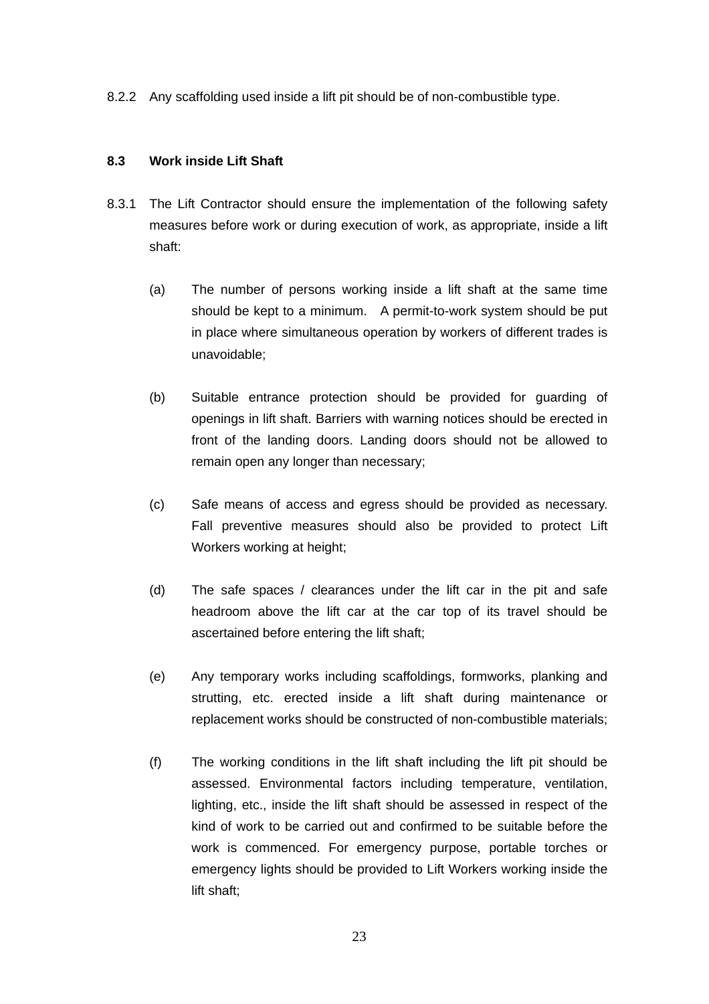8.2.2 Any scaffolding used inside a lift pit should be of non-combustible type.

#### **8.3 Work inside Lift Shaft**

- 8.3.1 The Lift Contractor should ensure the implementation of the following safety measures before work or during execution of work, as appropriate, inside a lift shaft:
	- (a) The number of persons working inside a lift shaft at the same time should be kept to a minimum. A permit-to-work system should be put in place where simultaneous operation by workers of different trades is unavoidable;
	- (b) Suitable entrance protection should be provided for guarding of openings in lift shaft. Barriers with warning notices should be erected in front of the landing doors. Landing doors should not be allowed to remain open any longer than necessary;
	- (c) Safe means of access and egress should be provided as necessary. Fall preventive measures should also be provided to protect Lift Workers working at height;
	- (d) The safe spaces / clearances under the lift car in the pit and safe headroom above the lift car at the car top of its travel should be ascertained before entering the lift shaft;
	- (e) Any temporary works including scaffoldings, formworks, planking and strutting, etc. erected inside a lift shaft during maintenance or replacement works should be constructed of non-combustible materials;
	- (f) The working conditions in the lift shaft including the lift pit should be assessed. Environmental factors including temperature, ventilation, lighting, etc., inside the lift shaft should be assessed in respect of the kind of work to be carried out and confirmed to be suitable before the work is commenced. For emergency purpose, portable torches or emergency lights should be provided to Lift Workers working inside the lift shaft;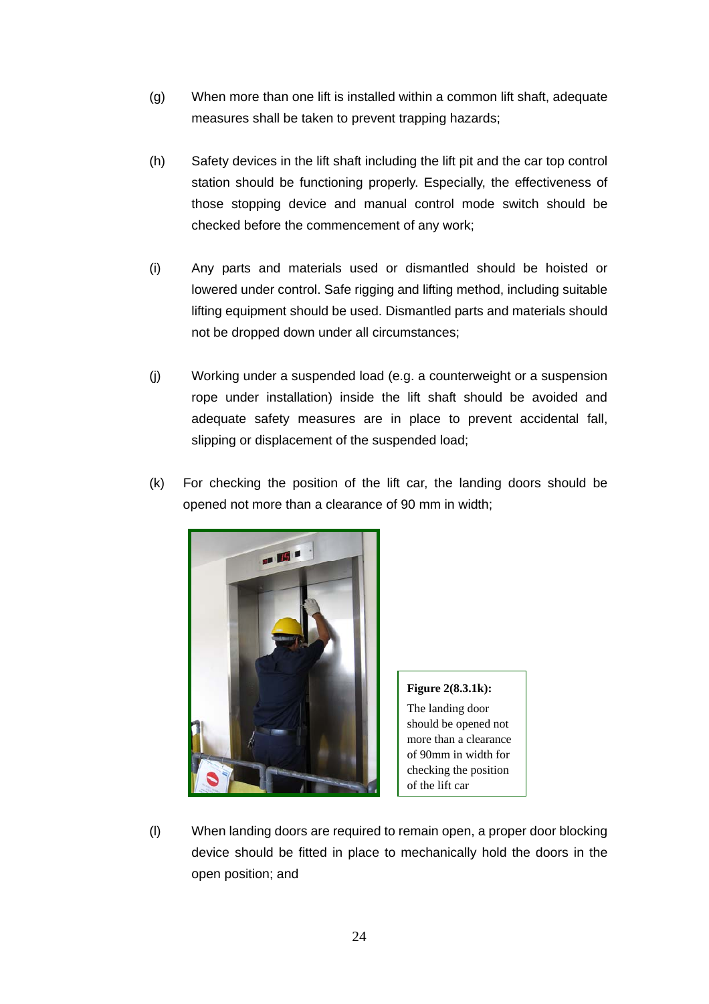- (g) When more than one lift is installed within a common lift shaft, adequate measures shall be taken to prevent trapping hazards;
- (h) Safety devices in the lift shaft including the lift pit and the car top control station should be functioning properly. Especially, the effectiveness of those stopping device and manual control mode switch should be checked before the commencement of any work;
- (i) Any parts and materials used or dismantled should be hoisted or lowered under control. Safe rigging and lifting method, including suitable lifting equipment should be used. Dismantled parts and materials should not be dropped down under all circumstances;
- (j) Working under a suspended load (e.g. a counterweight or a suspension rope under installation) inside the lift shaft should be avoided and adequate safety measures are in place to prevent accidental fall, slipping or displacement of the suspended load;
- (k) For checking the position of the lift car, the landing doors should be opened not more than a clearance of 90 mm in width;



**Figure 2(8.3.1k):**  The landing door should be opened not more than a clearance of 90mm in width for checking the position of the lift car

(l) When landing doors are required to remain open, a proper door blocking device should be fitted in place to mechanically hold the doors in the open position; and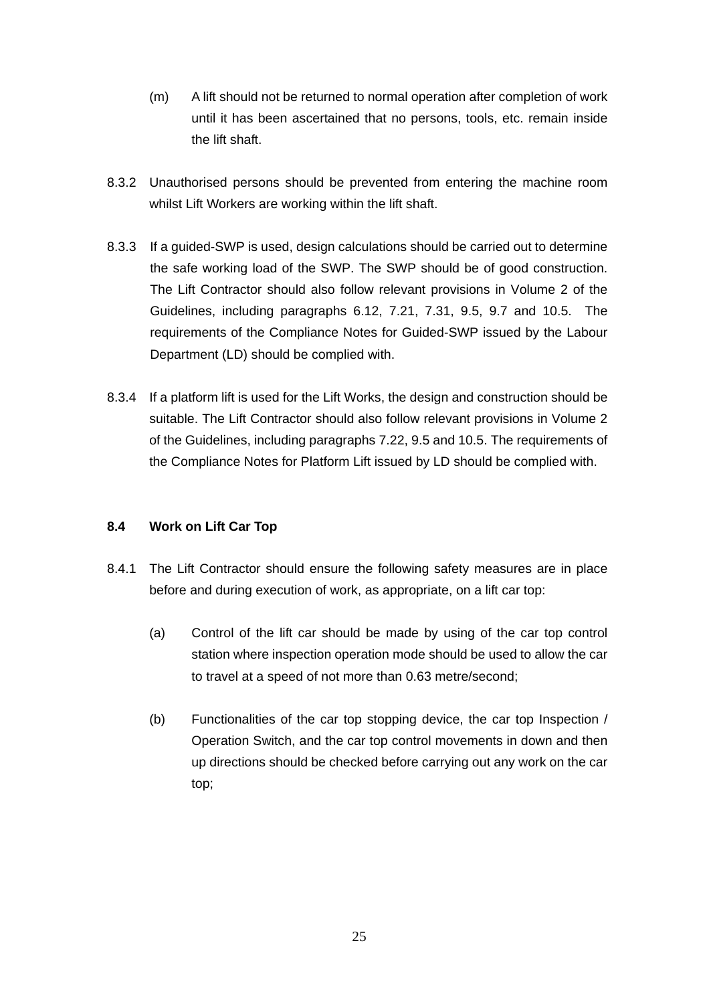- (m) A lift should not be returned to normal operation after completion of work until it has been ascertained that no persons, tools, etc. remain inside the lift shaft.
- 8.3.2 Unauthorised persons should be prevented from entering the machine room whilst Lift Workers are working within the lift shaft.
- 8.3.3 If a guided-SWP is used, design calculations should be carried out to determine the safe working load of the SWP. The SWP should be of good construction. The Lift Contractor should also follow relevant provisions in Volume 2 of the Guidelines, including paragraphs 6.12, 7.21, 7.31, 9.5, 9.7 and 10.5. The requirements of the Compliance Notes for Guided-SWP issued by the Labour Department (LD) should be complied with.
- 8.3.4 If a platform lift is used for the Lift Works, the design and construction should be suitable. The Lift Contractor should also follow relevant provisions in Volume 2 of the Guidelines, including paragraphs 7.22, 9.5 and 10.5. The requirements of the Compliance Notes for Platform Lift issued by LD should be complied with.

## **8.4 Work on Lift Car Top**

- 8.4.1 The Lift Contractor should ensure the following safety measures are in place before and during execution of work, as appropriate, on a lift car top:
	- (a) Control of the lift car should be made by using of the car top control station where inspection operation mode should be used to allow the car to travel at a speed of not more than 0.63 metre/second;
	- (b) Functionalities of the car top stopping device, the car top Inspection / Operation Switch, and the car top control movements in down and then up directions should be checked before carrying out any work on the car top;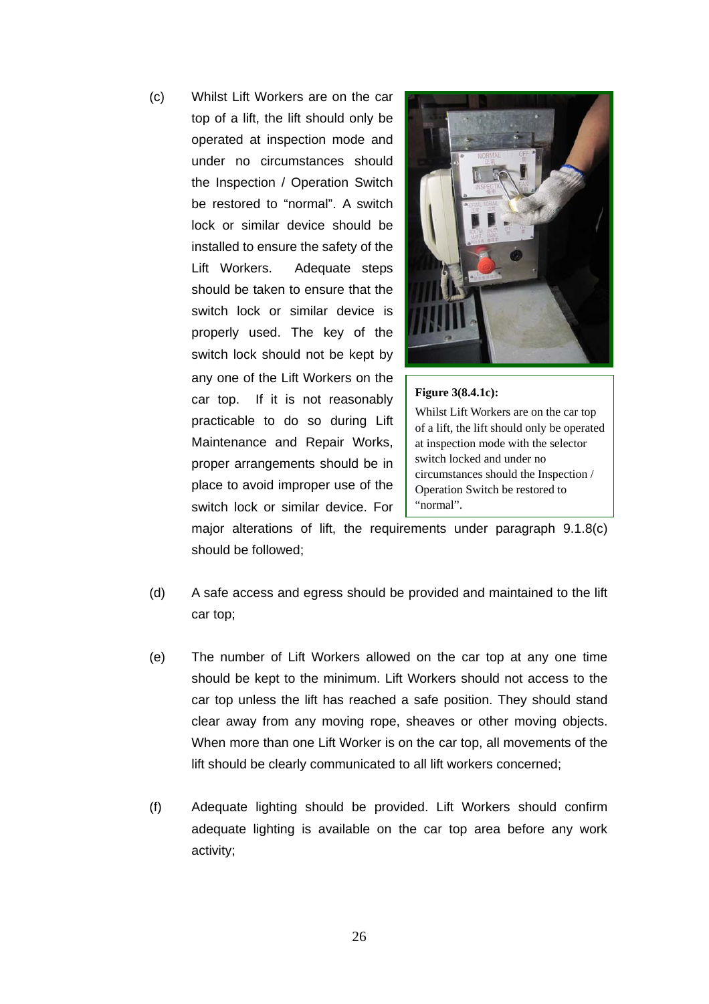(c) Whilst Lift Workers are on the car top of a lift, the lift should only be operated at inspection mode and under no circumstances should the Inspection / Operation Switch be restored to "normal". A switch lock or similar device should be installed to ensure the safety of the Lift Workers. Adequate steps should be taken to ensure that the switch lock or similar device is properly used. The key of the switch lock should not be kept by any one of the Lift Workers on the car top. If it is not reasonably practicable to do so during Lift Maintenance and Repair Works, proper arrangements should be in place to avoid improper use of the switch lock or similar device. For



#### **Figure 3(8.4.1c):**

Whilst Lift Workers are on the car top of a lift, the lift should only be operated at inspection mode with the selector switch locked and under no circumstances should the Inspection / Operation Switch be restored to "normal".

major alterations of lift, the requirements under paragraph 9.1.8(c) should be followed;

- (d) A safe access and egress should be provided and maintained to the lift car top;
- (e) The number of Lift Workers allowed on the car top at any one time should be kept to the minimum. Lift Workers should not access to the car top unless the lift has reached a safe position. They should stand clear away from any moving rope, sheaves or other moving objects. When more than one Lift Worker is on the car top, all movements of the lift should be clearly communicated to all lift workers concerned;
- (f) Adequate lighting should be provided. Lift Workers should confirm adequate lighting is available on the car top area before any work activity;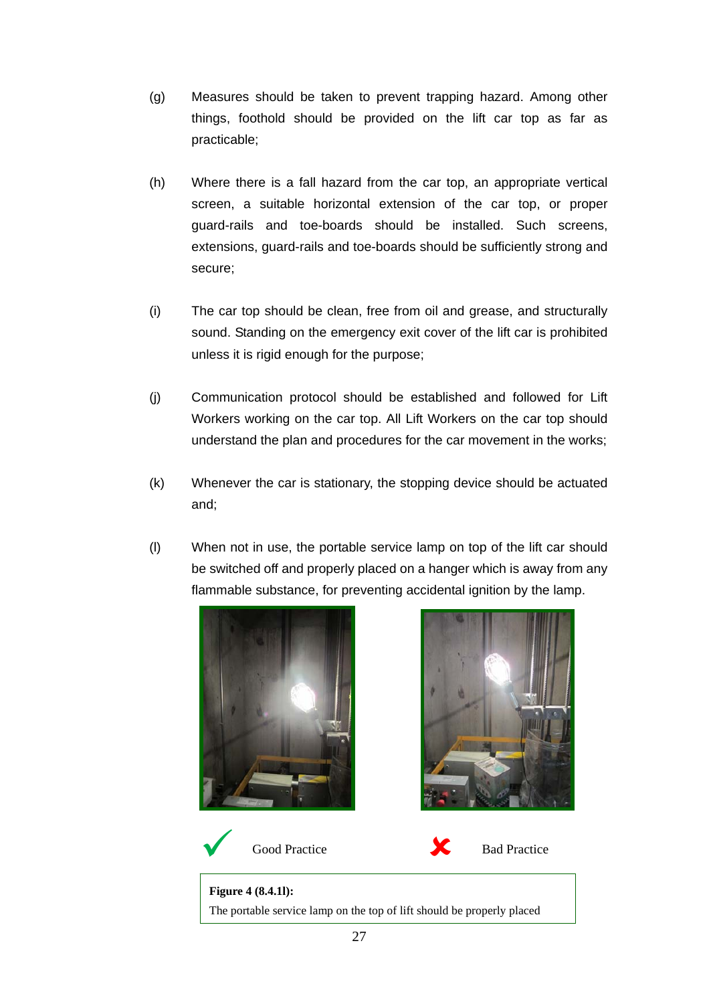- (g) Measures should be taken to prevent trapping hazard. Among other things, foothold should be provided on the lift car top as far as practicable;
- (h) Where there is a fall hazard from the car top, an appropriate vertical screen, a suitable horizontal extension of the car top, or proper guard-rails and toe-boards should be installed. Such screens, extensions, guard-rails and toe-boards should be sufficiently strong and secure;
- (i) The car top should be clean, free from oil and grease, and structurally sound. Standing on the emergency exit cover of the lift car is prohibited unless it is rigid enough for the purpose;
- (j) Communication protocol should be established and followed for Lift Workers working on the car top. All Lift Workers on the car top should understand the plan and procedures for the car movement in the works;
- (k) Whenever the car is stationary, the stopping device should be actuated and;
- (l) When not in use, the portable service lamp on top of the lift car should be switched off and properly placed on a hanger which is away from any flammable substance, for preventing accidental ignition by the lamp.









Good Practice Bad Practice

**Figure 4 (8.4.1l):**  The portable service lamp on the top of lift should be properly placed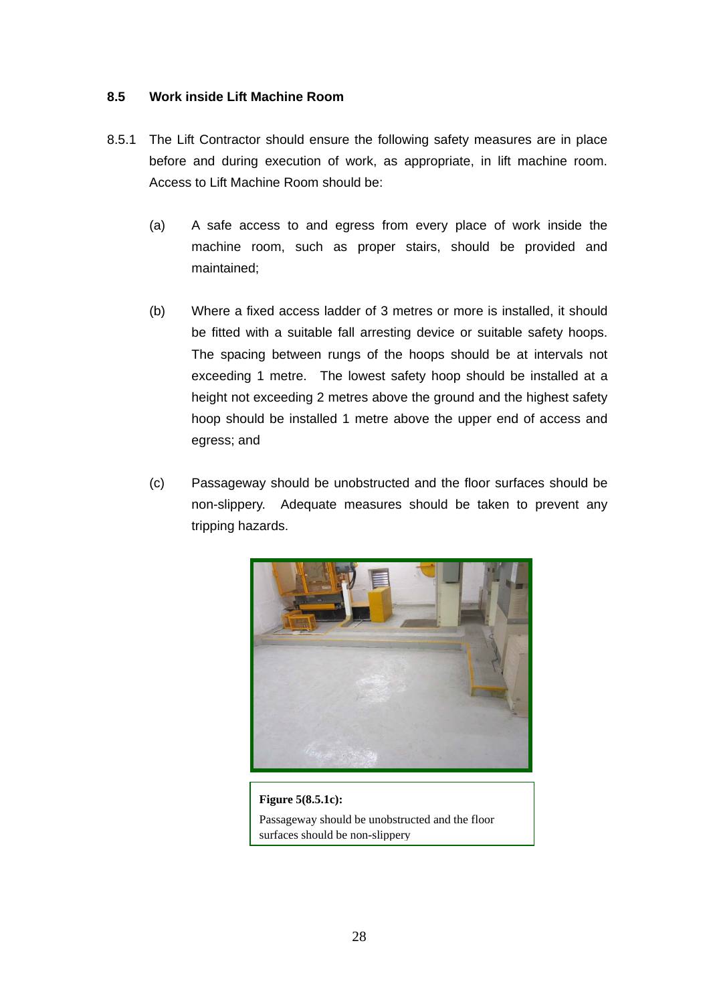#### **8.5 Work inside Lift Machine Room**

- 8.5.1 The Lift Contractor should ensure the following safety measures are in place before and during execution of work, as appropriate, in lift machine room. Access to Lift Machine Room should be:
	- (a) A safe access to and egress from every place of work inside the machine room, such as proper stairs, should be provided and maintained;
	- (b) Where a fixed access ladder of 3 metres or more is installed, it should be fitted with a suitable fall arresting device or suitable safety hoops. The spacing between rungs of the hoops should be at intervals not exceeding 1 metre. The lowest safety hoop should be installed at a height not exceeding 2 metres above the ground and the highest safety hoop should be installed 1 metre above the upper end of access and egress; and
	- (c) Passageway should be unobstructed and the floor surfaces should be non-slippery. Adequate measures should be taken to prevent any tripping hazards.



**Figure 5(8.5.1c):**  Passageway should be unobstructed and the floor surfaces should be non-slippery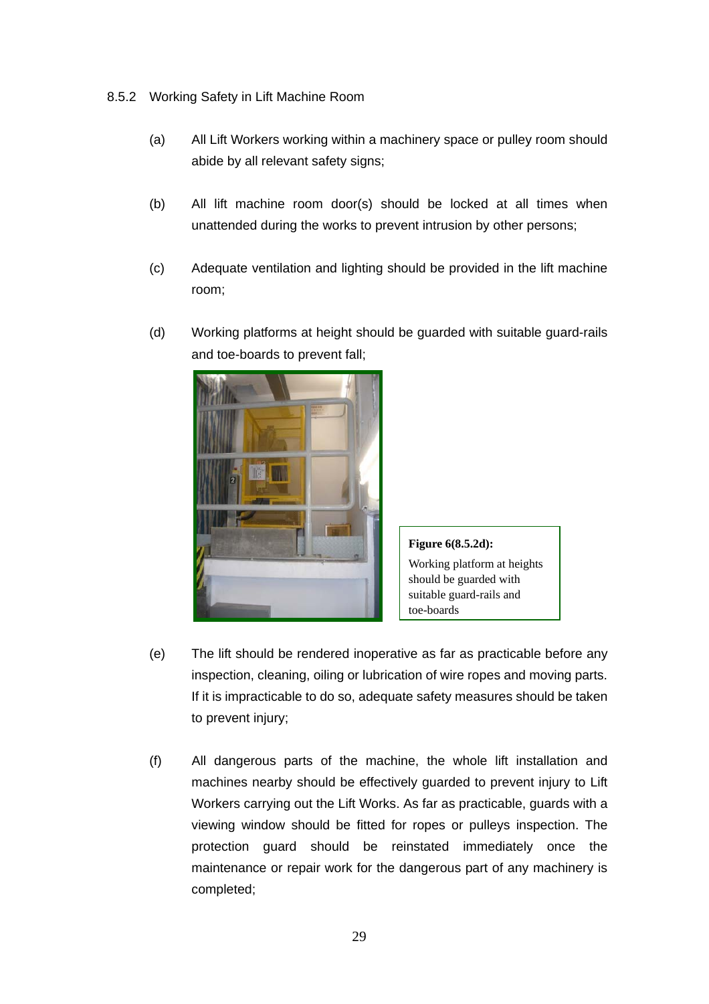- 8.5.2 Working Safety in Lift Machine Room
	- (a) All Lift Workers working within a machinery space or pulley room should abide by all relevant safety signs;
	- (b) All lift machine room door(s) should be locked at all times when unattended during the works to prevent intrusion by other persons;
	- (c) Adequate ventilation and lighting should be provided in the lift machine room;
	- (d) Working platforms at height should be guarded with suitable guard-rails and toe-boards to prevent fall;



**Figure 6(8.5.2d):**  Working platform at heights should be guarded with suitable guard-rails and toe-boards

- (e) The lift should be rendered inoperative as far as practicable before any inspection, cleaning, oiling or lubrication of wire ropes and moving parts. If it is impracticable to do so, adequate safety measures should be taken to prevent injury;
- (f) All dangerous parts of the machine, the whole lift installation and machines nearby should be effectively guarded to prevent injury to Lift Workers carrying out the Lift Works. As far as practicable, guards with a viewing window should be fitted for ropes or pulleys inspection. The protection guard should be reinstated immediately once the maintenance or repair work for the dangerous part of any machinery is completed;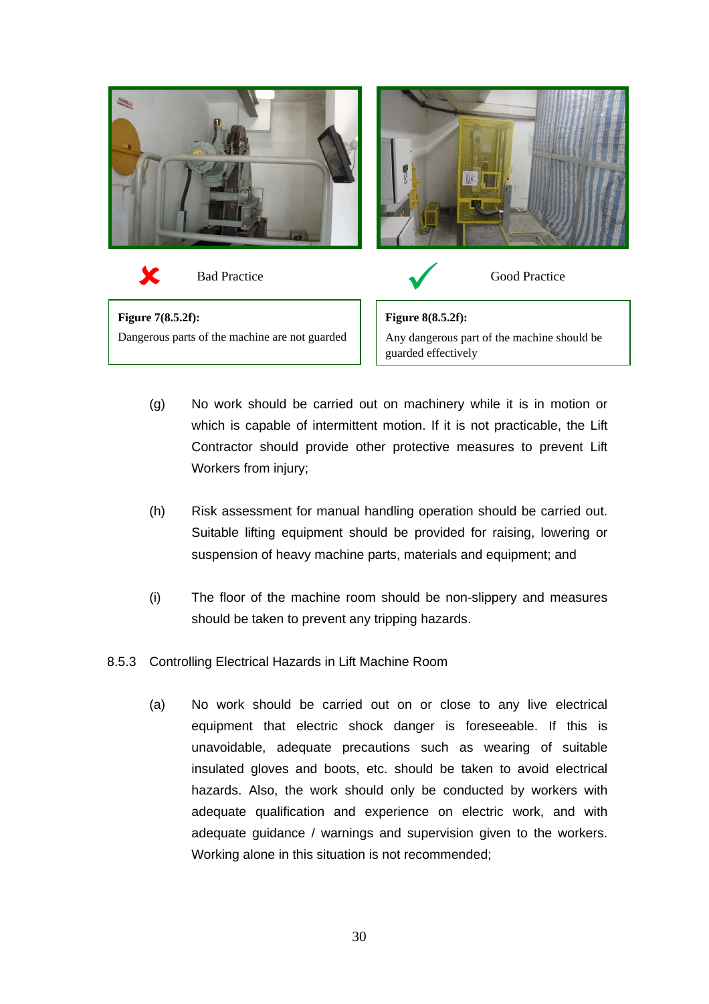

- (g) No work should be carried out on machinery while it is in motion or which is capable of intermittent motion. If it is not practicable, the Lift Contractor should provide other protective measures to prevent Lift Workers from injury;
- (h) Risk assessment for manual handling operation should be carried out. Suitable lifting equipment should be provided for raising, lowering or suspension of heavy machine parts, materials and equipment; and
- (i) The floor of the machine room should be non-slippery and measures should be taken to prevent any tripping hazards.
- 8.5.3 Controlling Electrical Hazards in Lift Machine Room
	- (a) No work should be carried out on or close to any live electrical equipment that electric shock danger is foreseeable. If this is unavoidable, adequate precautions such as wearing of suitable insulated gloves and boots, etc. should be taken to avoid electrical hazards. Also, the work should only be conducted by workers with adequate qualification and experience on electric work, and with adequate guidance / warnings and supervision given to the workers. Working alone in this situation is not recommended;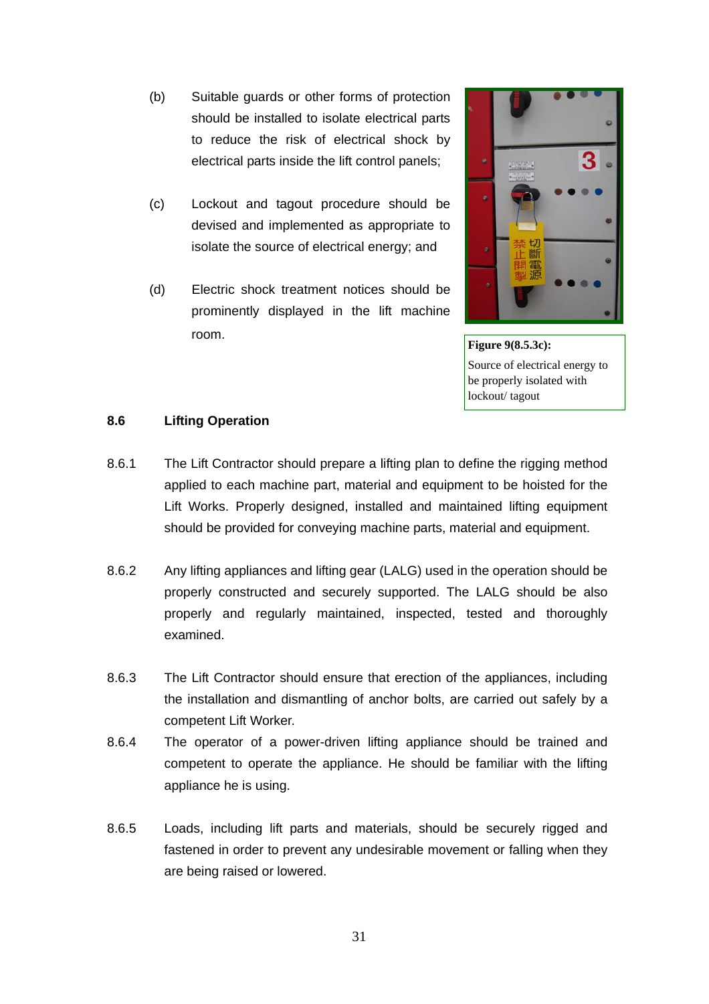- (b) Suitable guards or other forms of protection should be installed to isolate electrical parts to reduce the risk of electrical shock by electrical parts inside the lift control panels;
- (c) Lockout and tagout procedure should be devised and implemented as appropriate to isolate the source of electrical energy; and
- (d) Electric shock treatment notices should be prominently displayed in the lift machine room.



**Figure 9(8.5.3c):** Source of electrical energy to be properly isolated with lockout/ tagout

#### **8.6 Lifting Operation**

- 8.6.1 The Lift Contractor should prepare a lifting plan to define the rigging method applied to each machine part, material and equipment to be hoisted for the Lift Works. Properly designed, installed and maintained lifting equipment should be provided for conveying machine parts, material and equipment.
- 8.6.2 Any lifting appliances and lifting gear (LALG) used in the operation should be properly constructed and securely supported. The LALG should be also properly and regularly maintained, inspected, tested and thoroughly examined.
- 8.6.3 The Lift Contractor should ensure that erection of the appliances, including the installation and dismantling of anchor bolts, are carried out safely by a competent Lift Worker.
- 8.6.4 The operator of a power-driven lifting appliance should be trained and competent to operate the appliance. He should be familiar with the lifting appliance he is using.
- 8.6.5 Loads, including lift parts and materials, should be securely rigged and fastened in order to prevent any undesirable movement or falling when they are being raised or lowered.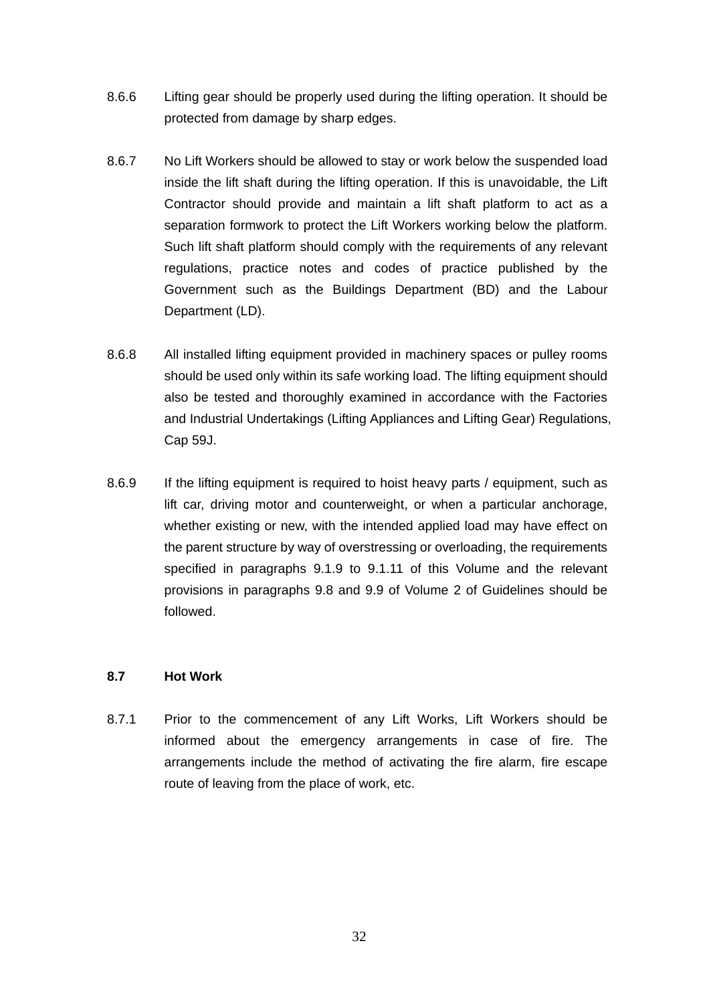- 8.6.6 Lifting gear should be properly used during the lifting operation. It should be protected from damage by sharp edges.
- 8.6.7 No Lift Workers should be allowed to stay or work below the suspended load inside the lift shaft during the lifting operation. If this is unavoidable, the Lift Contractor should provide and maintain a lift shaft platform to act as a separation formwork to protect the Lift Workers working below the platform. Such lift shaft platform should comply with the requirements of any relevant regulations, practice notes and codes of practice published by the Government such as the Buildings Department (BD) and the Labour Department (LD).
- 8.6.8 All installed lifting equipment provided in machinery spaces or pulley rooms should be used only within its safe working load. The lifting equipment should also be tested and thoroughly examined in accordance with the Factories and Industrial Undertakings (Lifting Appliances and Lifting Gear) Regulations, Cap 59J.
- 8.6.9 If the lifting equipment is required to hoist heavy parts / equipment, such as lift car, driving motor and counterweight, or when a particular anchorage, whether existing or new, with the intended applied load may have effect on the parent structure by way of overstressing or overloading, the requirements specified in paragraphs 9.1.9 to 9.1.11 of this Volume and the relevant provisions in paragraphs 9.8 and 9.9 of Volume 2 of Guidelines should be followed.

#### **8.7 Hot Work**

8.7.1 Prior to the commencement of any Lift Works, Lift Workers should be informed about the emergency arrangements in case of fire. The arrangements include the method of activating the fire alarm, fire escape route of leaving from the place of work, etc.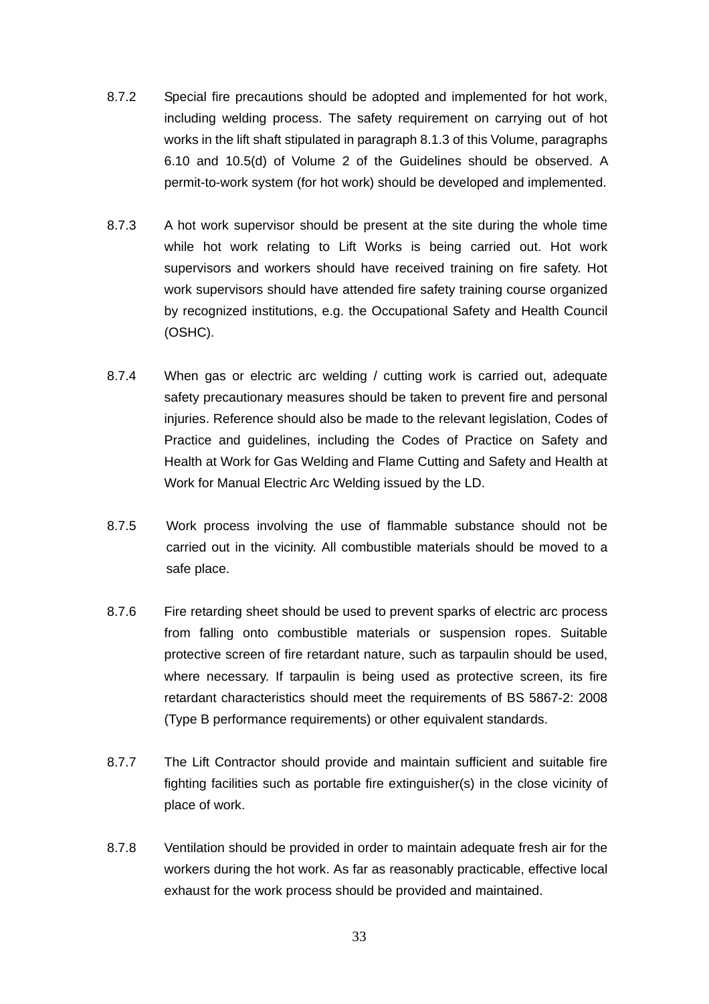- 8.7.2 Special fire precautions should be adopted and implemented for hot work, including welding process. The safety requirement on carrying out of hot works in the lift shaft stipulated in paragraph 8.1.3 of this Volume, paragraphs 6.10 and 10.5(d) of Volume 2 of the Guidelines should be observed. A permit-to-work system (for hot work) should be developed and implemented.
- 8.7.3 A hot work supervisor should be present at the site during the whole time while hot work relating to Lift Works is being carried out. Hot work supervisors and workers should have received training on fire safety. Hot work supervisors should have attended fire safety training course organized by recognized institutions, e.g. the Occupational Safety and Health Council (OSHC).
- 8.7.4 When gas or electric arc welding / cutting work is carried out, adequate safety precautionary measures should be taken to prevent fire and personal injuries. Reference should also be made to the relevant legislation, Codes of Practice and guidelines, including the Codes of Practice on Safety and Health at Work for Gas Welding and Flame Cutting and Safety and Health at Work for Manual Electric Arc Welding issued by the LD.
- 8.7.5 Work process involving the use of flammable substance should not be carried out in the vicinity. All combustible materials should be moved to a safe place.
- 8.7.6 Fire retarding sheet should be used to prevent sparks of electric arc process from falling onto combustible materials or suspension ropes. Suitable protective screen of fire retardant nature, such as tarpaulin should be used, where necessary. If tarpaulin is being used as protective screen, its fire retardant characteristics should meet the requirements of BS 5867-2: 2008 (Type B performance requirements) or other equivalent standards.
- 8.7.7 The Lift Contractor should provide and maintain sufficient and suitable fire fighting facilities such as portable fire extinguisher(s) in the close vicinity of place of work.
- 8.7.8 Ventilation should be provided in order to maintain adequate fresh air for the workers during the hot work. As far as reasonably practicable, effective local exhaust for the work process should be provided and maintained.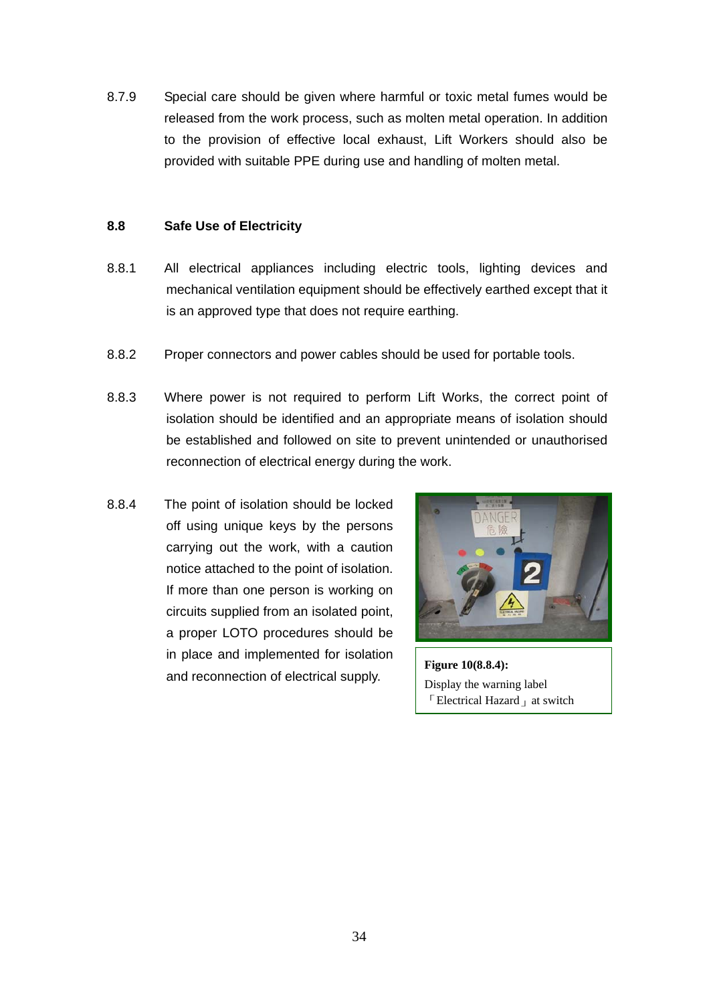8.7.9 Special care should be given where harmful or toxic metal fumes would be released from the work process, such as molten metal operation. In addition to the provision of effective local exhaust, Lift Workers should also be provided with suitable PPE during use and handling of molten metal.

#### **8.8 Safe Use of Electricity**

- 8.8.1 All electrical appliances including electric tools, lighting devices and mechanical ventilation equipment should be effectively earthed except that it is an approved type that does not require earthing.
- 8.8.2 Proper connectors and power cables should be used for portable tools.
- 8.8.3 Where power is not required to perform Lift Works, the correct point of isolation should be identified and an appropriate means of isolation should be established and followed on site to prevent unintended or unauthorised reconnection of electrical energy during the work.
- 8.8.4 The point of isolation should be locked off using unique keys by the persons carrying out the work, with a caution notice attached to the point of isolation. If more than one person is working on circuits supplied from an isolated point, a proper LOTO procedures should be in place and implemented for isolation and reconnection of electrical supply.



**Figure 10(8.8.4):**  Display the warning label  $\ulcorner$  Electrical Hazard  $\ulcorner$  at switch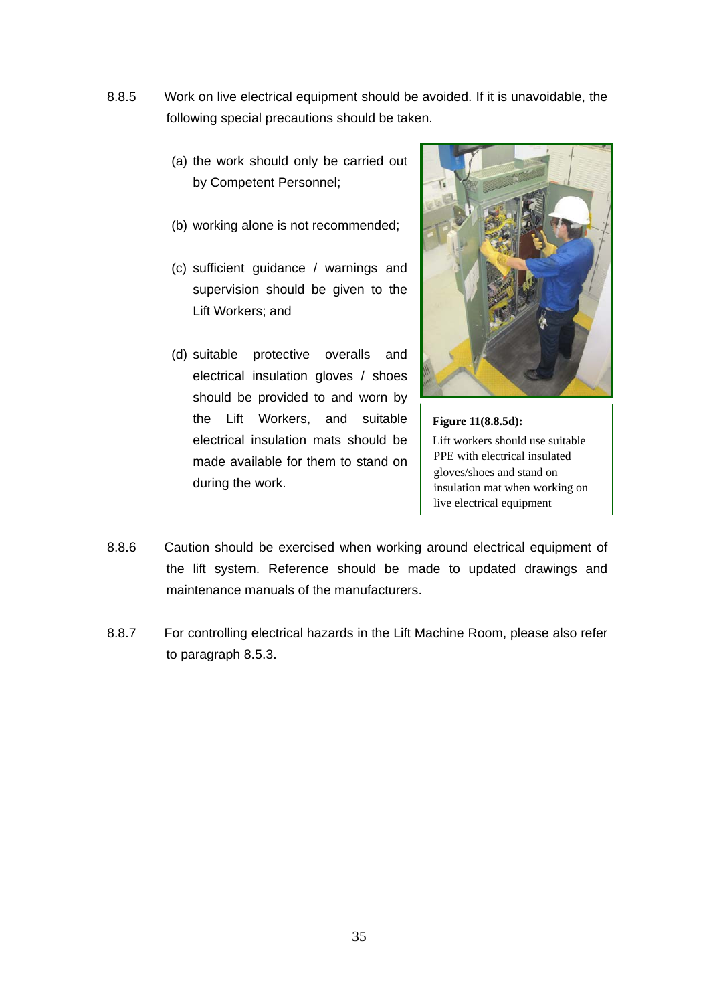- 8.8.5 Work on live electrical equipment should be avoided. If it is unavoidable, the following special precautions should be taken.
	- (a) the work should only be carried out by Competent Personnel;
	- (b) working alone is not recommended;
	- (c) sufficient guidance / warnings and supervision should be given to the Lift Workers; and
	- (d) suitable protective overalls and electrical insulation gloves / shoes should be provided to and worn by the Lift Workers, and suitable electrical insulation mats should be made available for them to stand on during the work.



**Figure 11(8.8.5d):**  Lift workers should use suitable PPE with electrical insulated gloves/shoes and stand on insulation mat when working on live electrical equipment

- 8.8.6 Caution should be exercised when working around electrical equipment of the lift system. Reference should be made to updated drawings and maintenance manuals of the manufacturers.
- 8.8.7 For controlling electrical hazards in the Lift Machine Room, please also refer to paragraph 8.5.3.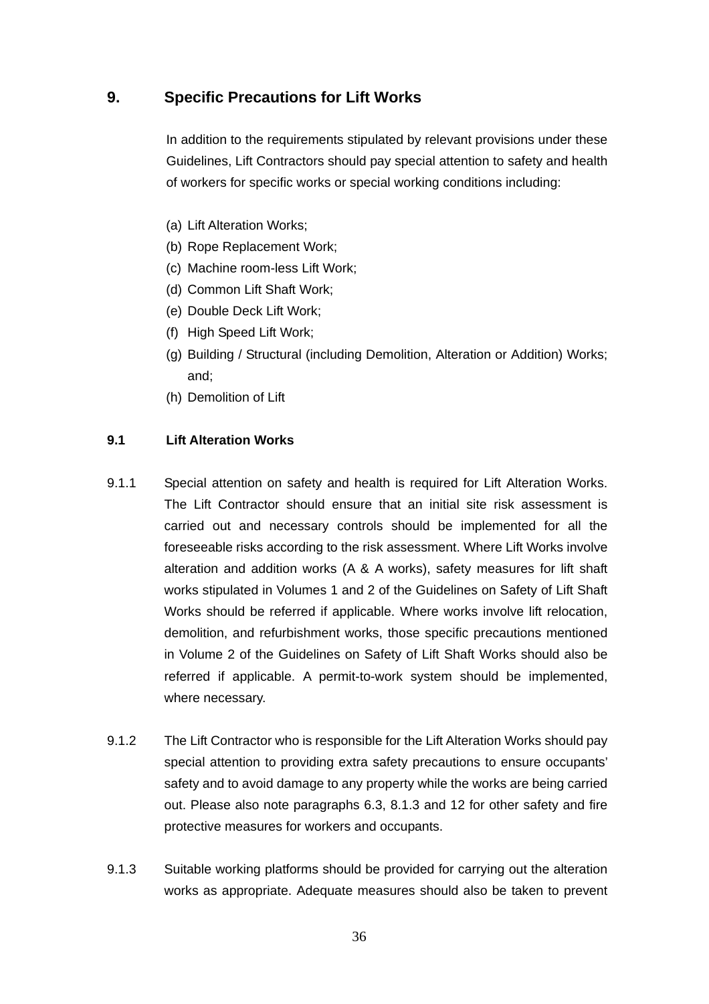# **9. Specific Precautions for Lift Works**

In addition to the requirements stipulated by relevant provisions under these Guidelines, Lift Contractors should pay special attention to safety and health of workers for specific works or special working conditions including:

- (a) Lift Alteration Works;
- (b) Rope Replacement Work;
- (c) Machine room-less Lift Work;
- (d) Common Lift Shaft Work;
- (e) Double Deck Lift Work;
- (f) High Speed Lift Work;
- (g) Building / Structural (including Demolition, Alteration or Addition) Works; and;
- (h) Demolition of Lift

#### **9.1 Lift Alteration Works**

- 9.1.1 Special attention on safety and health is required for Lift Alteration Works. The Lift Contractor should ensure that an initial site risk assessment is carried out and necessary controls should be implemented for all the foreseeable risks according to the risk assessment. Where Lift Works involve alteration and addition works (A & A works), safety measures for lift shaft works stipulated in Volumes 1 and 2 of the Guidelines on Safety of Lift Shaft Works should be referred if applicable. Where works involve lift relocation, demolition, and refurbishment works, those specific precautions mentioned in Volume 2 of the Guidelines on Safety of Lift Shaft Works should also be referred if applicable. A permit-to-work system should be implemented, where necessary.
- 9.1.2 The Lift Contractor who is responsible for the Lift Alteration Works should pay special attention to providing extra safety precautions to ensure occupants' safety and to avoid damage to any property while the works are being carried out. Please also note paragraphs 6.3, 8.1.3 and 12 for other safety and fire protective measures for workers and occupants.
- 9.1.3 Suitable working platforms should be provided for carrying out the alteration works as appropriate. Adequate measures should also be taken to prevent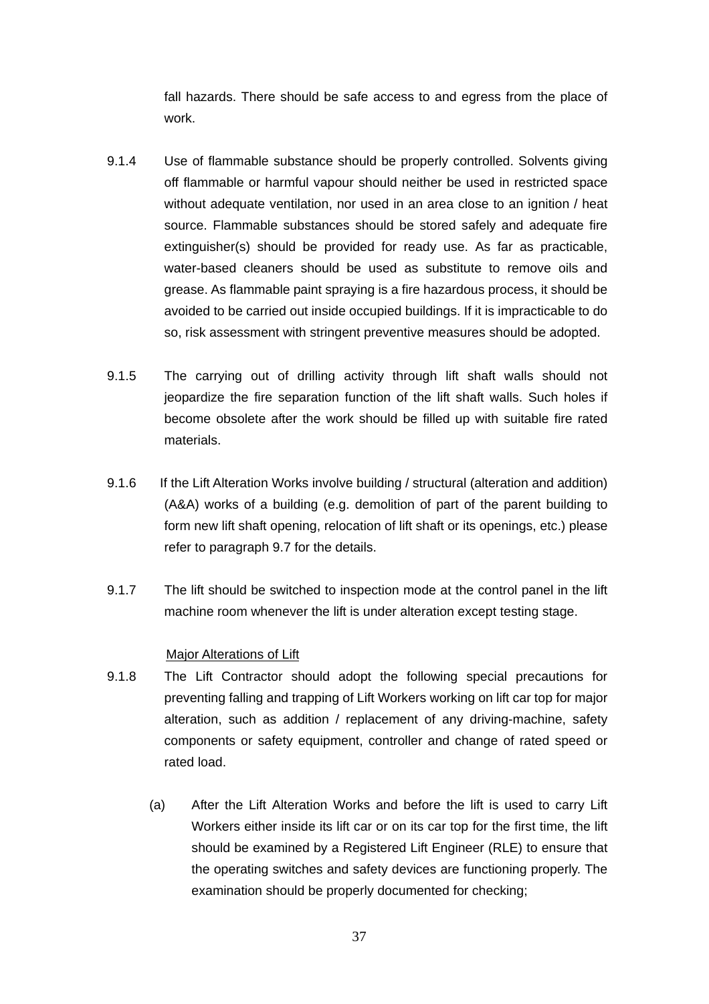fall hazards. There should be safe access to and egress from the place of work.

- 9.1.4 Use of flammable substance should be properly controlled. Solvents giving off flammable or harmful vapour should neither be used in restricted space without adequate ventilation, nor used in an area close to an ignition / heat source. Flammable substances should be stored safely and adequate fire extinguisher(s) should be provided for ready use. As far as practicable, water-based cleaners should be used as substitute to remove oils and grease. As flammable paint spraying is a fire hazardous process, it should be avoided to be carried out inside occupied buildings. If it is impracticable to do so, risk assessment with stringent preventive measures should be adopted.
- 9.1.5 The carrying out of drilling activity through lift shaft walls should not jeopardize the fire separation function of the lift shaft walls. Such holes if become obsolete after the work should be filled up with suitable fire rated materials.
- 9.1.6 If the Lift Alteration Works involve building / structural (alteration and addition) (A&A) works of a building (e.g. demolition of part of the parent building to form new lift shaft opening, relocation of lift shaft or its openings, etc.) please refer to paragraph 9.7 for the details.
- 9.1.7 The lift should be switched to inspection mode at the control panel in the lift machine room whenever the lift is under alteration except testing stage.

#### Major Alterations of Lift

- 9.1.8 The Lift Contractor should adopt the following special precautions for preventing falling and trapping of Lift Workers working on lift car top for major alteration, such as addition / replacement of any driving-machine, safety components or safety equipment, controller and change of rated speed or rated load.
	- (a) After the Lift Alteration Works and before the lift is used to carry Lift Workers either inside its lift car or on its car top for the first time, the lift should be examined by a Registered Lift Engineer (RLE) to ensure that the operating switches and safety devices are functioning properly. The examination should be properly documented for checking;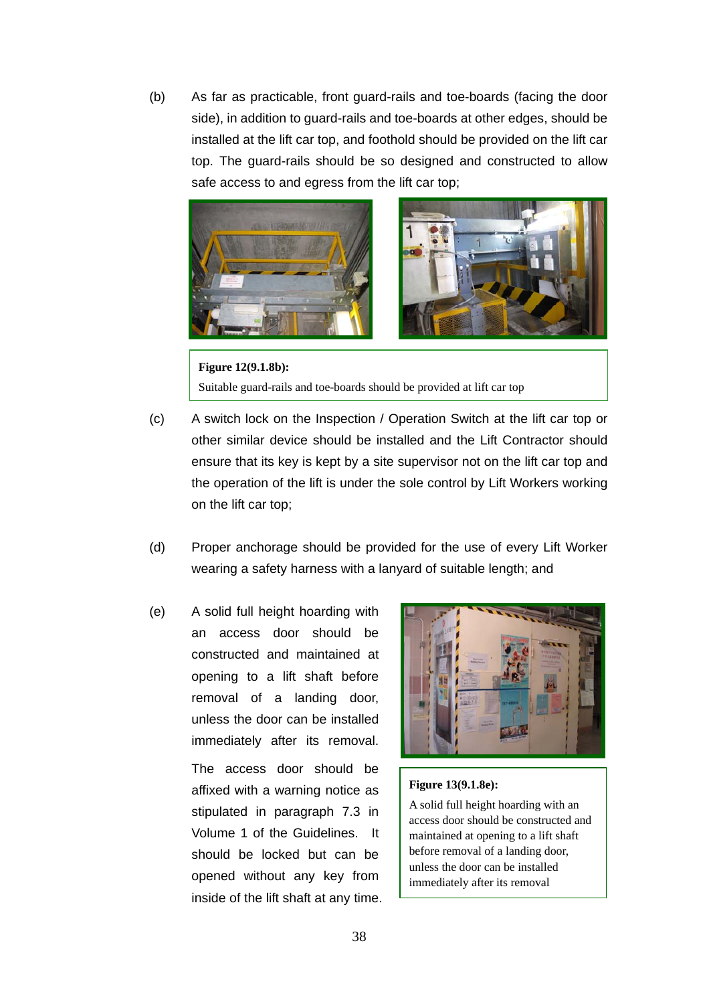(b) As far as practicable, front guard-rails and toe-boards (facing the door side), in addition to guard-rails and toe-boards at other edges, should be installed at the lift car top, and foothold should be provided on the lift car top. The guard-rails should be so designed and constructed to allow safe access to and egress from the lift car top;



**Figure 12(9.1.8b):**  Suitable guard-rails and toe-boards should be provided at lift car top

- (c) A switch lock on the Inspection / Operation Switch at the lift car top or other similar device should be installed and the Lift Contractor should ensure that its key is kept by a site supervisor not on the lift car top and the operation of the lift is under the sole control by Lift Workers working on the lift car top;
- (d) Proper anchorage should be provided for the use of every Lift Worker wearing a safety harness with a lanyard of suitable length; and
- (e) A solid full height hoarding with an access door should be constructed and maintained at opening to a lift shaft before removal of a landing door, unless the door can be installed immediately after its removal.

The access door should be affixed with a warning notice as stipulated in paragraph 7.3 in Volume 1 of the Guidelines. It should be locked but can be opened without any key from inside of the lift shaft at any time.



#### **Figure 13(9.1.8e):**

A solid full height hoarding with an access door should be constructed and maintained at opening to a lift shaft before removal of a landing door, unless the door can be installed immediately after its removal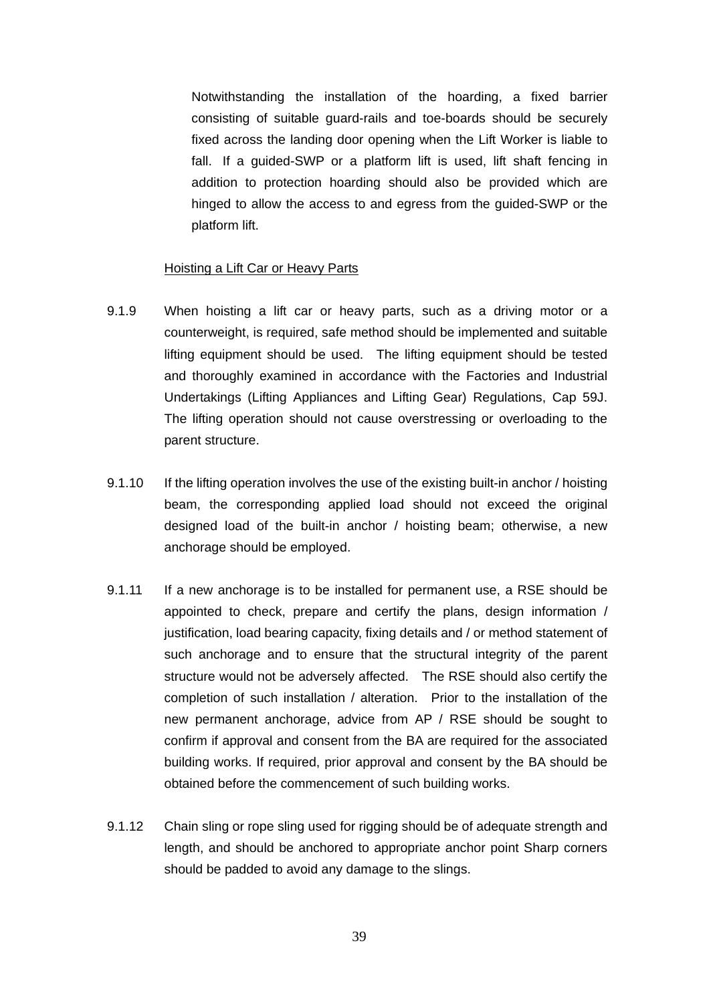Notwithstanding the installation of the hoarding, a fixed barrier consisting of suitable guard-rails and toe-boards should be securely fixed across the landing door opening when the Lift Worker is liable to fall. If a guided-SWP or a platform lift is used, lift shaft fencing in addition to protection hoarding should also be provided which are hinged to allow the access to and egress from the guided-SWP or the platform lift.

#### Hoisting a Lift Car or Heavy Parts

- 9.1.9 When hoisting a lift car or heavy parts, such as a driving motor or a counterweight, is required, safe method should be implemented and suitable lifting equipment should be used. The lifting equipment should be tested and thoroughly examined in accordance with the Factories and Industrial Undertakings (Lifting Appliances and Lifting Gear) Regulations, Cap 59J. The lifting operation should not cause overstressing or overloading to the parent structure.
- 9.1.10 If the lifting operation involves the use of the existing built-in anchor / hoisting beam, the corresponding applied load should not exceed the original designed load of the built-in anchor / hoisting beam; otherwise, a new anchorage should be employed.
- 9.1.11 If a new anchorage is to be installed for permanent use, a RSE should be appointed to check, prepare and certify the plans, design information / justification, load bearing capacity, fixing details and / or method statement of such anchorage and to ensure that the structural integrity of the parent structure would not be adversely affected. The RSE should also certify the completion of such installation / alteration. Prior to the installation of the new permanent anchorage, advice from AP / RSE should be sought to confirm if approval and consent from the BA are required for the associated building works. If required, prior approval and consent by the BA should be obtained before the commencement of such building works.
- 9.1.12 Chain sling or rope sling used for rigging should be of adequate strength and length, and should be anchored to appropriate anchor point Sharp corners should be padded to avoid any damage to the slings.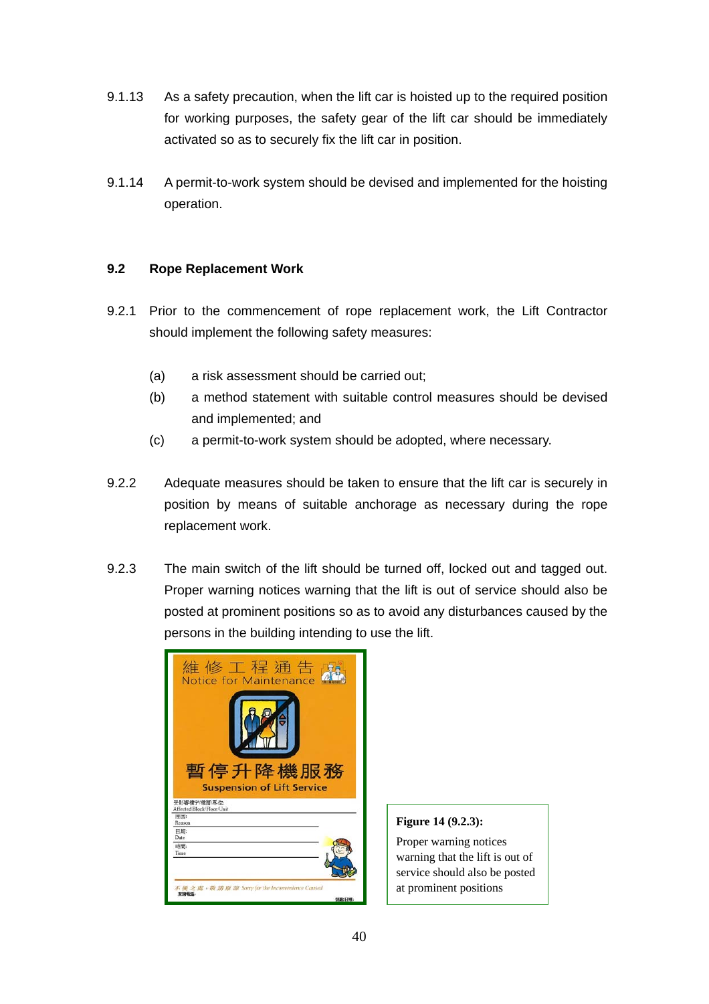- 9.1.13 As a safety precaution, when the lift car is hoisted up to the required position for working purposes, the safety gear of the lift car should be immediately activated so as to securely fix the lift car in position.
- 9.1.14 A permit-to-work system should be devised and implemented for the hoisting operation.

### **9.2 Rope Replacement Work**

- 9.2.1 Prior to the commencement of rope replacement work, the Lift Contractor should implement the following safety measures:
	- (a) a risk assessment should be carried out;
	- (b) a method statement with suitable control measures should be devised and implemented; and
	- (c) a permit-to-work system should be adopted, where necessary.
- 9.2.2 Adequate measures should be taken to ensure that the lift car is securely in position by means of suitable anchorage as necessary during the rope replacement work.
- 9.2.3 The main switch of the lift should be turned off, locked out and tagged out. Proper warning notices warning that the lift is out of service should also be posted at prominent positions so as to avoid any disturbances caused by the persons in the building intending to use the lift.

| 維 修 工 程 通 告<br>Notice for Maintenance                     |       |
|-----------------------------------------------------------|-------|
|                                                           |       |
| 暫停升降機服務<br><b>Suspension of Lift Service</b>              |       |
| 受影響樓宇/樓層/單位:<br>Affected Block Floor/Unit                 |       |
| 原因<br>Reason                                              |       |
| 日期:<br>Date                                               |       |
| 5本提行<br>Time                                              |       |
| 不便之處, 敬 請 原 諒 Sorry for the Inconvenience Cansed<br>查询报话: | 弧肽 日期 |

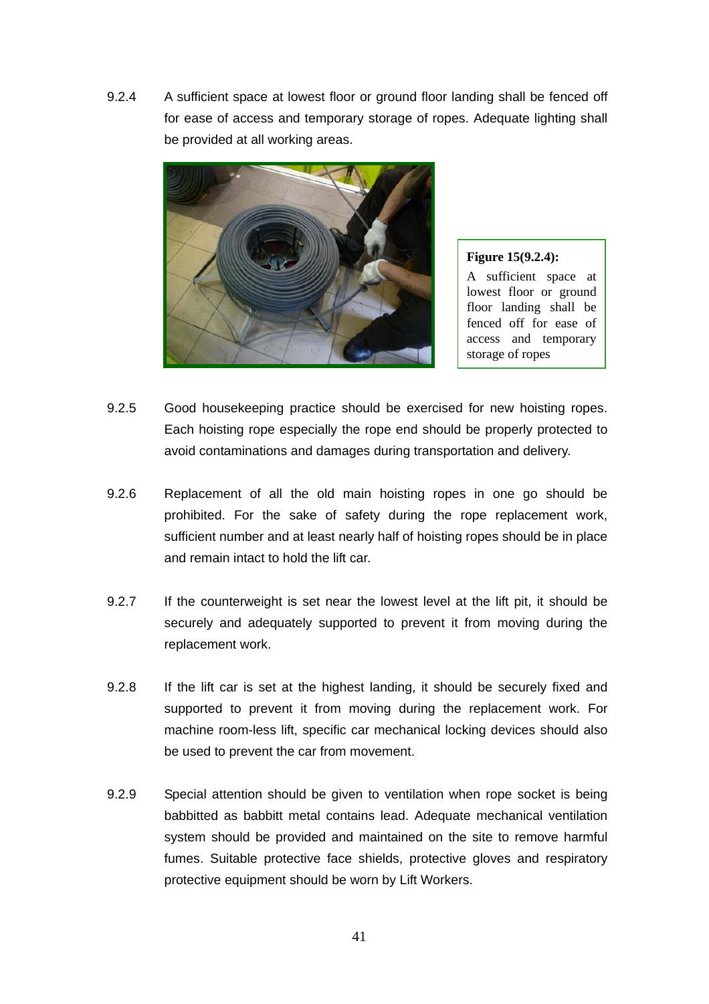9.2.4 A sufficient space at lowest floor or ground floor landing shall be fenced off for ease of access and temporary storage of ropes. Adequate lighting shall be provided at all working areas.



**Figure 15(9.2.4):**  A sufficient space at lowest floor or ground floor landing shall be fenced off for ease of access and temporary storage of ropes

- 9.2.5 Good housekeeping practice should be exercised for new hoisting ropes. Each hoisting rope especially the rope end should be properly protected to avoid contaminations and damages during transportation and delivery.
- 9.2.6 Replacement of all the old main hoisting ropes in one go should be prohibited. For the sake of safety during the rope replacement work, sufficient number and at least nearly half of hoisting ropes should be in place and remain intact to hold the lift car.
- 9.2.7 If the counterweight is set near the lowest level at the lift pit, it should be securely and adequately supported to prevent it from moving during the replacement work.
- 9.2.8 If the lift car is set at the highest landing, it should be securely fixed and supported to prevent it from moving during the replacement work. For machine room-less lift, specific car mechanical locking devices should also be used to prevent the car from movement.
- 9.2.9 Special attention should be given to ventilation when rope socket is being babbitted as babbitt metal contains lead. Adequate mechanical ventilation system should be provided and maintained on the site to remove harmful fumes. Suitable protective face shields, protective gloves and respiratory protective equipment should be worn by Lift Workers.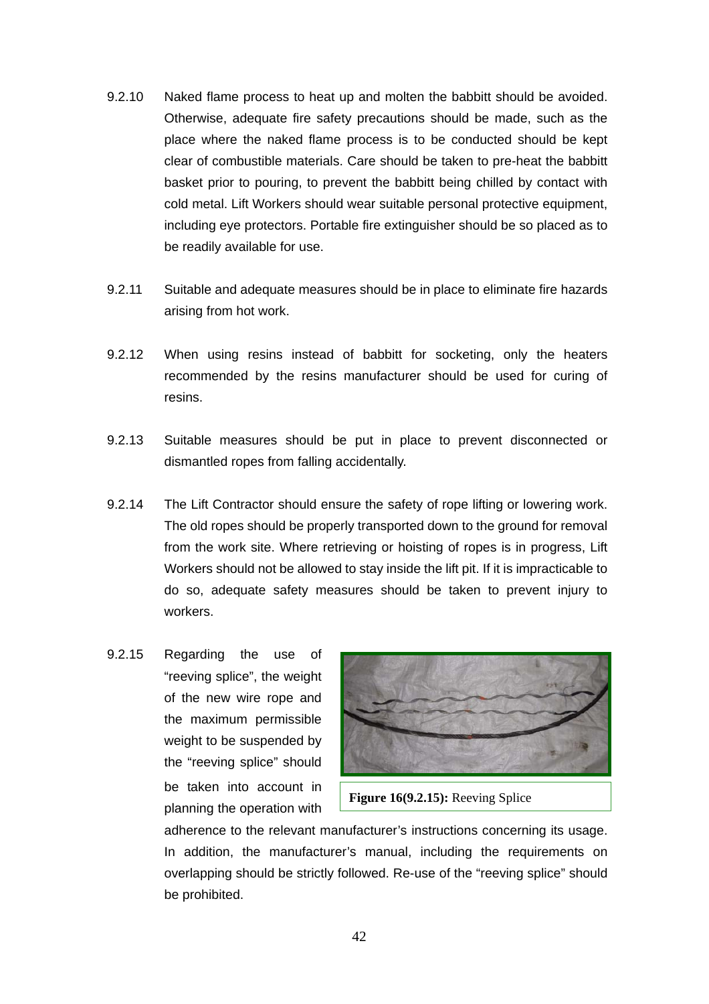- 9.2.10 Naked flame process to heat up and molten the babbitt should be avoided. Otherwise, adequate fire safety precautions should be made, such as the place where the naked flame process is to be conducted should be kept clear of combustible materials. Care should be taken to pre-heat the babbitt basket prior to pouring, to prevent the babbitt being chilled by contact with cold metal. Lift Workers should wear suitable personal protective equipment, including eye protectors. Portable fire extinguisher should be so placed as to be readily available for use.
- 9.2.11 Suitable and adequate measures should be in place to eliminate fire hazards arising from hot work.
- 9.2.12 When using resins instead of babbitt for socketing, only the heaters recommended by the resins manufacturer should be used for curing of resins.
- 9.2.13 Suitable measures should be put in place to prevent disconnected or dismantled ropes from falling accidentally.
- 9.2.14 The Lift Contractor should ensure the safety of rope lifting or lowering work. The old ropes should be properly transported down to the ground for removal from the work site. Where retrieving or hoisting of ropes is in progress, Lift Workers should not be allowed to stay inside the lift pit. If it is impracticable to do so, adequate safety measures should be taken to prevent injury to workers.
- 9.2.15 Regarding the use of "reeving splice", the weight of the new wire rope and the maximum permissible weight to be suspended by the "reeving splice" should be taken into account in planning the operation with



**Figure 16(9.2.15):** Reeving Splice

adherence to the relevant manufacturer's instructions concerning its usage. In addition, the manufacturer's manual, including the requirements on overlapping should be strictly followed. Re-use of the "reeving splice" should be prohibited.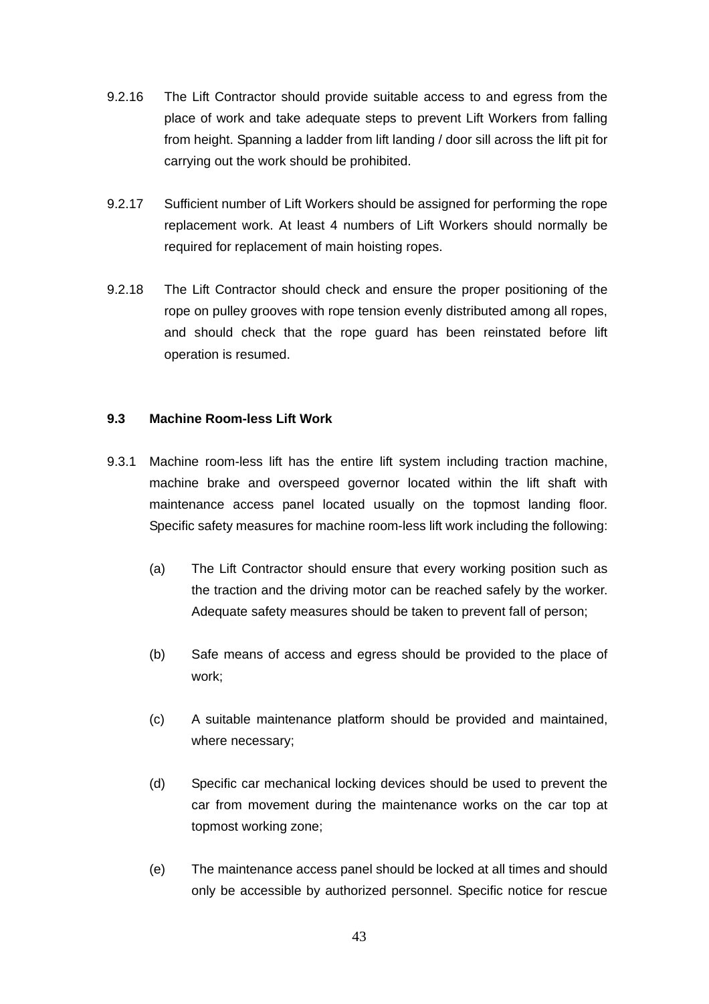- 9.2.16 The Lift Contractor should provide suitable access to and egress from the place of work and take adequate steps to prevent Lift Workers from falling from height. Spanning a ladder from lift landing / door sill across the lift pit for carrying out the work should be prohibited.
- 9.2.17 Sufficient number of Lift Workers should be assigned for performing the rope replacement work. At least 4 numbers of Lift Workers should normally be required for replacement of main hoisting ropes.
- 9.2.18 The Lift Contractor should check and ensure the proper positioning of the rope on pulley grooves with rope tension evenly distributed among all ropes, and should check that the rope guard has been reinstated before lift operation is resumed.

#### **9.3 Machine Room-less Lift Work**

- 9.3.1 Machine room-less lift has the entire lift system including traction machine, machine brake and overspeed governor located within the lift shaft with maintenance access panel located usually on the topmost landing floor. Specific safety measures for machine room-less lift work including the following:
	- (a) The Lift Contractor should ensure that every working position such as the traction and the driving motor can be reached safely by the worker. Adequate safety measures should be taken to prevent fall of person;
	- (b) Safe means of access and egress should be provided to the place of work;
	- (c) A suitable maintenance platform should be provided and maintained, where necessary;
	- (d) Specific car mechanical locking devices should be used to prevent the car from movement during the maintenance works on the car top at topmost working zone;
	- (e) The maintenance access panel should be locked at all times and should only be accessible by authorized personnel. Specific notice for rescue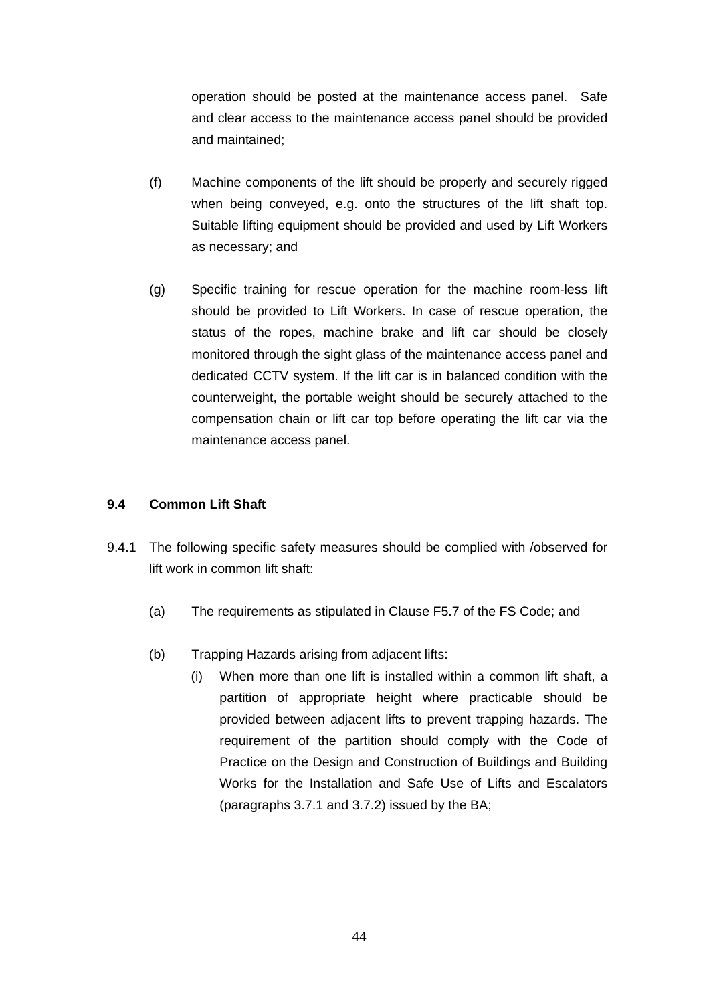operation should be posted at the maintenance access panel. Safe and clear access to the maintenance access panel should be provided and maintained;

- (f) Machine components of the lift should be properly and securely rigged when being conveved, e.g. onto the structures of the lift shaft top. Suitable lifting equipment should be provided and used by Lift Workers as necessary; and
- (g) Specific training for rescue operation for the machine room-less lift should be provided to Lift Workers. In case of rescue operation, the status of the ropes, machine brake and lift car should be closely monitored through the sight glass of the maintenance access panel and dedicated CCTV system. If the lift car is in balanced condition with the counterweight, the portable weight should be securely attached to the compensation chain or lift car top before operating the lift car via the maintenance access panel.

#### **9.4 Common Lift Shaft**

- 9.4.1 The following specific safety measures should be complied with /observed for lift work in common lift shaft:
	- (a) The requirements as stipulated in Clause F5.7 of the FS Code; and
	- (b) Trapping Hazards arising from adjacent lifts:
		- (i) When more than one lift is installed within a common lift shaft, a partition of appropriate height where practicable should be provided between adjacent lifts to prevent trapping hazards. The requirement of the partition should comply with the Code of Practice on the Design and Construction of Buildings and Building Works for the Installation and Safe Use of Lifts and Escalators (paragraphs 3.7.1 and 3.7.2) issued by the BA;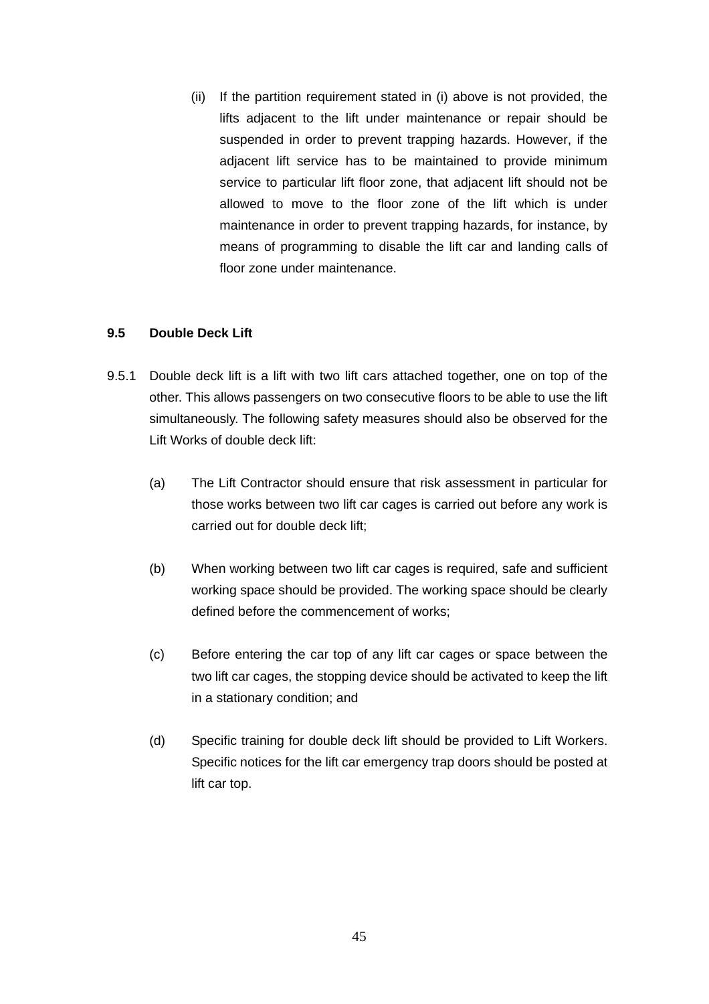(ii) If the partition requirement stated in (i) above is not provided, the lifts adjacent to the lift under maintenance or repair should be suspended in order to prevent trapping hazards. However, if the adjacent lift service has to be maintained to provide minimum service to particular lift floor zone, that adjacent lift should not be allowed to move to the floor zone of the lift which is under maintenance in order to prevent trapping hazards, for instance, by means of programming to disable the lift car and landing calls of floor zone under maintenance.

#### **9.5 Double Deck Lift**

- 9.5.1 Double deck lift is a lift with two lift cars attached together, one on top of the other. This allows passengers on two consecutive floors to be able to use the lift simultaneously. The following safety measures should also be observed for the Lift Works of double deck lift:
	- (a) The Lift Contractor should ensure that risk assessment in particular for those works between two lift car cages is carried out before any work is carried out for double deck lift;
	- (b) When working between two lift car cages is required, safe and sufficient working space should be provided. The working space should be clearly defined before the commencement of works;
	- (c) Before entering the car top of any lift car cages or space between the two lift car cages, the stopping device should be activated to keep the lift in a stationary condition; and
	- (d) Specific training for double deck lift should be provided to Lift Workers. Specific notices for the lift car emergency trap doors should be posted at lift car top.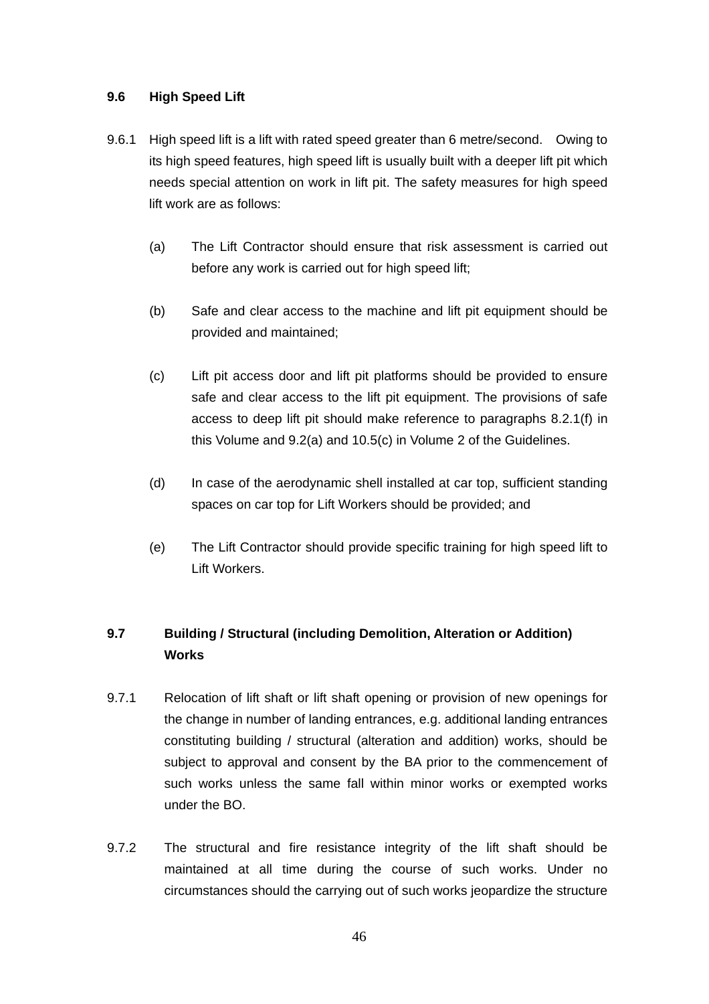#### **9.6 High Speed Lift**

- 9.6.1 High speed lift is a lift with rated speed greater than 6 metre/second. Owing to its high speed features, high speed lift is usually built with a deeper lift pit which needs special attention on work in lift pit. The safety measures for high speed lift work are as follows:
	- (a) The Lift Contractor should ensure that risk assessment is carried out before any work is carried out for high speed lift:
	- (b) Safe and clear access to the machine and lift pit equipment should be provided and maintained;
	- (c) Lift pit access door and lift pit platforms should be provided to ensure safe and clear access to the lift pit equipment. The provisions of safe access to deep lift pit should make reference to paragraphs 8.2.1(f) in this Volume and 9.2(a) and 10.5(c) in Volume 2 of the Guidelines.
	- (d) In case of the aerodynamic shell installed at car top, sufficient standing spaces on car top for Lift Workers should be provided; and
	- (e) The Lift Contractor should provide specific training for high speed lift to Lift Workers.

## **9.7 Building / Structural (including Demolition, Alteration or Addition) Works**

- 9.7.1 Relocation of lift shaft or lift shaft opening or provision of new openings for the change in number of landing entrances, e.g. additional landing entrances constituting building / structural (alteration and addition) works, should be subject to approval and consent by the BA prior to the commencement of such works unless the same fall within minor works or exempted works under the BO.
- 9.7.2 The structural and fire resistance integrity of the lift shaft should be maintained at all time during the course of such works. Under no circumstances should the carrying out of such works jeopardize the structure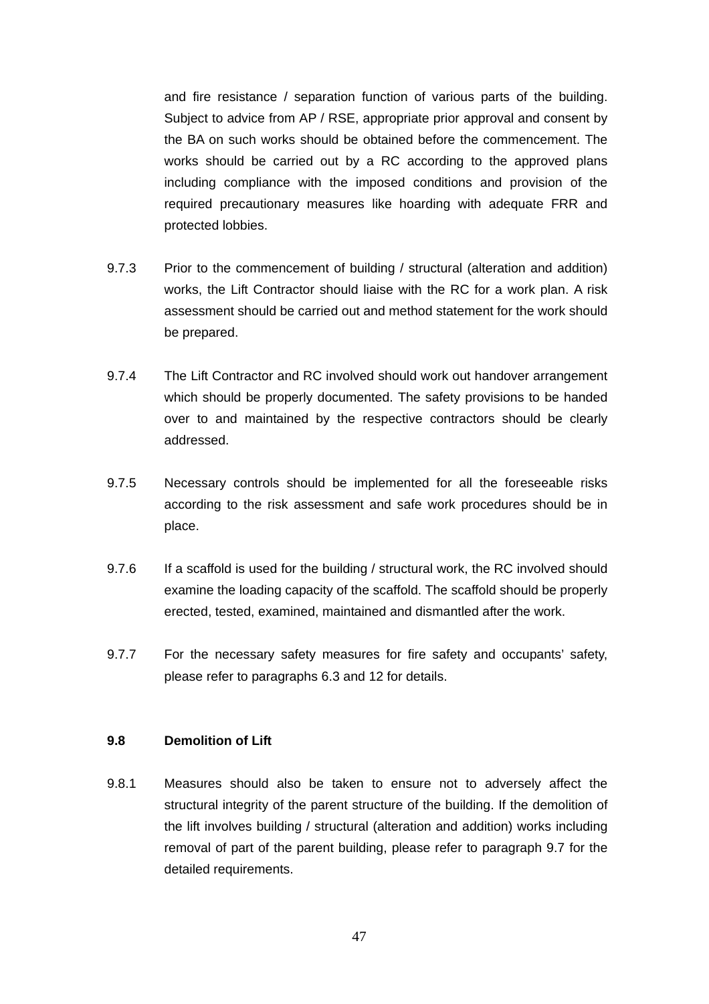and fire resistance / separation function of various parts of the building. Subject to advice from AP / RSE, appropriate prior approval and consent by the BA on such works should be obtained before the commencement. The works should be carried out by a RC according to the approved plans including compliance with the imposed conditions and provision of the required precautionary measures like hoarding with adequate FRR and protected lobbies.

- 9.7.3 Prior to the commencement of building / structural (alteration and addition) works, the Lift Contractor should liaise with the RC for a work plan. A risk assessment should be carried out and method statement for the work should be prepared.
- 9.7.4 The Lift Contractor and RC involved should work out handover arrangement which should be properly documented. The safety provisions to be handed over to and maintained by the respective contractors should be clearly addressed.
- 9.7.5 Necessary controls should be implemented for all the foreseeable risks according to the risk assessment and safe work procedures should be in place.
- 9.7.6 If a scaffold is used for the building / structural work, the RC involved should examine the loading capacity of the scaffold. The scaffold should be properly erected, tested, examined, maintained and dismantled after the work.
- 9.7.7 For the necessary safety measures for fire safety and occupants' safety, please refer to paragraphs 6.3 and 12 for details.

#### **9.8 Demolition of Lift**

9.8.1 Measures should also be taken to ensure not to adversely affect the structural integrity of the parent structure of the building. If the demolition of the lift involves building / structural (alteration and addition) works including removal of part of the parent building, please refer to paragraph 9.7 for the detailed requirements.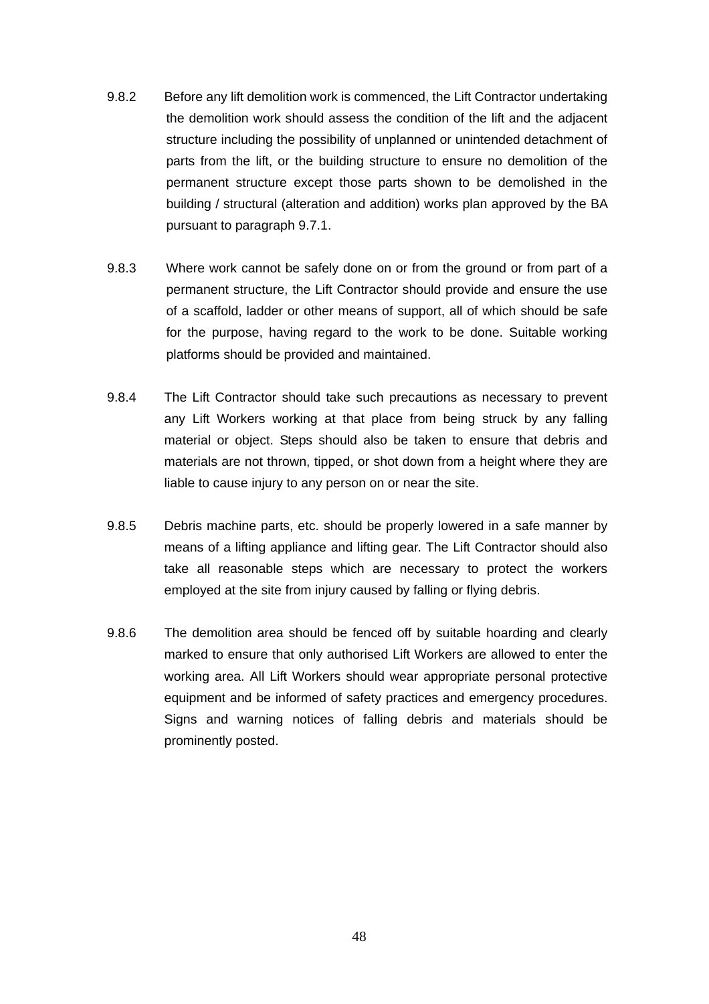- 9.8.2 Before any lift demolition work is commenced, the Lift Contractor undertaking the demolition work should assess the condition of the lift and the adjacent structure including the possibility of unplanned or unintended detachment of parts from the lift, or the building structure to ensure no demolition of the permanent structure except those parts shown to be demolished in the building / structural (alteration and addition) works plan approved by the BA pursuant to paragraph 9.7.1.
- 9.8.3 Where work cannot be safely done on or from the ground or from part of a permanent structure, the Lift Contractor should provide and ensure the use of a scaffold, ladder or other means of support, all of which should be safe for the purpose, having regard to the work to be done. Suitable working platforms should be provided and maintained.
- 9.8.4 The Lift Contractor should take such precautions as necessary to prevent any Lift Workers working at that place from being struck by any falling material or object. Steps should also be taken to ensure that debris and materials are not thrown, tipped, or shot down from a height where they are liable to cause injury to any person on or near the site.
- 9.8.5 Debris machine parts, etc. should be properly lowered in a safe manner by means of a lifting appliance and lifting gear. The Lift Contractor should also take all reasonable steps which are necessary to protect the workers employed at the site from injury caused by falling or flying debris.
- 9.8.6 The demolition area should be fenced off by suitable hoarding and clearly marked to ensure that only authorised Lift Workers are allowed to enter the working area. All Lift Workers should wear appropriate personal protective equipment and be informed of safety practices and emergency procedures. Signs and warning notices of falling debris and materials should be prominently posted.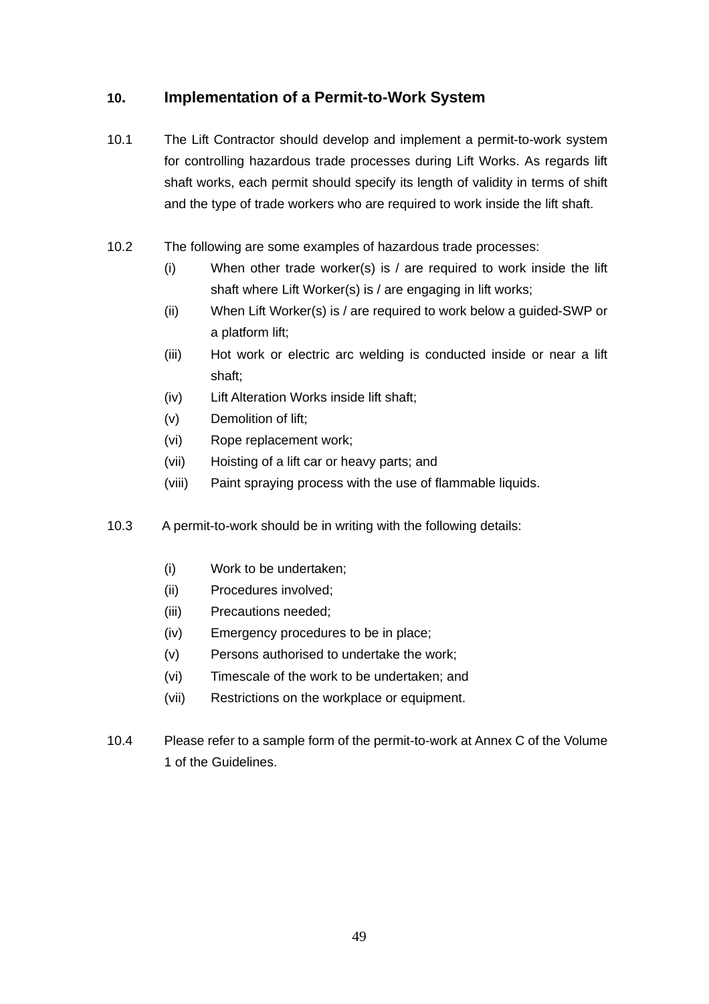## **10. Implementation of a Permit-to-Work System**

- 10.1 The Lift Contractor should develop and implement a permit-to-work system for controlling hazardous trade processes during Lift Works. As regards lift shaft works, each permit should specify its length of validity in terms of shift and the type of trade workers who are required to work inside the lift shaft.
- 10.2 The following are some examples of hazardous trade processes:
	- (i) When other trade worker(s) is / are required to work inside the lift shaft where Lift Worker(s) is / are engaging in lift works;
	- (ii) When Lift Worker(s) is / are required to work below a guided-SWP or a platform lift;
	- (iii) Hot work or electric arc welding is conducted inside or near a lift shaft;
	- (iv) Lift Alteration Works inside lift shaft;
	- (v) Demolition of lift;
	- (vi) Rope replacement work;
	- (vii) Hoisting of a lift car or heavy parts; and
	- (viii) Paint spraying process with the use of flammable liquids.
- 10.3 A permit-to-work should be in writing with the following details:
	- (i) Work to be undertaken;
	- (ii) Procedures involved;
	- (iii) Precautions needed;
	- (iv) Emergency procedures to be in place;
	- (v) Persons authorised to undertake the work;
	- (vi) Timescale of the work to be undertaken; and
	- (vii) Restrictions on the workplace or equipment.
- 10.4 Please refer to a sample form of the permit-to-work at Annex C of the Volume 1 of the Guidelines.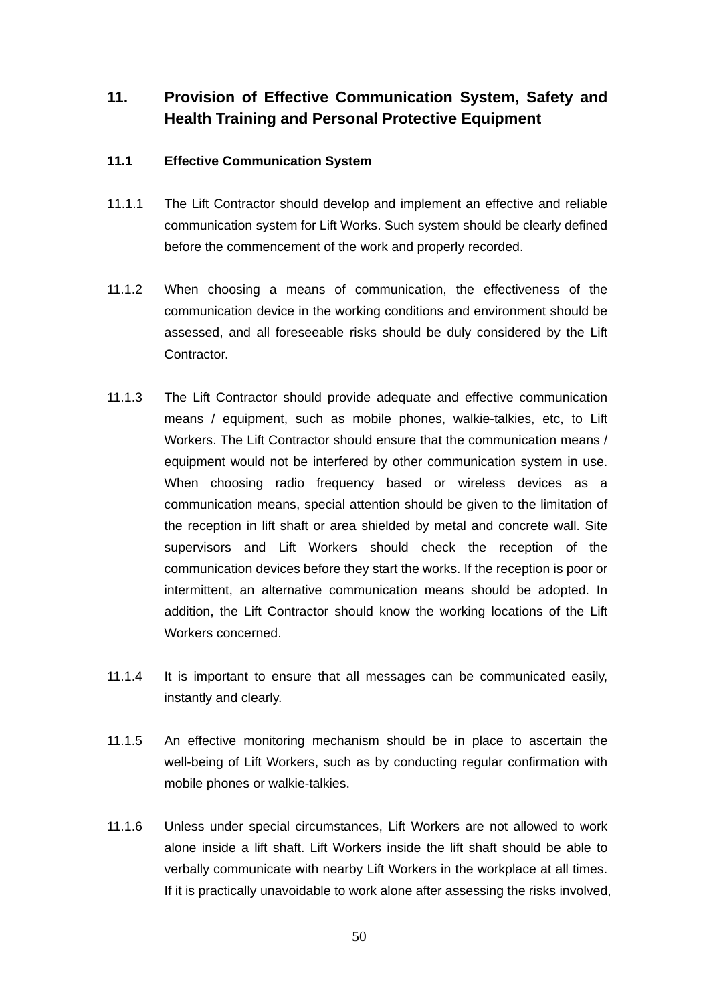# **11. Provision of Effective Communication System, Safety and Health Training and Personal Protective Equipment**

#### **11.1 Effective Communication System**

- 11.1.1 The Lift Contractor should develop and implement an effective and reliable communication system for Lift Works. Such system should be clearly defined before the commencement of the work and properly recorded.
- 11.1.2 When choosing a means of communication, the effectiveness of the communication device in the working conditions and environment should be assessed, and all foreseeable risks should be duly considered by the Lift Contractor.
- 11.1.3 The Lift Contractor should provide adequate and effective communication means / equipment, such as mobile phones, walkie-talkies, etc, to Lift Workers. The Lift Contractor should ensure that the communication means / equipment would not be interfered by other communication system in use. When choosing radio frequency based or wireless devices as a communication means, special attention should be given to the limitation of the reception in lift shaft or area shielded by metal and concrete wall. Site supervisors and Lift Workers should check the reception of the communication devices before they start the works. If the reception is poor or intermittent, an alternative communication means should be adopted. In addition, the Lift Contractor should know the working locations of the Lift Workers concerned.
- 11.1.4 It is important to ensure that all messages can be communicated easily, instantly and clearly.
- 11.1.5 An effective monitoring mechanism should be in place to ascertain the well-being of Lift Workers, such as by conducting regular confirmation with mobile phones or walkie-talkies.
- 11.1.6 Unless under special circumstances, Lift Workers are not allowed to work alone inside a lift shaft. Lift Workers inside the lift shaft should be able to verbally communicate with nearby Lift Workers in the workplace at all times. If it is practically unavoidable to work alone after assessing the risks involved,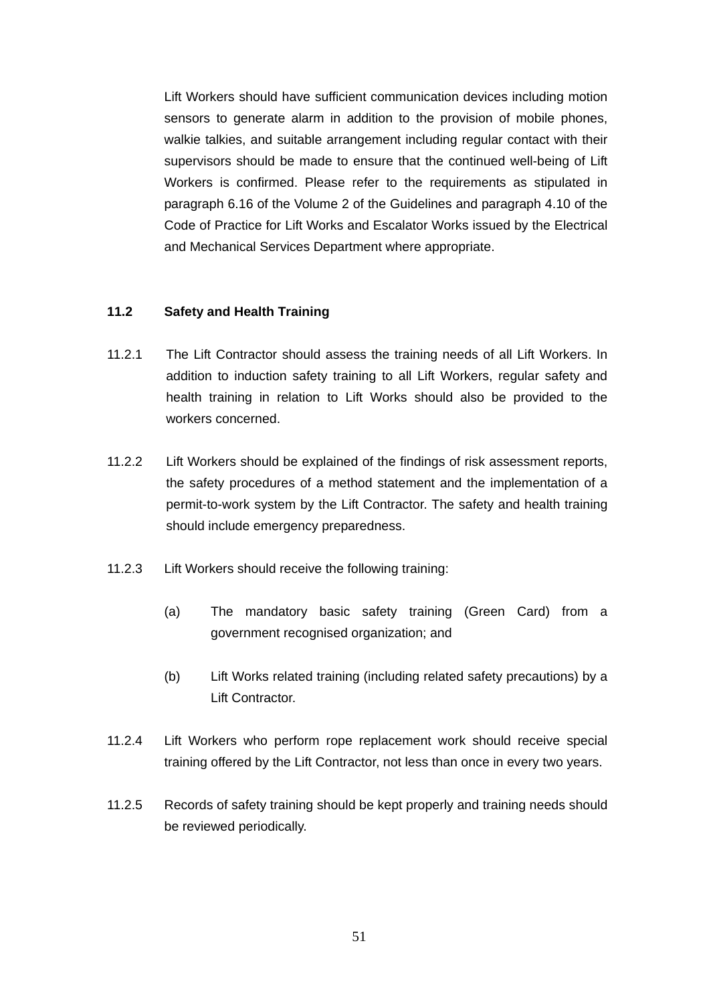Lift Workers should have sufficient communication devices including motion sensors to generate alarm in addition to the provision of mobile phones, walkie talkies, and suitable arrangement including regular contact with their supervisors should be made to ensure that the continued well-being of Lift Workers is confirmed. Please refer to the requirements as stipulated in paragraph 6.16 of the Volume 2 of the Guidelines and paragraph 4.10 of the Code of Practice for Lift Works and Escalator Works issued by the Electrical and Mechanical Services Department where appropriate.

#### **11.2 Safety and Health Training**

- 11.2.1 The Lift Contractor should assess the training needs of all Lift Workers. In addition to induction safety training to all Lift Workers, regular safety and health training in relation to Lift Works should also be provided to the workers concerned.
- 11.2.2 Lift Workers should be explained of the findings of risk assessment reports, the safety procedures of a method statement and the implementation of a permit-to-work system by the Lift Contractor. The safety and health training should include emergency preparedness.
- 11.2.3 Lift Workers should receive the following training:
	- (a) The mandatory basic safety training (Green Card) from a government recognised organization; and
	- (b) Lift Works related training (including related safety precautions) by a Lift Contractor.
- 11.2.4 Lift Workers who perform rope replacement work should receive special training offered by the Lift Contractor, not less than once in every two years.
- 11.2.5 Records of safety training should be kept properly and training needs should be reviewed periodically.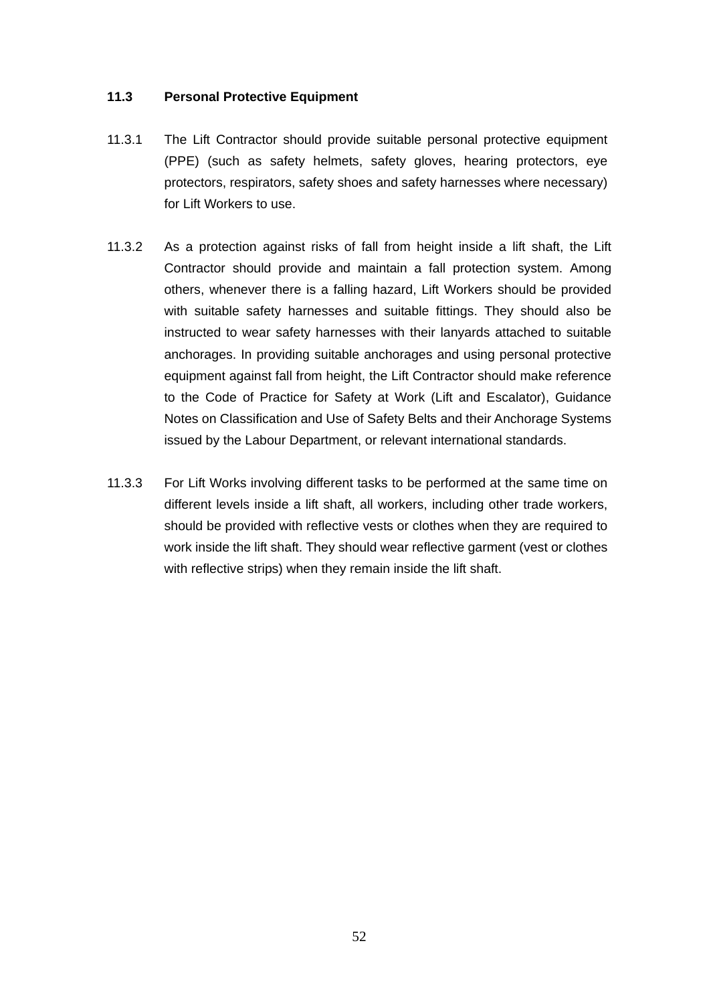### **11.3 Personal Protective Equipment**

- 11.3.1 The Lift Contractor should provide suitable personal protective equipment (PPE) (such as safety helmets, safety gloves, hearing protectors, eye protectors, respirators, safety shoes and safety harnesses where necessary) for Lift Workers to use.
- 11.3.2 As a protection against risks of fall from height inside a lift shaft, the Lift Contractor should provide and maintain a fall protection system. Among others, whenever there is a falling hazard, Lift Workers should be provided with suitable safety harnesses and suitable fittings. They should also be instructed to wear safety harnesses with their lanyards attached to suitable anchorages. In providing suitable anchorages and using personal protective equipment against fall from height, the Lift Contractor should make reference to the Code of Practice for Safety at Work (Lift and Escalator), Guidance Notes on Classification and Use of Safety Belts and their Anchorage Systems issued by the Labour Department, or relevant international standards.
- 11.3.3 For Lift Works involving different tasks to be performed at the same time on different levels inside a lift shaft, all workers, including other trade workers, should be provided with reflective vests or clothes when they are required to work inside the lift shaft. They should wear reflective garment (vest or clothes with reflective strips) when they remain inside the lift shaft.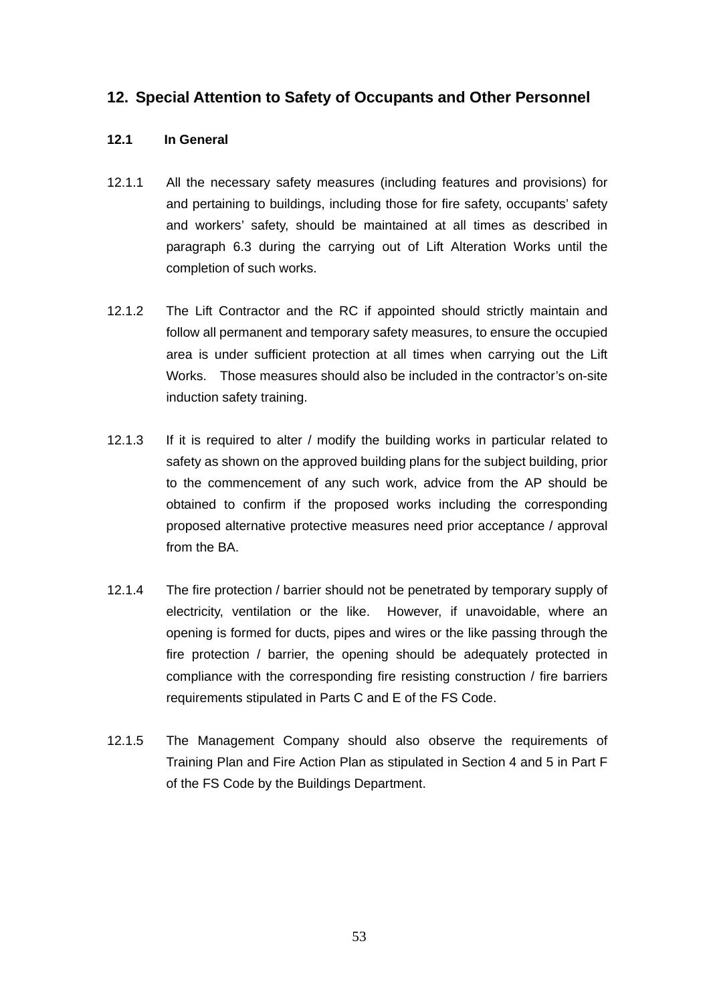## **12. Special Attention to Safety of Occupants and Other Personnel**

#### **12.1 In General**

- 12.1.1 All the necessary safety measures (including features and provisions) for and pertaining to buildings, including those for fire safety, occupants' safety and workers' safety, should be maintained at all times as described in paragraph 6.3 during the carrying out of Lift Alteration Works until the completion of such works.
- 12.1.2 The Lift Contractor and the RC if appointed should strictly maintain and follow all permanent and temporary safety measures, to ensure the occupied area is under sufficient protection at all times when carrying out the Lift Works. Those measures should also be included in the contractor's on-site induction safety training.
- 12.1.3 If it is required to alter / modify the building works in particular related to safety as shown on the approved building plans for the subject building, prior to the commencement of any such work, advice from the AP should be obtained to confirm if the proposed works including the corresponding proposed alternative protective measures need prior acceptance / approval from the BA.
- 12.1.4 The fire protection / barrier should not be penetrated by temporary supply of electricity, ventilation or the like. However, if unavoidable, where an opening is formed for ducts, pipes and wires or the like passing through the fire protection / barrier, the opening should be adequately protected in compliance with the corresponding fire resisting construction / fire barriers requirements stipulated in Parts C and E of the FS Code.
- 12.1.5 The Management Company should also observe the requirements of Training Plan and Fire Action Plan as stipulated in Section 4 and 5 in Part F of the FS Code by the Buildings Department.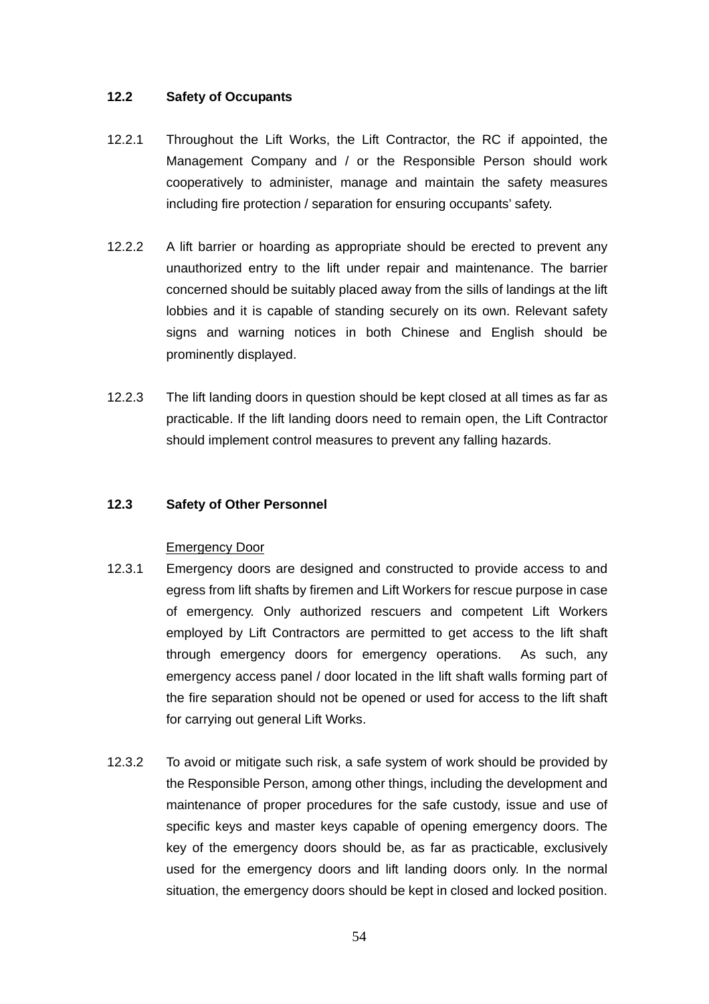#### **12.2 Safety of Occupants**

- 12.2.1 Throughout the Lift Works, the Lift Contractor, the RC if appointed, the Management Company and / or the Responsible Person should work cooperatively to administer, manage and maintain the safety measures including fire protection / separation for ensuring occupants' safety.
- 12.2.2 A lift barrier or hoarding as appropriate should be erected to prevent any unauthorized entry to the lift under repair and maintenance. The barrier concerned should be suitably placed away from the sills of landings at the lift lobbies and it is capable of standing securely on its own. Relevant safety signs and warning notices in both Chinese and English should be prominently displayed.
- 12.2.3 The lift landing doors in question should be kept closed at all times as far as practicable. If the lift landing doors need to remain open, the Lift Contractor should implement control measures to prevent any falling hazards.

#### **12.3 Safety of Other Personnel**

#### Emergency Door

- 12.3.1 Emergency doors are designed and constructed to provide access to and egress from lift shafts by firemen and Lift Workers for rescue purpose in case of emergency. Only authorized rescuers and competent Lift Workers employed by Lift Contractors are permitted to get access to the lift shaft through emergency doors for emergency operations. As such, any emergency access panel / door located in the lift shaft walls forming part of the fire separation should not be opened or used for access to the lift shaft for carrying out general Lift Works.
- 12.3.2 To avoid or mitigate such risk, a safe system of work should be provided by the Responsible Person, among other things, including the development and maintenance of proper procedures for the safe custody, issue and use of specific keys and master keys capable of opening emergency doors. The key of the emergency doors should be, as far as practicable, exclusively used for the emergency doors and lift landing doors only. In the normal situation, the emergency doors should be kept in closed and locked position.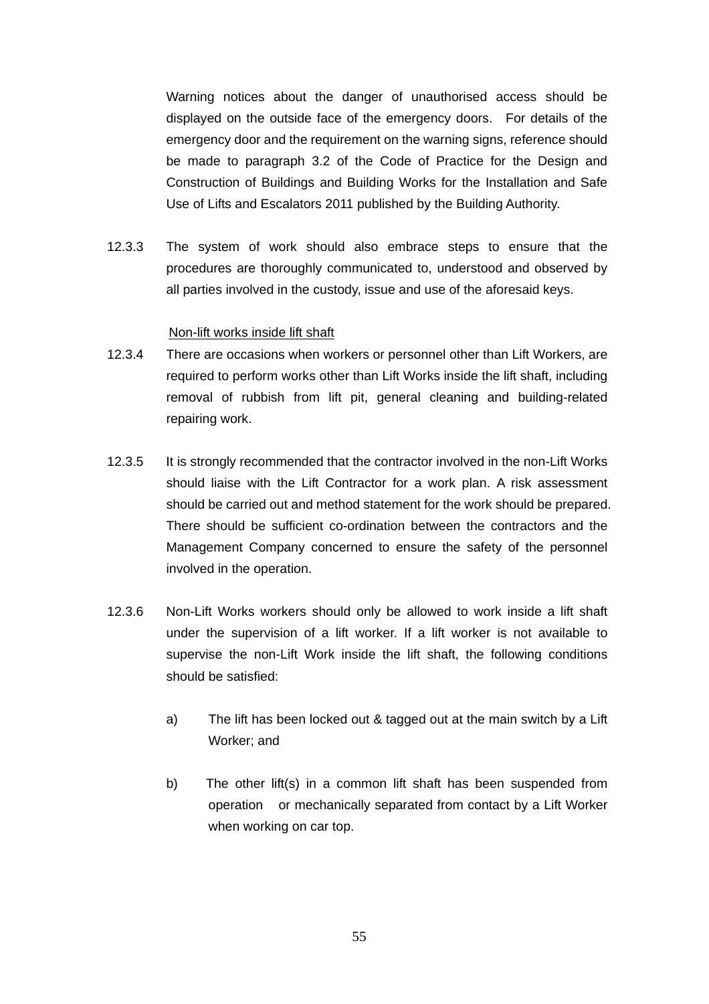Warning notices about the danger of unauthorised access should be displayed on the outside face of the emergency doors. For details of the emergency door and the requirement on the warning signs, reference should be made to paragraph 3.2 of the Code of Practice for the Design and Construction of Buildings and Building Works for the Installation and Safe Use of Lifts and Escalators 2011 published by the Building Authority.

12.3.3 The system of work should also embrace steps to ensure that the procedures are thoroughly communicated to, understood and observed by all parties involved in the custody, issue and use of the aforesaid keys.

#### Non-lift works inside lift shaft

- 12.3.4 There are occasions when workers or personnel other than Lift Workers, are required to perform works other than Lift Works inside the lift shaft, including removal of rubbish from lift pit, general cleaning and building-related repairing work.
- 12.3.5 It is strongly recommended that the contractor involved in the non-Lift Works should liaise with the Lift Contractor for a work plan. A risk assessment should be carried out and method statement for the work should be prepared. There should be sufficient co-ordination between the contractors and the Management Company concerned to ensure the safety of the personnel involved in the operation.
- 12.3.6 Non-Lift Works workers should only be allowed to work inside a lift shaft under the supervision of a lift worker. If a lift worker is not available to supervise the non-Lift Work inside the lift shaft, the following conditions should be satisfied:
	- a) The lift has been locked out & tagged out at the main switch by a Lift Worker; and
	- b) The other lift(s) in a common lift shaft has been suspended from operation or mechanically separated from contact by a Lift Worker when working on car top.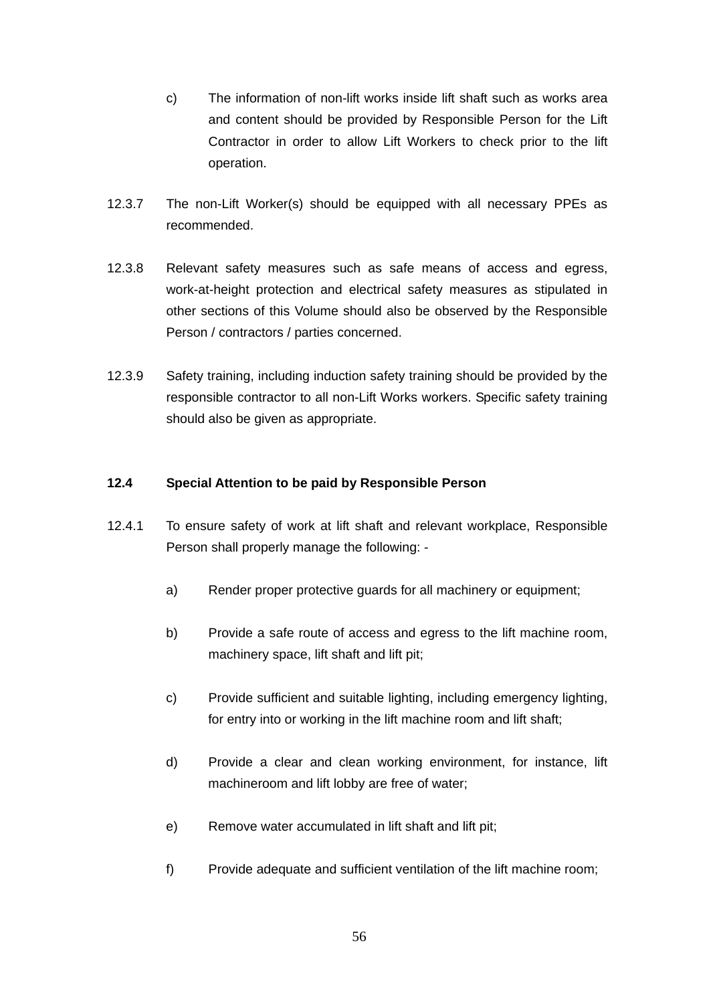- c) The information of non-lift works inside lift shaft such as works area and content should be provided by Responsible Person for the Lift Contractor in order to allow Lift Workers to check prior to the lift operation.
- 12.3.7 The non-Lift Worker(s) should be equipped with all necessary PPEs as recommended.
- 12.3.8 Relevant safety measures such as safe means of access and egress, work-at-height protection and electrical safety measures as stipulated in other sections of this Volume should also be observed by the Responsible Person / contractors / parties concerned.
- 12.3.9 Safety training, including induction safety training should be provided by the responsible contractor to all non-Lift Works workers. Specific safety training should also be given as appropriate.

### **12.4 Special Attention to be paid by Responsible Person**

- 12.4.1 To ensure safety of work at lift shaft and relevant workplace, Responsible Person shall properly manage the following:
	- a) Render proper protective guards for all machinery or equipment;
	- b) Provide a safe route of access and egress to the lift machine room, machinery space, lift shaft and lift pit;
	- c) Provide sufficient and suitable lighting, including emergency lighting, for entry into or working in the lift machine room and lift shaft;
	- d) Provide a clear and clean working environment, for instance, lift machineroom and lift lobby are free of water;
	- e) Remove water accumulated in lift shaft and lift pit;
	- f) Provide adequate and sufficient ventilation of the lift machine room;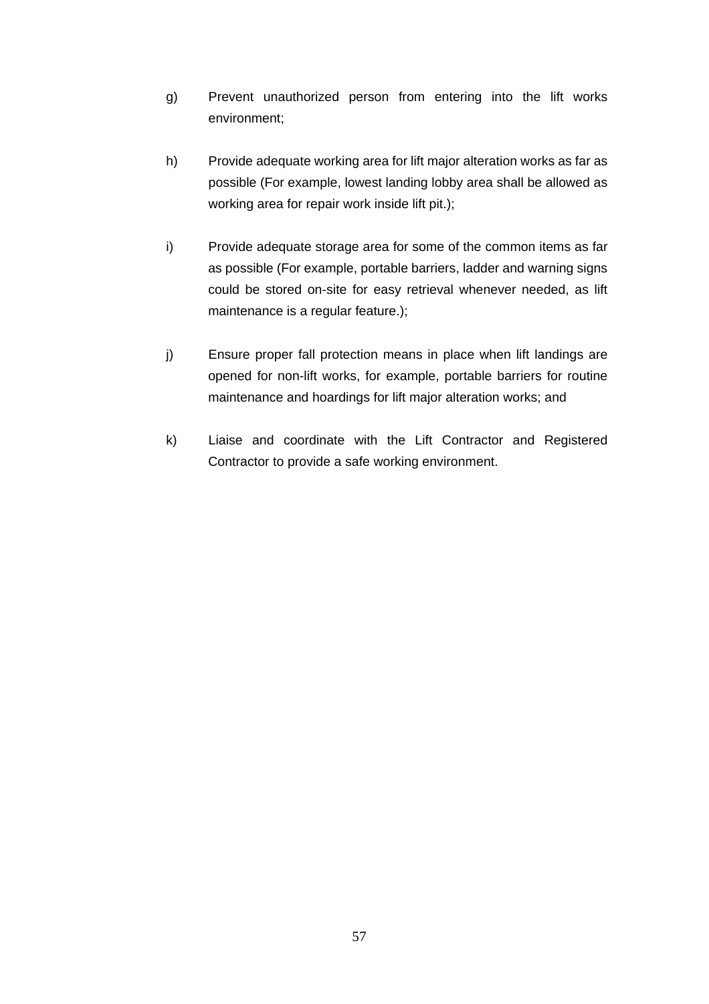- g) Prevent unauthorized person from entering into the lift works environment;
- h) Provide adequate working area for lift major alteration works as far as possible (For example, lowest landing lobby area shall be allowed as working area for repair work inside lift pit.):
- i) Provide adequate storage area for some of the common items as far as possible (For example, portable barriers, ladder and warning signs could be stored on-site for easy retrieval whenever needed, as lift maintenance is a regular feature.);
- j) Ensure proper fall protection means in place when lift landings are opened for non-lift works, for example, portable barriers for routine maintenance and hoardings for lift major alteration works; and
- k) Liaise and coordinate with the Lift Contractor and Registered Contractor to provide a safe working environment.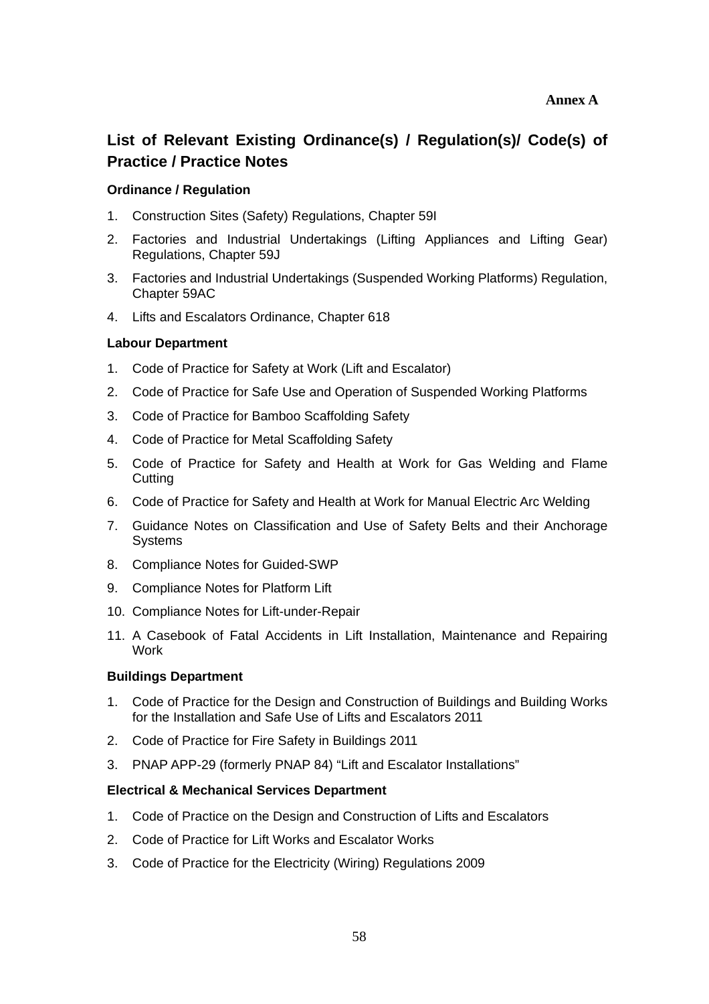# **List of Relevant Existing Ordinance(s) / Regulation(s)/ Code(s) of Practice / Practice Notes**

#### **Ordinance / Regulation**

- 1. Construction Sites (Safety) Regulations, Chapter 59I
- 2. Factories and Industrial Undertakings (Lifting Appliances and Lifting Gear) Regulations, Chapter 59J
- 3. Factories and Industrial Undertakings (Suspended Working Platforms) Regulation, Chapter 59AC
- 4. Lifts and Escalators Ordinance, Chapter 618

#### **Labour Department**

- 1. Code of Practice for Safety at Work (Lift and Escalator)
- 2. Code of Practice for Safe Use and Operation of Suspended Working Platforms
- 3. Code of Practice for Bamboo Scaffolding Safety
- 4. Code of Practice for Metal Scaffolding Safety
- 5. Code of Practice for Safety and Health at Work for Gas Welding and Flame **Cutting**
- 6. Code of Practice for Safety and Health at Work for Manual Electric Arc Welding
- 7. Guidance Notes on Classification and Use of Safety Belts and their Anchorage Systems
- 8. Compliance Notes for Guided-SWP
- 9. Compliance Notes for Platform Lift
- 10. Compliance Notes for Lift-under-Repair
- 11. A Casebook of Fatal Accidents in Lift Installation, Maintenance and Repairing Work

#### **Buildings Department**

- 1. Code of Practice for the Design and Construction of Buildings and Building Works for the Installation and Safe Use of Lifts and Escalators 2011
- 2. Code of Practice for Fire Safety in Buildings 2011
- 3. PNAP APP-29 (formerly PNAP 84) "Lift and Escalator Installations"

#### **Electrical & Mechanical Services Department**

- 1. Code of Practice on the Design and Construction of Lifts and Escalators
- 2. Code of Practice for Lift Works and Escalator Works
- 3. Code of Practice for the Electricity (Wiring) Regulations 2009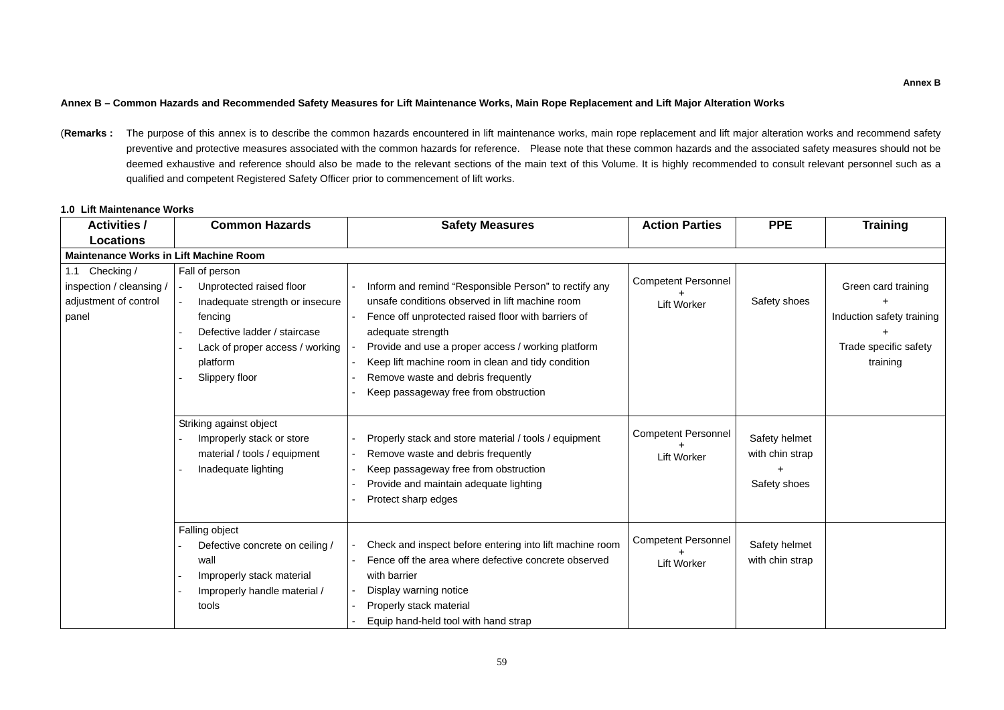## **Annex B – Common Hazards and Recommended Safety Measures for Lift Maintenance Works, Main Rope Replacement and Lift Major Alteration Works**

(Remarks : The purpose of this annex is to describe the common hazards encountered in lift maintenance works, main rope replacement and lift major alteration works and recommend safety preventive and protective measures associated with the common hazards for reference. Please note that these common hazards and the associated safety measures should not be deemed exhaustive and reference should also be made to the relevant sections of the main text of this Volume. It is highly recommended to consult relevant personnel such as a qualified and competent Registered Safety Officer prior to commencement of lift works.

## **1.0 Lift Maintenance Works**

| <b>Activities /</b>                                                          | <b>Common Hazards</b>                                                                                                                                                                     | <b>Safety Measures</b>                                                                                                                                                                                                                                                                                                                                                          | <b>Action Parties</b>                            | <b>PPE</b>                                       | <b>Training</b>                                                                       |
|------------------------------------------------------------------------------|-------------------------------------------------------------------------------------------------------------------------------------------------------------------------------------------|---------------------------------------------------------------------------------------------------------------------------------------------------------------------------------------------------------------------------------------------------------------------------------------------------------------------------------------------------------------------------------|--------------------------------------------------|--------------------------------------------------|---------------------------------------------------------------------------------------|
| <b>Locations</b>                                                             |                                                                                                                                                                                           |                                                                                                                                                                                                                                                                                                                                                                                 |                                                  |                                                  |                                                                                       |
| <b>Maintenance Works in Lift Machine Room</b>                                |                                                                                                                                                                                           |                                                                                                                                                                                                                                                                                                                                                                                 |                                                  |                                                  |                                                                                       |
| 1.1 Checking /<br>inspection / cleansing /<br>adjustment of control<br>panel | Fall of person<br>Unprotected raised floor<br>Inadequate strength or insecure<br>fencing<br>Defective ladder / staircase<br>Lack of proper access / working<br>platform<br>Slippery floor | Inform and remind "Responsible Person" to rectify any<br>unsafe conditions observed in lift machine room<br>Fence off unprotected raised floor with barriers of<br>adequate strength<br>Provide and use a proper access / working platform<br>Keep lift machine room in clean and tidy condition<br>Remove waste and debris frequently<br>Keep passageway free from obstruction | <b>Competent Personnel</b><br><b>Lift Worker</b> | Safety shoes                                     | Green card training<br>Induction safety training<br>Trade specific safety<br>training |
|                                                                              | Striking against object<br>Improperly stack or store<br>material / tools / equipment<br>Inadequate lighting                                                                               | Properly stack and store material / tools / equipment<br>Remove waste and debris frequently<br>Keep passageway free from obstruction<br>Provide and maintain adequate lighting<br>Protect sharp edges                                                                                                                                                                           | <b>Competent Personnel</b><br><b>Lift Worker</b> | Safety helmet<br>with chin strap<br>Safety shoes |                                                                                       |
|                                                                              | Falling object<br>Defective concrete on ceiling /<br>wall<br>Improperly stack material<br>Improperly handle material /<br>tools                                                           | Check and inspect before entering into lift machine room<br>Fence off the area where defective concrete observed<br>with barrier<br>Display warning notice<br>Properly stack material<br>Equip hand-held tool with hand strap                                                                                                                                                   | <b>Competent Personnel</b><br><b>Lift Worker</b> | Safety helmet<br>with chin strap                 |                                                                                       |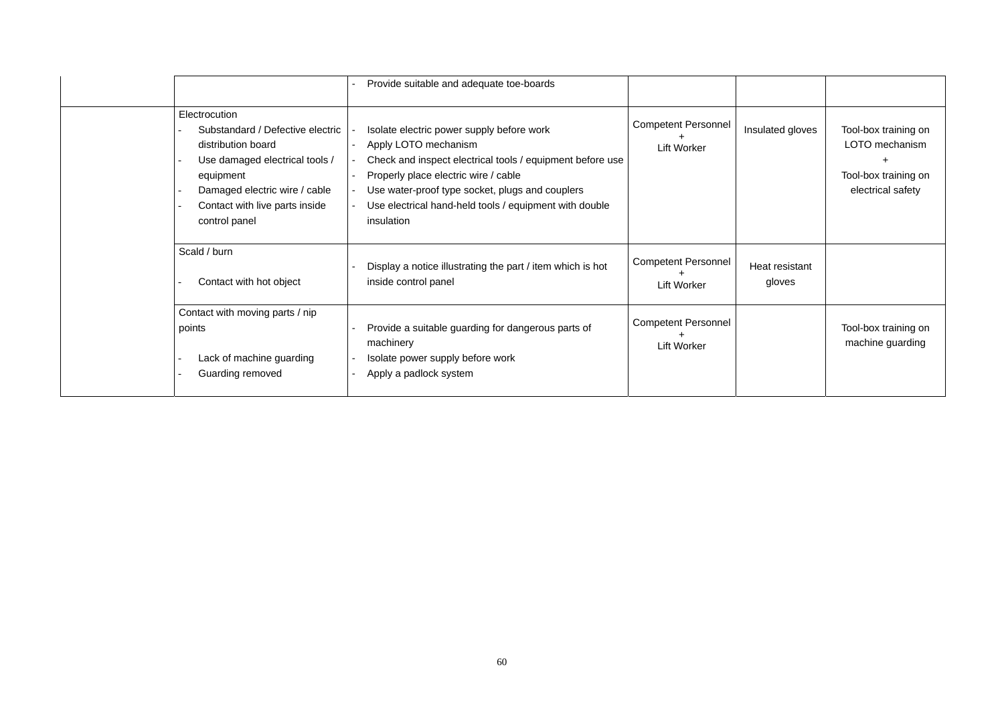|                                                                                                                                                                                                            | Provide suitable and adequate toe-boards                                                                                                                                                                                                                                                          |                                                  |                          |                                                                                     |
|------------------------------------------------------------------------------------------------------------------------------------------------------------------------------------------------------------|---------------------------------------------------------------------------------------------------------------------------------------------------------------------------------------------------------------------------------------------------------------------------------------------------|--------------------------------------------------|--------------------------|-------------------------------------------------------------------------------------|
| Electrocution<br>Substandard / Defective electric<br>distribution board<br>Use damaged electrical tools /<br>equipment<br>Damaged electric wire / cable<br>Contact with live parts inside<br>control panel | Isolate electric power supply before work<br>Apply LOTO mechanism<br>Check and inspect electrical tools / equipment before use<br>Properly place electric wire / cable<br>Use water-proof type socket, plugs and couplers<br>Use electrical hand-held tools / equipment with double<br>insulation | <b>Competent Personnel</b><br><b>Lift Worker</b> | Insulated gloves         | Tool-box training on<br>LOTO mechanism<br>Tool-box training on<br>electrical safety |
| Scald / burn<br>Contact with hot object                                                                                                                                                                    | Display a notice illustrating the part / item which is hot<br>inside control panel                                                                                                                                                                                                                | <b>Competent Personnel</b><br><b>Lift Worker</b> | Heat resistant<br>gloves |                                                                                     |
| Contact with moving parts / nip<br>points<br>Lack of machine guarding<br>Guarding removed                                                                                                                  | Provide a suitable guarding for dangerous parts of<br>machinery<br>Isolate power supply before work<br>Apply a padlock system                                                                                                                                                                     | <b>Competent Personnel</b><br><b>Lift Worker</b> |                          | Tool-box training on<br>machine guarding                                            |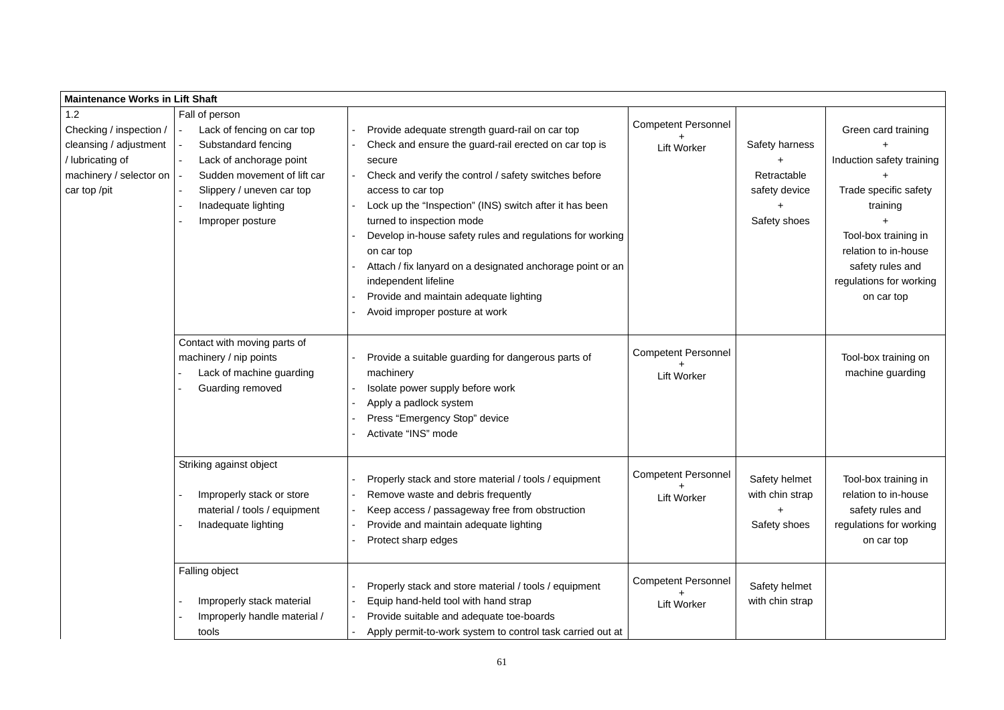| <b>Maintenance Works in Lift Shaft</b>                                                                                  |                                                                                                                                                                                                       |                                                                                                                                                                                                                                                                                                                                                                                                                                                                                                                                       |                                                  |                                                                       |                                                                                                                                                                                                    |
|-------------------------------------------------------------------------------------------------------------------------|-------------------------------------------------------------------------------------------------------------------------------------------------------------------------------------------------------|---------------------------------------------------------------------------------------------------------------------------------------------------------------------------------------------------------------------------------------------------------------------------------------------------------------------------------------------------------------------------------------------------------------------------------------------------------------------------------------------------------------------------------------|--------------------------------------------------|-----------------------------------------------------------------------|----------------------------------------------------------------------------------------------------------------------------------------------------------------------------------------------------|
| 1.2<br>Checking / inspection /<br>cleansing / adjustment<br>/ lubricating of<br>machinery / selector on<br>car top /pit | Fall of person<br>Lack of fencing on car top<br>Substandard fencing<br>Lack of anchorage point<br>Sudden movement of lift car<br>Slippery / uneven car top<br>Inadequate lighting<br>Improper posture | Provide adequate strength guard-rail on car top<br>Check and ensure the guard-rail erected on car top is<br>secure<br>Check and verify the control / safety switches before<br>access to car top<br>Lock up the "Inspection" (INS) switch after it has been<br>turned to inspection mode<br>Develop in-house safety rules and regulations for working<br>on car top<br>Attach / fix lanyard on a designated anchorage point or an<br>independent lifeline<br>Provide and maintain adequate lighting<br>Avoid improper posture at work | <b>Competent Personnel</b><br><b>Lift Worker</b> | <b>Safety harness</b><br>Retractable<br>safety device<br>Safety shoes | Green card training<br>Induction safety training<br>Trade specific safety<br>training<br>Tool-box training in<br>relation to in-house<br>safety rules and<br>regulations for working<br>on car top |
|                                                                                                                         | Contact with moving parts of<br>machinery / nip points<br>Lack of machine guarding<br>Guarding removed                                                                                                | Provide a suitable guarding for dangerous parts of<br>machinery<br>Isolate power supply before work<br>Apply a padlock system<br>Press "Emergency Stop" device<br>Activate "INS" mode                                                                                                                                                                                                                                                                                                                                                 | <b>Competent Personnel</b><br><b>Lift Worker</b> |                                                                       | Tool-box training on<br>machine guarding                                                                                                                                                           |
|                                                                                                                         | Striking against object<br>Improperly stack or store<br>material / tools / equipment<br>Inadequate lighting                                                                                           | Properly stack and store material / tools / equipment<br>Remove waste and debris frequently<br>Keep access / passageway free from obstruction<br>Provide and maintain adequate lighting<br>Protect sharp edges                                                                                                                                                                                                                                                                                                                        | <b>Competent Personnel</b><br><b>Lift Worker</b> | Safety helmet<br>with chin strap<br>Safety shoes                      | Tool-box training in<br>relation to in-house<br>safety rules and<br>regulations for working<br>on car top                                                                                          |
|                                                                                                                         | Falling object<br>Improperly stack material<br>Improperly handle material /<br>tools                                                                                                                  | Properly stack and store material / tools / equipment<br>Equip hand-held tool with hand strap<br>Provide suitable and adequate toe-boards<br>Apply permit-to-work system to control task carried out at                                                                                                                                                                                                                                                                                                                               | <b>Competent Personnel</b><br><b>Lift Worker</b> | Safety helmet<br>with chin strap                                      |                                                                                                                                                                                                    |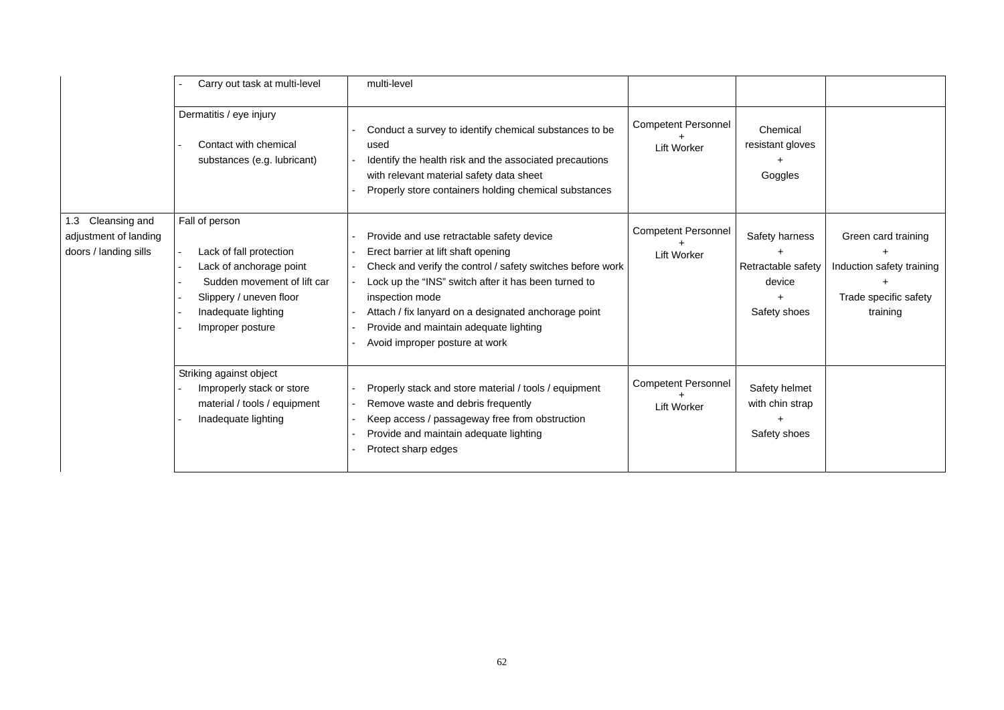|                                                                     | Carry out task at multi-level                                                                                                                                             | multi-level                                                                                                                                                                                                                                                                                                                                                   |                                                  |                                                                |                                                                                       |
|---------------------------------------------------------------------|---------------------------------------------------------------------------------------------------------------------------------------------------------------------------|---------------------------------------------------------------------------------------------------------------------------------------------------------------------------------------------------------------------------------------------------------------------------------------------------------------------------------------------------------------|--------------------------------------------------|----------------------------------------------------------------|---------------------------------------------------------------------------------------|
|                                                                     | Dermatitis / eye injury<br>Contact with chemical<br>substances (e.g. lubricant)                                                                                           | Conduct a survey to identify chemical substances to be<br>used<br>Identify the health risk and the associated precautions<br>with relevant material safety data sheet<br>Properly store containers holding chemical substances                                                                                                                                | <b>Competent Personnel</b><br><b>Lift Worker</b> | Chemical<br>resistant gloves<br>Goggles                        |                                                                                       |
| 1.3 Cleansing and<br>adjustment of landing<br>doors / landing sills | Fall of person<br>Lack of fall protection<br>Lack of anchorage point<br>Sudden movement of lift car<br>Slippery / uneven floor<br>Inadequate lighting<br>Improper posture | Provide and use retractable safety device<br>Erect barrier at lift shaft opening<br>Check and verify the control / safety switches before work<br>Lock up the "INS" switch after it has been turned to<br>inspection mode<br>Attach / fix lanyard on a designated anchorage point<br>Provide and maintain adequate lighting<br>Avoid improper posture at work | <b>Competent Personnel</b><br><b>Lift Worker</b> | Safety harness<br>Retractable safety<br>device<br>Safety shoes | Green card training<br>Induction safety training<br>Trade specific safety<br>training |
|                                                                     | Striking against object<br>Improperly stack or store<br>material / tools / equipment<br>Inadequate lighting                                                               | Properly stack and store material / tools / equipment<br>Remove waste and debris frequently<br>Keep access / passageway free from obstruction<br>Provide and maintain adequate lighting<br>Protect sharp edges                                                                                                                                                | <b>Competent Personnel</b><br><b>Lift Worker</b> | Safety helmet<br>with chin strap<br>Safety shoes               |                                                                                       |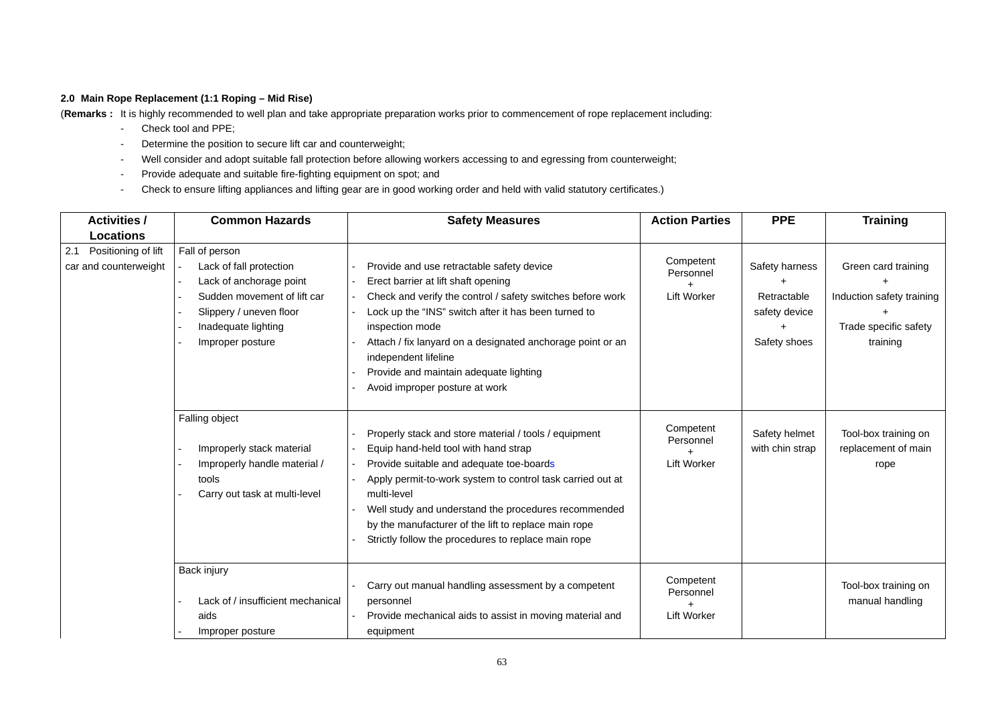# **2.0 Main Rope Replacement (1:1 Roping – Mid Rise)**

(**Remarks :** It is highly recommended to well plan and take appropriate preparation works prior to commencement of rope replacement including:

- Check tool and PPE;
- Determine the position to secure lift car and counterweight;
- Well consider and adopt suitable fall protection before allowing workers accessing to and egressing from counterweight;
- Provide adequate and suitable fire-fighting equipment on spot; and
- Check to ensure lifting appliances and lifting gear are in good working order and held with valid statutory certificates.)

| <b>Activities /</b>                                                     | <b>Common Hazards</b>                                                                                                                                                     | <b>Safety Measures</b>                                                                                                                                                                                                                                                                                                                                                                        | <b>Action Parties</b>                                     | <b>PPE</b>                                                     | <b>Training</b>                                                                       |
|-------------------------------------------------------------------------|---------------------------------------------------------------------------------------------------------------------------------------------------------------------------|-----------------------------------------------------------------------------------------------------------------------------------------------------------------------------------------------------------------------------------------------------------------------------------------------------------------------------------------------------------------------------------------------|-----------------------------------------------------------|----------------------------------------------------------------|---------------------------------------------------------------------------------------|
| <b>Locations</b><br>Positioning of lift<br>2.1<br>car and counterweight | Fall of person<br>Lack of fall protection<br>Lack of anchorage point<br>Sudden movement of lift car<br>Slippery / uneven floor<br>Inadequate lighting<br>Improper posture | Provide and use retractable safety device<br>Erect barrier at lift shaft opening<br>Check and verify the control / safety switches before work<br>Lock up the "INS" switch after it has been turned to<br>inspection mode<br>Attach / fix lanyard on a designated anchorage point or an<br>independent lifeline<br>Provide and maintain adequate lighting<br>Avoid improper posture at work   | Competent<br>Personnel<br>Lift Worker                     | Safety harness<br>Retractable<br>safety device<br>Safety shoes | Green card training<br>Induction safety training<br>Trade specific safety<br>training |
|                                                                         | Falling object<br>Improperly stack material<br>Improperly handle material /<br>tools<br>Carry out task at multi-level                                                     | Properly stack and store material / tools / equipment<br>Equip hand-held tool with hand strap<br>Provide suitable and adequate toe-boards<br>Apply permit-to-work system to control task carried out at<br>multi-level<br>Well study and understand the procedures recommended<br>by the manufacturer of the lift to replace main rope<br>Strictly follow the procedures to replace main rope | Competent<br>Personnel<br>$\ddot{}$<br><b>Lift Worker</b> | Safety helmet<br>with chin strap                               | Tool-box training on<br>replacement of main<br>rope                                   |
|                                                                         | Back injury<br>Lack of / insufficient mechanical<br>aids<br>Improper posture                                                                                              | Carry out manual handling assessment by a competent<br>personnel<br>Provide mechanical aids to assist in moving material and<br>equipment                                                                                                                                                                                                                                                     | Competent<br>Personnel<br><b>Lift Worker</b>              |                                                                | Tool-box training on<br>manual handling                                               |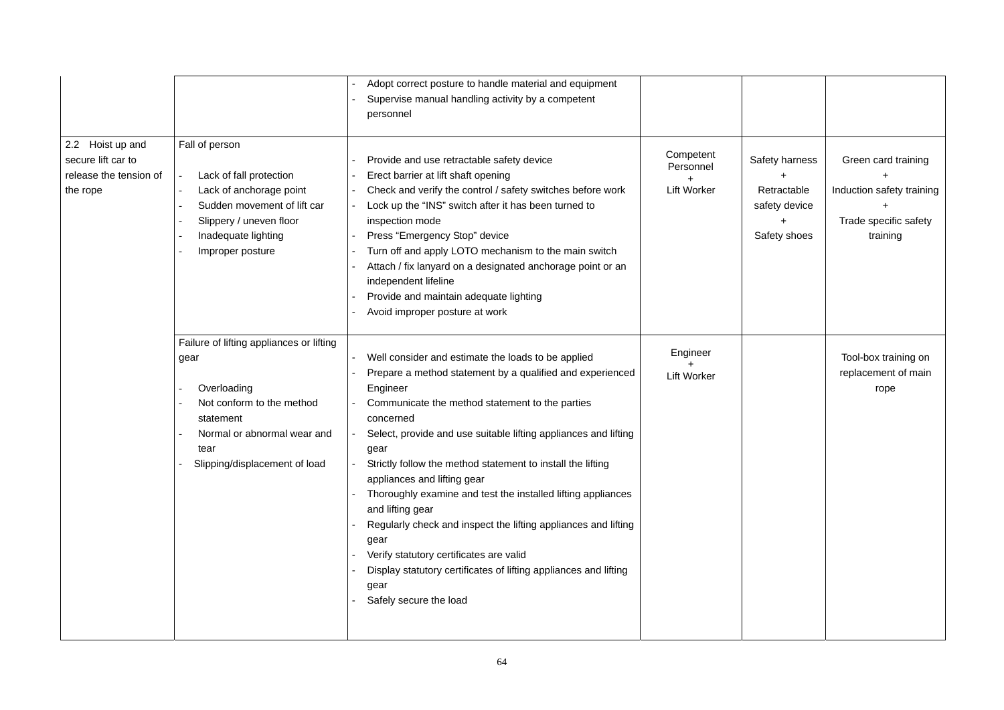| 2.2 Hoist up and<br>secure lift car to<br>release the tension of<br>the rope | Fall of person<br>Lack of fall protection<br>Lack of anchorage point<br>Sudden movement of lift car<br>Slippery / uneven floor<br>Inadequate lighting                             | Adopt correct posture to handle material and equipment<br>Supervise manual handling activity by a competent<br>personnel<br>Provide and use retractable safety device<br>Erect barrier at lift shaft opening<br>Check and verify the control / safety switches before work<br>Lock up the "INS" switch after it has been turned to<br>inspection mode<br>Press "Emergency Stop" device                                                                                                                                                                                                                                                                                              | Competent<br>Personnel<br><b>Lift Worker</b> | Safety harness<br>Retractable<br>safety device<br>Safety shoes | Green card training<br>Induction safety training<br>Trade specific safety<br>training |
|------------------------------------------------------------------------------|-----------------------------------------------------------------------------------------------------------------------------------------------------------------------------------|-------------------------------------------------------------------------------------------------------------------------------------------------------------------------------------------------------------------------------------------------------------------------------------------------------------------------------------------------------------------------------------------------------------------------------------------------------------------------------------------------------------------------------------------------------------------------------------------------------------------------------------------------------------------------------------|----------------------------------------------|----------------------------------------------------------------|---------------------------------------------------------------------------------------|
|                                                                              | Improper posture                                                                                                                                                                  | Turn off and apply LOTO mechanism to the main switch<br>Attach / fix lanyard on a designated anchorage point or an<br>independent lifeline<br>Provide and maintain adequate lighting<br>Avoid improper posture at work                                                                                                                                                                                                                                                                                                                                                                                                                                                              |                                              |                                                                |                                                                                       |
|                                                                              | Failure of lifting appliances or lifting<br>gear<br>Overloading<br>Not conform to the method<br>statement<br>Normal or abnormal wear and<br>tear<br>Slipping/displacement of load | Well consider and estimate the loads to be applied<br>Prepare a method statement by a qualified and experienced<br>Engineer<br>Communicate the method statement to the parties<br>concerned<br>Select, provide and use suitable lifting appliances and lifting<br>gear<br>Strictly follow the method statement to install the lifting<br>appliances and lifting gear<br>Thoroughly examine and test the installed lifting appliances<br>and lifting gear<br>Regularly check and inspect the lifting appliances and lifting<br>gear<br>Verify statutory certificates are valid<br>Display statutory certificates of lifting appliances and lifting<br>gear<br>Safely secure the load | Engineer<br><b>Lift Worker</b>               |                                                                | Tool-box training on<br>replacement of main<br>rope                                   |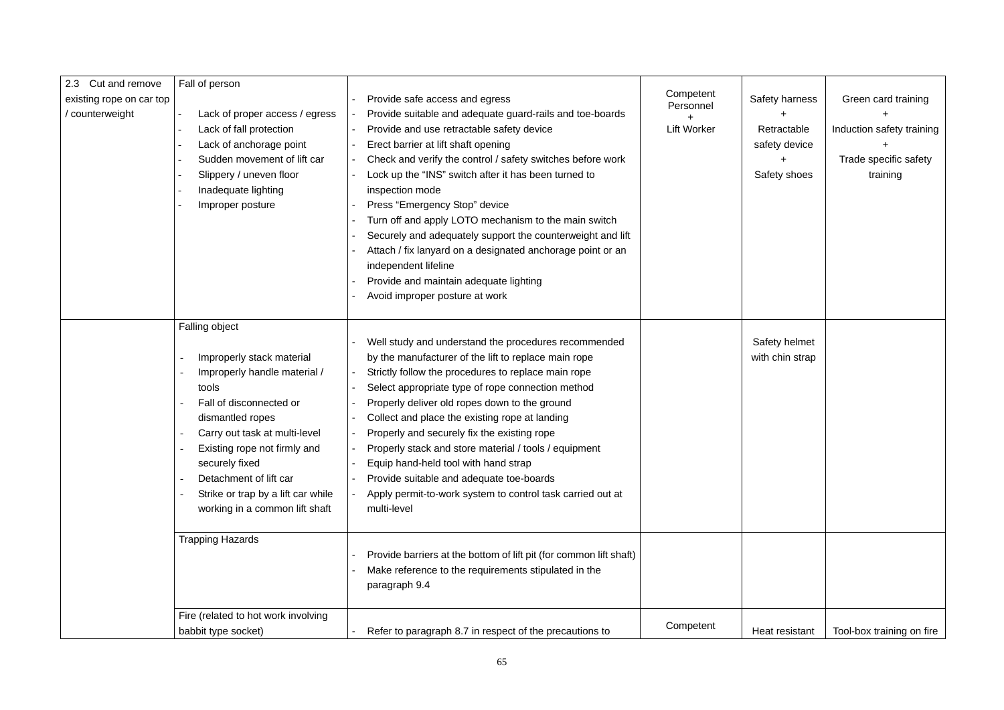| 2.3 Cut and remove       | Fall of person                      |                                                                    |                    |                 |                           |
|--------------------------|-------------------------------------|--------------------------------------------------------------------|--------------------|-----------------|---------------------------|
| existing rope on car top |                                     | Provide safe access and egress                                     | Competent          | Safety harness  | Green card training       |
| counterweight            | Lack of proper access / egress      | Provide suitable and adequate guard-rails and toe-boards           | Personnel          |                 |                           |
|                          | Lack of fall protection             | Provide and use retractable safety device                          | <b>Lift Worker</b> | Retractable     | Induction safety training |
|                          | Lack of anchorage point             | Erect barrier at lift shaft opening                                |                    | safety device   |                           |
|                          | Sudden movement of lift car         | Check and verify the control / safety switches before work         |                    |                 | Trade specific safety     |
|                          | Slippery / uneven floor             | Lock up the "INS" switch after it has been turned to               |                    | Safety shoes    | training                  |
|                          | Inadequate lighting                 | inspection mode                                                    |                    |                 |                           |
|                          | Improper posture                    | Press "Emergency Stop" device                                      |                    |                 |                           |
|                          |                                     | Turn off and apply LOTO mechanism to the main switch               |                    |                 |                           |
|                          |                                     | Securely and adequately support the counterweight and lift         |                    |                 |                           |
|                          |                                     | Attach / fix lanyard on a designated anchorage point or an         |                    |                 |                           |
|                          |                                     | independent lifeline                                               |                    |                 |                           |
|                          |                                     | Provide and maintain adequate lighting                             |                    |                 |                           |
|                          |                                     | Avoid improper posture at work                                     |                    |                 |                           |
|                          |                                     |                                                                    |                    |                 |                           |
|                          | Falling object                      |                                                                    |                    |                 |                           |
|                          |                                     | Well study and understand the procedures recommended               |                    | Safety helmet   |                           |
|                          | Improperly stack material           | by the manufacturer of the lift to replace main rope               |                    | with chin strap |                           |
|                          | Improperly handle material /        | Strictly follow the procedures to replace main rope                |                    |                 |                           |
|                          | tools                               | Select appropriate type of rope connection method                  |                    |                 |                           |
|                          | Fall of disconnected or             | Properly deliver old ropes down to the ground                      |                    |                 |                           |
|                          | dismantled ropes                    | Collect and place the existing rope at landing                     |                    |                 |                           |
|                          | Carry out task at multi-level       | Properly and securely fix the existing rope                        |                    |                 |                           |
|                          | Existing rope not firmly and        | Properly stack and store material / tools / equipment              |                    |                 |                           |
|                          | securely fixed                      | Equip hand-held tool with hand strap                               |                    |                 |                           |
|                          | Detachment of lift car              | Provide suitable and adequate toe-boards                           |                    |                 |                           |
|                          | Strike or trap by a lift car while  | Apply permit-to-work system to control task carried out at         |                    |                 |                           |
|                          | working in a common lift shaft      | multi-level                                                        |                    |                 |                           |
|                          |                                     |                                                                    |                    |                 |                           |
|                          | <b>Trapping Hazards</b>             |                                                                    |                    |                 |                           |
|                          |                                     | Provide barriers at the bottom of lift pit (for common lift shaft) |                    |                 |                           |
|                          |                                     | Make reference to the requirements stipulated in the               |                    |                 |                           |
|                          |                                     | paragraph 9.4                                                      |                    |                 |                           |
|                          |                                     |                                                                    |                    |                 |                           |
|                          | Fire (related to hot work involving |                                                                    |                    |                 |                           |
|                          | babbit type socket)                 | Refer to paragraph 8.7 in respect of the precautions to            | Competent          | Heat resistant  | Tool-box training on fire |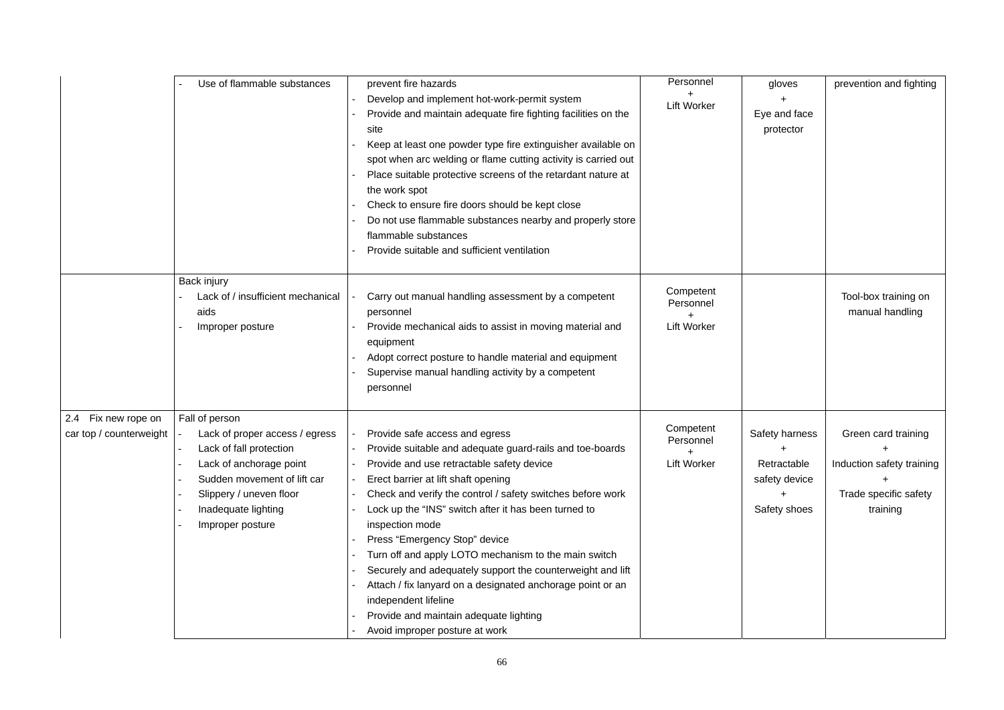|                                                | Use of flammable substances                                                                                                                                                                                 | prevent fire hazards<br>Develop and implement hot-work-permit system<br>Provide and maintain adequate fire fighting facilities on the<br>site<br>Keep at least one powder type fire extinguisher available on<br>spot when arc welding or flame cutting activity is carried out<br>Place suitable protective screens of the retardant nature at<br>the work spot<br>Check to ensure fire doors should be kept close<br>Do not use flammable substances nearby and properly store<br>flammable substances<br>Provide suitable and sufficient ventilation                                                                                          | Personnel<br><b>Lift Worker</b>                       | gloves<br>Eye and face<br>protector                            | prevention and fighting                                                               |
|------------------------------------------------|-------------------------------------------------------------------------------------------------------------------------------------------------------------------------------------------------------------|--------------------------------------------------------------------------------------------------------------------------------------------------------------------------------------------------------------------------------------------------------------------------------------------------------------------------------------------------------------------------------------------------------------------------------------------------------------------------------------------------------------------------------------------------------------------------------------------------------------------------------------------------|-------------------------------------------------------|----------------------------------------------------------------|---------------------------------------------------------------------------------------|
|                                                | Back injury<br>Lack of / insufficient mechanical<br>aids<br>Improper posture                                                                                                                                | Carry out manual handling assessment by a competent<br>personnel<br>Provide mechanical aids to assist in moving material and<br>equipment<br>Adopt correct posture to handle material and equipment<br>Supervise manual handling activity by a competent<br>personnel                                                                                                                                                                                                                                                                                                                                                                            | Competent<br>Personnel<br><b>Lift Worker</b>          |                                                                | Tool-box training on<br>manual handling                                               |
| 2.4 Fix new rope on<br>car top / counterweight | Fall of person<br>Lack of proper access / egress<br>Lack of fall protection<br>Lack of anchorage point<br>Sudden movement of lift car<br>Slippery / uneven floor<br>Inadequate lighting<br>Improper posture | Provide safe access and egress<br>Provide suitable and adequate guard-rails and toe-boards<br>Provide and use retractable safety device<br>Erect barrier at lift shaft opening<br>Check and verify the control / safety switches before work<br>Lock up the "INS" switch after it has been turned to<br>inspection mode<br>Press "Emergency Stop" device<br>Turn off and apply LOTO mechanism to the main switch<br>Securely and adequately support the counterweight and lift<br>Attach / fix lanyard on a designated anchorage point or an<br>independent lifeline<br>Provide and maintain adequate lighting<br>Avoid improper posture at work | Competent<br>Personnel<br>$\pm$<br><b>Lift Worker</b> | Safety harness<br>Retractable<br>safety device<br>Safety shoes | Green card training<br>Induction safety training<br>Trade specific safety<br>training |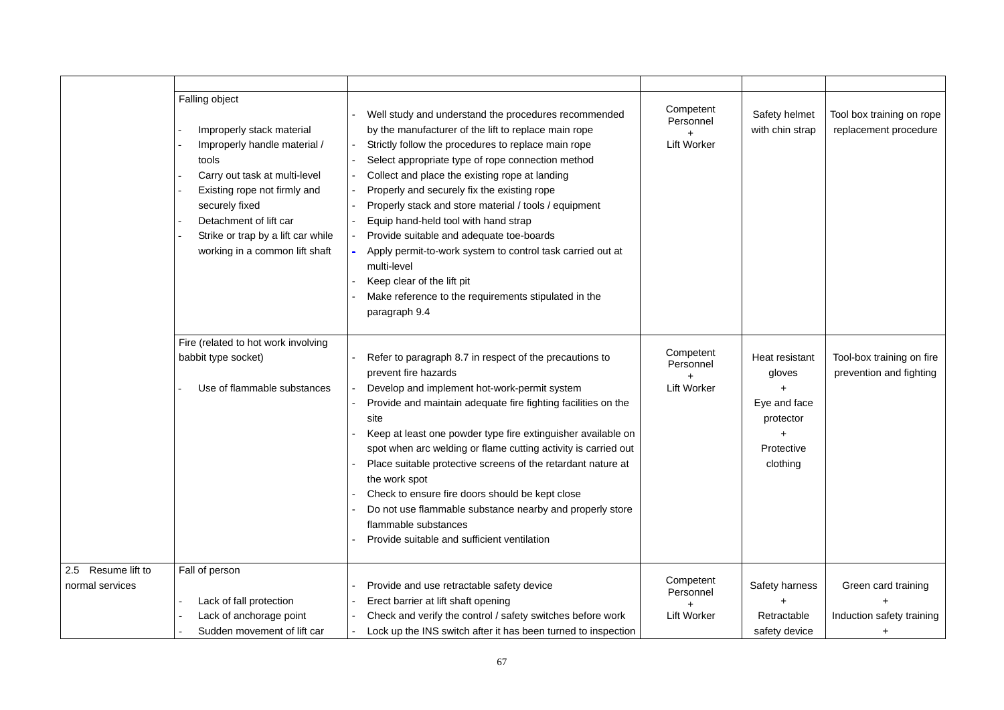|                                       | Falling object<br>Improperly stack material<br>Improperly handle material /<br>tools<br>Carry out task at multi-level<br>Existing rope not firmly and<br>securely fixed<br>Detachment of lift car<br>Strike or trap by a lift car while<br>working in a common lift shaft | Well study and understand the procedures recommended<br>by the manufacturer of the lift to replace main rope<br>Strictly follow the procedures to replace main rope<br>Select appropriate type of rope connection method<br>Collect and place the existing rope at landing<br>Properly and securely fix the existing rope<br>Properly stack and store material / tools / equipment<br>Equip hand-held tool with hand strap<br>Provide suitable and adequate toe-boards<br>Apply permit-to-work system to control task carried out at<br>multi-level<br>Keep clear of the lift pit<br>Make reference to the requirements stipulated in the<br>paragraph 9.4 | Competent<br>Personnel<br><b>Lift Worker</b> | Safety helmet<br>with chin strap                                                | Tool box training on rope<br>replacement procedure   |
|---------------------------------------|---------------------------------------------------------------------------------------------------------------------------------------------------------------------------------------------------------------------------------------------------------------------------|------------------------------------------------------------------------------------------------------------------------------------------------------------------------------------------------------------------------------------------------------------------------------------------------------------------------------------------------------------------------------------------------------------------------------------------------------------------------------------------------------------------------------------------------------------------------------------------------------------------------------------------------------------|----------------------------------------------|---------------------------------------------------------------------------------|------------------------------------------------------|
|                                       | Fire (related to hot work involving<br>babbit type socket)<br>Use of flammable substances                                                                                                                                                                                 | Refer to paragraph 8.7 in respect of the precautions to<br>prevent fire hazards<br>Develop and implement hot-work-permit system<br>Provide and maintain adequate fire fighting facilities on the<br>site<br>Keep at least one powder type fire extinguisher available on<br>spot when arc welding or flame cutting activity is carried out<br>Place suitable protective screens of the retardant nature at<br>the work spot<br>Check to ensure fire doors should be kept close<br>Do not use flammable substance nearby and properly store<br>flammable substances<br>Provide suitable and sufficient ventilation                                          | Competent<br>Personnel<br><b>Lift Worker</b> | Heat resistant<br>gloves<br>Eye and face<br>protector<br>Protective<br>clothing | Tool-box training on fire<br>prevention and fighting |
| 2.5 Resume lift to<br>normal services | Fall of person<br>Lack of fall protection<br>Lack of anchorage point<br>Sudden movement of lift car                                                                                                                                                                       | Provide and use retractable safety device<br>Erect barrier at lift shaft opening<br>Check and verify the control / safety switches before work<br>Lock up the INS switch after it has been turned to inspection                                                                                                                                                                                                                                                                                                                                                                                                                                            | Competent<br>Personnel<br><b>Lift Worker</b> | Safety harness<br>Retractable<br>safety device                                  | Green card training<br>Induction safety training     |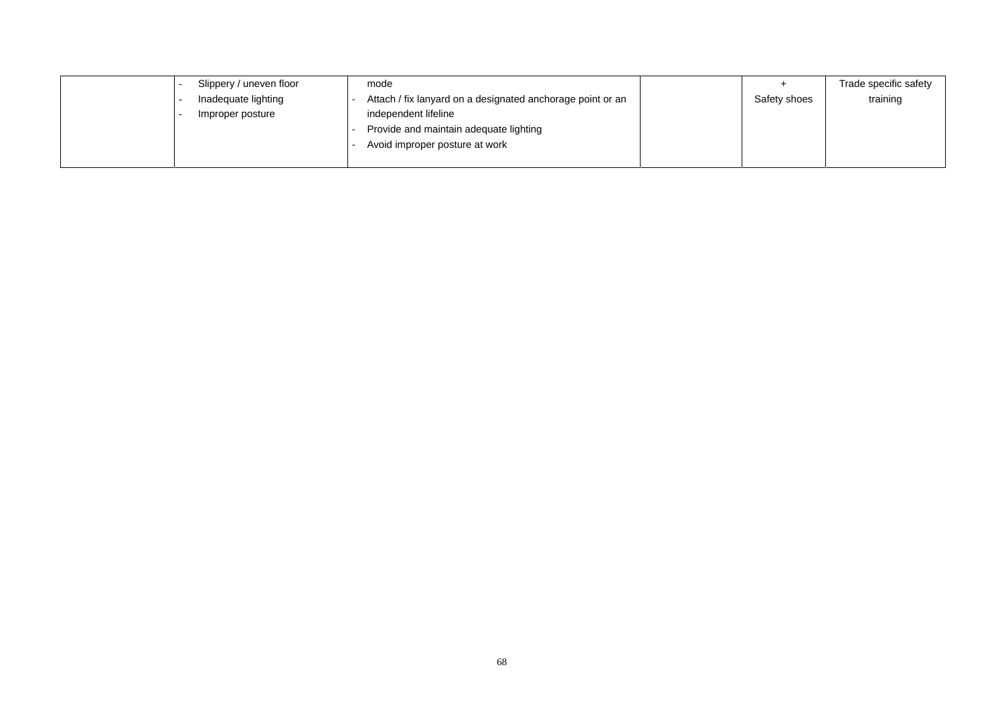| Slippery / uneven floor | mode                                                       |              | Trade specific safety |
|-------------------------|------------------------------------------------------------|--------------|-----------------------|
| Inadequate lighting     | Attach / fix lanyard on a designated anchorage point or an | Safety shoes | training              |
| Improper posture        | independent lifeline                                       |              |                       |
|                         | Provide and maintain adequate lighting                     |              |                       |
|                         | Avoid improper posture at work                             |              |                       |
|                         |                                                            |              |                       |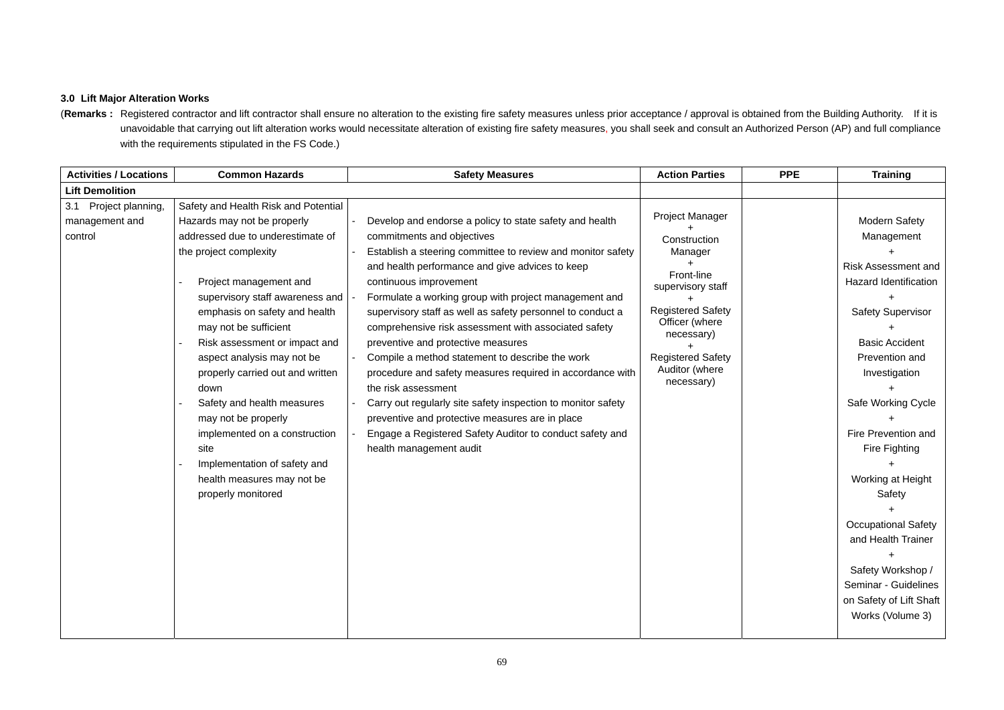# **3.0 Lift Major Alteration Works**

(Remarks: Registered contractor and lift contractor shall ensure no alteration to the existing fire safety measures unless prior acceptance / approval is obtained from the Building Authority. If it is unavoidable that carrying out lift alteration works would necessitate alteration of existing fire safety measures, you shall seek and consult an Authorized Person (AP) and full compliance with the requirements stipulated in the FS Code.)

| <b>Activities / Locations</b>                      | <b>Common Hazards</b>                                                                                                                                                                                                                                                                                                                                                                                                                                                                                                                                  | <b>Safety Measures</b>                                                                                                                                                                                                                                                                                                                                                                                                                                                                                                                                                                                                                                                                                                                                                                                  | <b>Action Parties</b>                                                                                                                                                                                 | <b>PPE</b> | <b>Training</b>                                                                                                                                                                                                                                                                                                                                                                                                                |
|----------------------------------------------------|--------------------------------------------------------------------------------------------------------------------------------------------------------------------------------------------------------------------------------------------------------------------------------------------------------------------------------------------------------------------------------------------------------------------------------------------------------------------------------------------------------------------------------------------------------|---------------------------------------------------------------------------------------------------------------------------------------------------------------------------------------------------------------------------------------------------------------------------------------------------------------------------------------------------------------------------------------------------------------------------------------------------------------------------------------------------------------------------------------------------------------------------------------------------------------------------------------------------------------------------------------------------------------------------------------------------------------------------------------------------------|-------------------------------------------------------------------------------------------------------------------------------------------------------------------------------------------------------|------------|--------------------------------------------------------------------------------------------------------------------------------------------------------------------------------------------------------------------------------------------------------------------------------------------------------------------------------------------------------------------------------------------------------------------------------|
| <b>Lift Demolition</b>                             |                                                                                                                                                                                                                                                                                                                                                                                                                                                                                                                                                        |                                                                                                                                                                                                                                                                                                                                                                                                                                                                                                                                                                                                                                                                                                                                                                                                         |                                                                                                                                                                                                       |            |                                                                                                                                                                                                                                                                                                                                                                                                                                |
| 3.1 Project planning,<br>management and<br>control | Safety and Health Risk and Potential<br>Hazards may not be properly<br>addressed due to underestimate of<br>the project complexity<br>Project management and<br>supervisory staff awareness and<br>emphasis on safety and health<br>may not be sufficient<br>Risk assessment or impact and<br>aspect analysis may not be<br>properly carried out and written<br>down<br>Safety and health measures<br>may not be properly<br>implemented on a construction<br>site<br>Implementation of safety and<br>health measures may not be<br>properly monitored | Develop and endorse a policy to state safety and health<br>commitments and objectives<br>Establish a steering committee to review and monitor safety<br>and health performance and give advices to keep<br>continuous improvement<br>Formulate a working group with project management and<br>supervisory staff as well as safety personnel to conduct a<br>comprehensive risk assessment with associated safety<br>preventive and protective measures<br>Compile a method statement to describe the work<br>procedure and safety measures required in accordance with<br>the risk assessment<br>Carry out regularly site safety inspection to monitor safety<br>preventive and protective measures are in place<br>Engage a Registered Safety Auditor to conduct safety and<br>health management audit | Project Manager<br>Construction<br>Manager<br>Front-line<br>supervisory staff<br><b>Registered Safety</b><br>Officer (where<br>necessary)<br><b>Registered Safety</b><br>Auditor (where<br>necessary) |            | <b>Modern Safety</b><br>Management<br><b>Risk Assessment and</b><br>Hazard Identification<br><b>Safety Supervisor</b><br><b>Basic Accident</b><br>Prevention and<br>Investigation<br>Safe Working Cycle<br>Fire Prevention and<br>Fire Fighting<br>Working at Height<br>Safety<br><b>Occupational Safety</b><br>and Health Trainer<br>Safety Workshop /<br>Seminar - Guidelines<br>on Safety of Lift Shaft<br>Works (Volume 3) |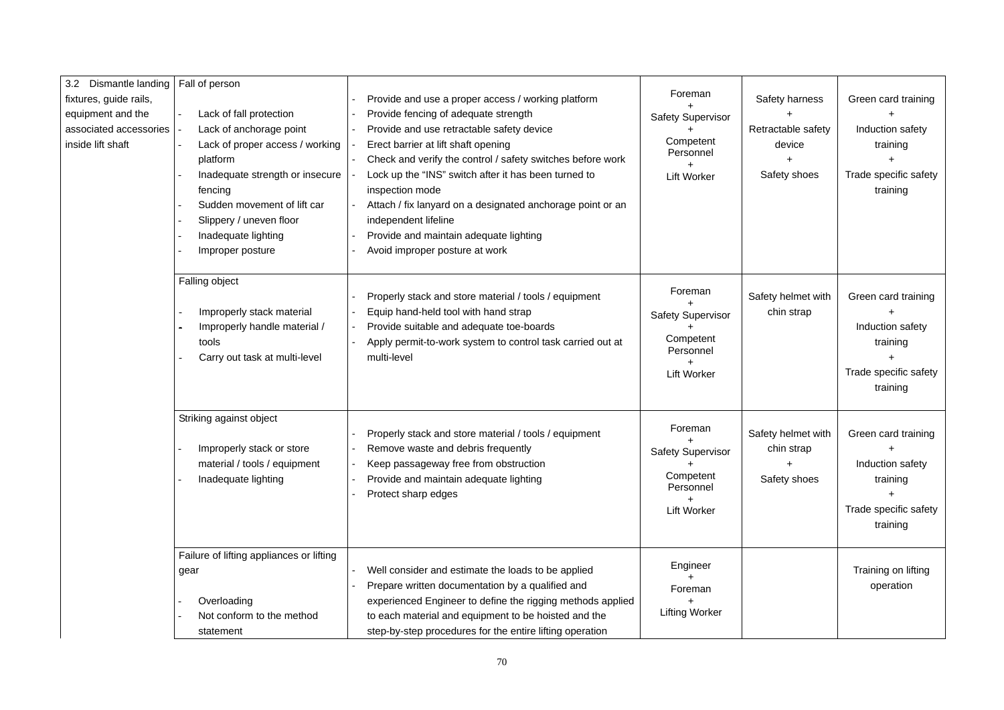| 3.2 Dismantle landing                                                                      | Fall of person                                                                                                                                                                                                                                       |                                                                                                                                                                                                                                                                                                                                                                                                                                                                                           |                                                                                     |                                                                |                                                                                                       |
|--------------------------------------------------------------------------------------------|------------------------------------------------------------------------------------------------------------------------------------------------------------------------------------------------------------------------------------------------------|-------------------------------------------------------------------------------------------------------------------------------------------------------------------------------------------------------------------------------------------------------------------------------------------------------------------------------------------------------------------------------------------------------------------------------------------------------------------------------------------|-------------------------------------------------------------------------------------|----------------------------------------------------------------|-------------------------------------------------------------------------------------------------------|
| fixtures, guide rails,<br>equipment and the<br>associated accessories<br>inside lift shaft | Lack of fall protection<br>Lack of anchorage point<br>Lack of proper access / working<br>platform<br>Inadequate strength or insecure<br>fencing<br>Sudden movement of lift car<br>Slippery / uneven floor<br>Inadequate lighting<br>Improper posture | Provide and use a proper access / working platform<br>Provide fencing of adequate strength<br>Provide and use retractable safety device<br>Erect barrier at lift shaft opening<br>Check and verify the control / safety switches before work<br>Lock up the "INS" switch after it has been turned to<br>inspection mode<br>Attach / fix lanyard on a designated anchorage point or an<br>independent lifeline<br>Provide and maintain adequate lighting<br>Avoid improper posture at work | Foreman<br><b>Safety Supervisor</b><br>Competent<br>Personnel<br><b>Lift Worker</b> | Safety harness<br>Retractable safety<br>device<br>Safety shoes | Green card training<br>Induction safety<br>training<br>Trade specific safety<br>training              |
|                                                                                            | Falling object<br>Improperly stack material<br>Improperly handle material /<br>tools<br>Carry out task at multi-level                                                                                                                                | Properly stack and store material / tools / equipment<br>Equip hand-held tool with hand strap<br>Provide suitable and adequate toe-boards<br>Apply permit-to-work system to control task carried out at<br>multi-level                                                                                                                                                                                                                                                                    | Foreman<br><b>Safety Supervisor</b><br>Competent<br>Personnel<br><b>Lift Worker</b> | Safety helmet with<br>chin strap                               | Green card training<br>Induction safety<br>training<br>Trade specific safety<br>training              |
|                                                                                            | Striking against object<br>Improperly stack or store<br>material / tools / equipment<br>Inadequate lighting                                                                                                                                          | Properly stack and store material / tools / equipment<br>Remove waste and debris frequently<br>Keep passageway free from obstruction<br>Provide and maintain adequate lighting<br>Protect sharp edges                                                                                                                                                                                                                                                                                     | Foreman<br><b>Safety Supervisor</b><br>Competent<br>Personnel<br><b>Lift Worker</b> | Safety helmet with<br>chin strap<br>Safety shoes               | Green card training<br>Induction safety<br>training<br>$\ddot{}$<br>Trade specific safety<br>training |
|                                                                                            | Failure of lifting appliances or lifting<br>gear<br>Overloading<br>Not conform to the method<br>statement                                                                                                                                            | Well consider and estimate the loads to be applied<br>Prepare written documentation by a qualified and<br>experienced Engineer to define the rigging methods applied<br>to each material and equipment to be hoisted and the<br>step-by-step procedures for the entire lifting operation                                                                                                                                                                                                  | Engineer<br>Foreman<br><b>Lifting Worker</b>                                        |                                                                | Training on lifting<br>operation                                                                      |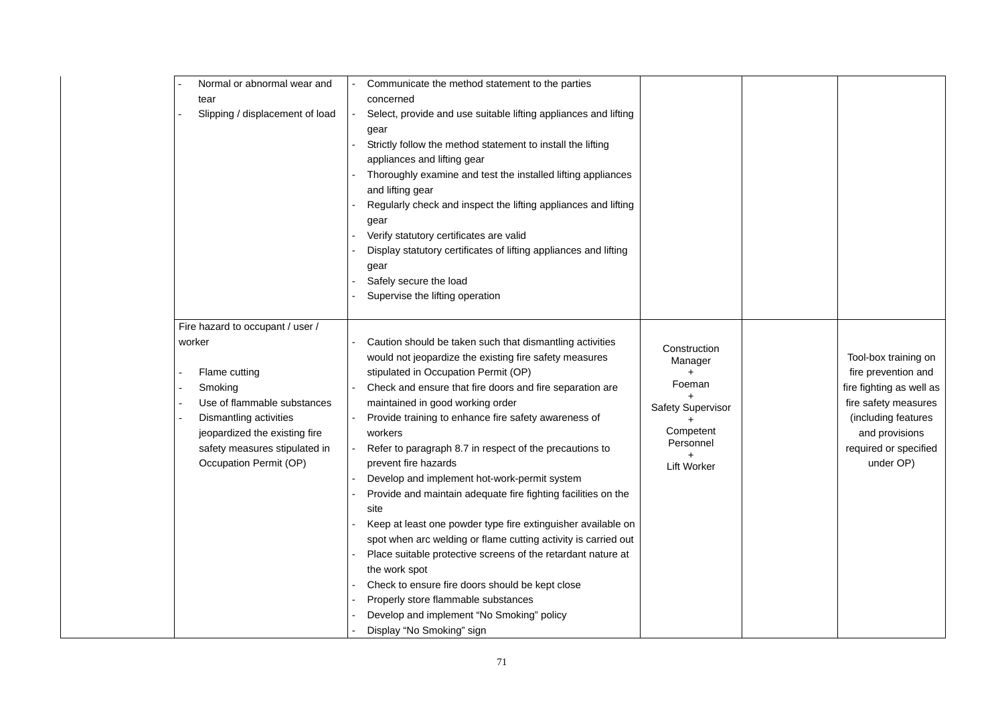| Normal or abnormal wear and      | Communicate the method statement to the parties                  |                          |
|----------------------------------|------------------------------------------------------------------|--------------------------|
| tear                             | concerned                                                        |                          |
| Slipping / displacement of load  | Select, provide and use suitable lifting appliances and lifting  |                          |
|                                  | gear                                                             |                          |
|                                  | Strictly follow the method statement to install the lifting      |                          |
|                                  | appliances and lifting gear                                      |                          |
|                                  | Thoroughly examine and test the installed lifting appliances     |                          |
|                                  | and lifting gear                                                 |                          |
|                                  | Regularly check and inspect the lifting appliances and lifting   |                          |
|                                  | gear                                                             |                          |
|                                  | Verify statutory certificates are valid                          |                          |
|                                  | Display statutory certificates of lifting appliances and lifting |                          |
|                                  | gear                                                             |                          |
|                                  | Safely secure the load                                           |                          |
|                                  | Supervise the lifting operation                                  |                          |
|                                  |                                                                  |                          |
| Fire hazard to occupant / user / |                                                                  |                          |
| worker                           | Caution should be taken such that dismantling activities         | Construction             |
|                                  | would not jeopardize the existing fire safety measures           | Manager                  |
| Flame cutting                    | stipulated in Occupation Permit (OP)                             |                          |
| Smoking                          | Check and ensure that fire doors and fire separation are         | Foeman                   |
| Use of flammable substances      | maintained in good working order                                 | <b>Safety Supervisor</b> |
| Dismantling activities           | Provide training to enhance fire safety awareness of             |                          |
| jeopardized the existing fire    | workers                                                          | Competent                |
| safety measures stipulated in    | Refer to paragraph 8.7 in respect of the precautions to          | Personnel                |
| Occupation Permit (OP)           | prevent fire hazards                                             | <b>Lift Worker</b>       |
|                                  | Develop and implement hot-work-permit system                     |                          |
|                                  | Provide and maintain adequate fire fighting facilities on the    |                          |
|                                  | site                                                             |                          |
|                                  | Keep at least one powder type fire extinguisher available on     |                          |
|                                  | spot when arc welding or flame cutting activity is carried out   |                          |
|                                  | Place suitable protective screens of the retardant nature at     |                          |
|                                  | the work spot                                                    |                          |
|                                  | Check to ensure fire doors should be kept close                  |                          |
|                                  | Properly store flammable substances                              |                          |
|                                  | Develop and implement "No Smoking" policy                        |                          |
|                                  | Display "No Smoking" sign                                        |                          |

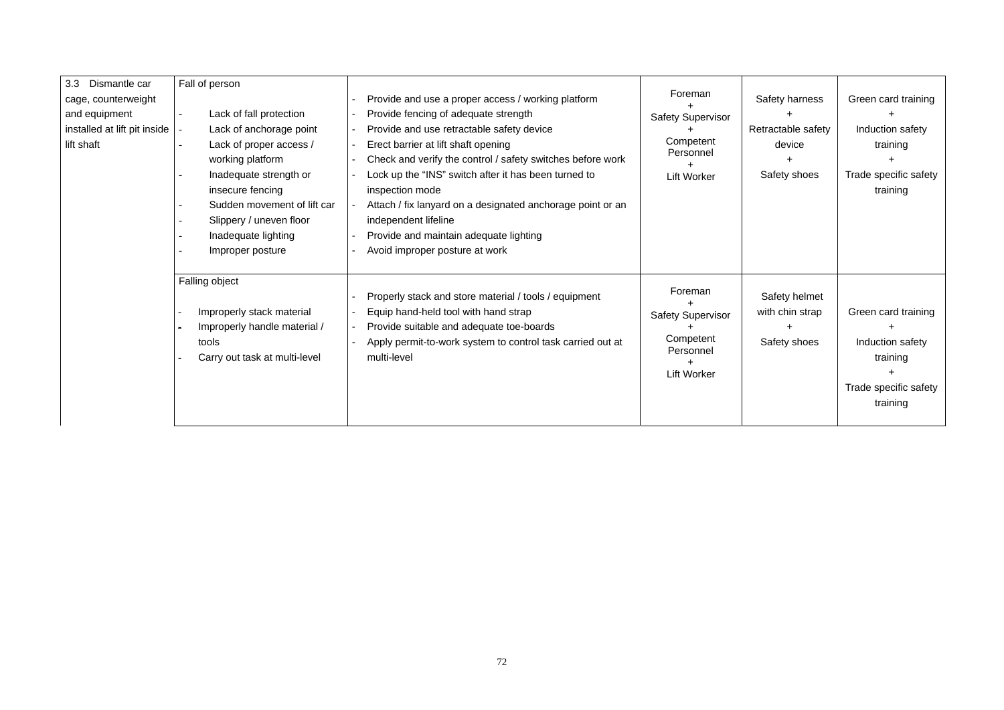| 3.3 Dismantle car            | Fall of person                |                                                            |                          |                    |                       |
|------------------------------|-------------------------------|------------------------------------------------------------|--------------------------|--------------------|-----------------------|
| cage, counterweight          |                               | Provide and use a proper access / working platform         | Foreman                  | Safety harness     | Green card training   |
| and equipment                | Lack of fall protection       | Provide fencing of adequate strength                       | <b>Safety Supervisor</b> |                    |                       |
| installed at lift pit inside | Lack of anchorage point       | Provide and use retractable safety device                  |                          | Retractable safety | Induction safety      |
| lift shaft                   | Lack of proper access /       | Erect barrier at lift shaft opening                        | Competent<br>Personnel   | device             | training              |
|                              | working platform              | Check and verify the control / safety switches before work |                          |                    |                       |
|                              | Inadequate strength or        | Lock up the "INS" switch after it has been turned to       | <b>Lift Worker</b>       | Safety shoes       | Trade specific safety |
|                              | insecure fencing              | inspection mode                                            |                          |                    | training              |
|                              | Sudden movement of lift car   | Attach / fix lanyard on a designated anchorage point or an |                          |                    |                       |
|                              | Slippery / uneven floor       | independent lifeline                                       |                          |                    |                       |
|                              | Inadequate lighting           | Provide and maintain adequate lighting                     |                          |                    |                       |
|                              | Improper posture              | Avoid improper posture at work                             |                          |                    |                       |
|                              |                               |                                                            |                          |                    |                       |
|                              | Falling object                |                                                            | Foreman                  |                    |                       |
|                              |                               | Properly stack and store material / tools / equipment      |                          | Safety helmet      |                       |
|                              | Improperly stack material     | Equip hand-held tool with hand strap                       | <b>Safety Supervisor</b> | with chin strap    | Green card training   |
|                              | Improperly handle material /  | Provide suitable and adequate toe-boards                   |                          |                    |                       |
|                              | tools                         | Apply permit-to-work system to control task carried out at | Competent<br>Personnel   | Safety shoes       | Induction safety      |
|                              | Carry out task at multi-level | multi-level                                                |                          |                    | training              |
|                              |                               |                                                            | Lift Worker              |                    |                       |
|                              |                               |                                                            |                          |                    | Trade specific safety |
|                              |                               |                                                            |                          |                    | training              |
|                              |                               |                                                            |                          |                    |                       |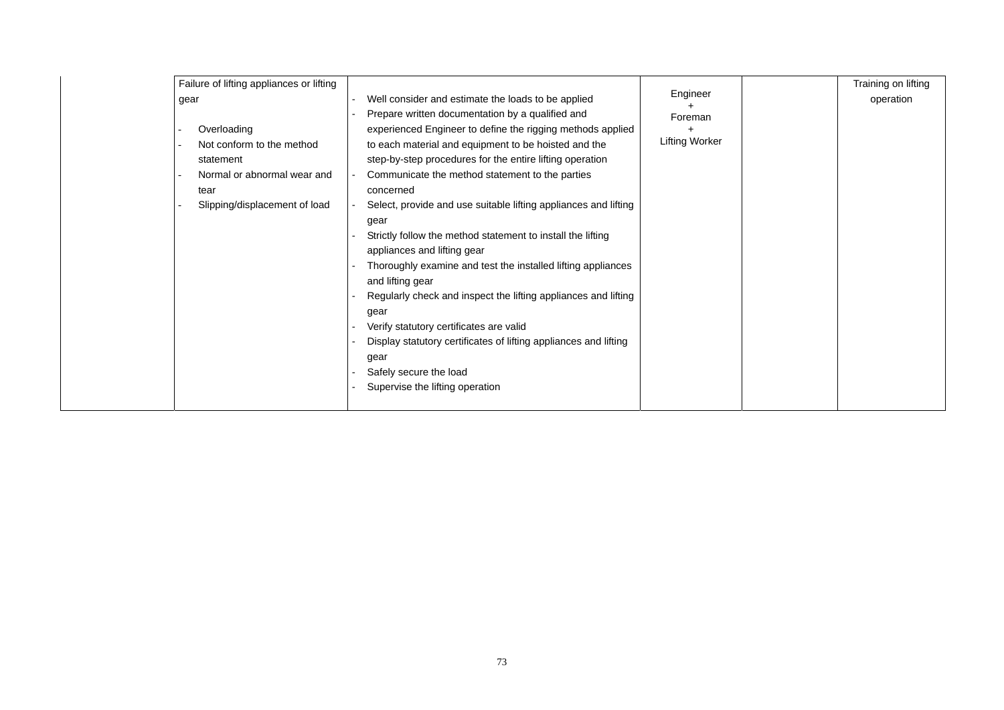| Failure of lifting appliances or lifting |                                                                  | Engineer              |
|------------------------------------------|------------------------------------------------------------------|-----------------------|
| gear                                     | Well consider and estimate the loads to be applied               |                       |
|                                          | Prepare written documentation by a qualified and                 | Foreman               |
| Overloading                              | experienced Engineer to define the rigging methods applied       | +                     |
| Not conform to the method                | to each material and equipment to be hoisted and the             | <b>Lifting Worker</b> |
| statement                                | step-by-step procedures for the entire lifting operation         |                       |
| Normal or abnormal wear and              | Communicate the method statement to the parties                  |                       |
| tear                                     | concerned                                                        |                       |
| Slipping/displacement of load            | Select, provide and use suitable lifting appliances and lifting  |                       |
|                                          | gear                                                             |                       |
|                                          | Strictly follow the method statement to install the lifting      |                       |
|                                          | appliances and lifting gear                                      |                       |
|                                          | Thoroughly examine and test the installed lifting appliances     |                       |
|                                          | and lifting gear                                                 |                       |
|                                          | Regularly check and inspect the lifting appliances and lifting   |                       |
|                                          | gear                                                             |                       |
|                                          | Verify statutory certificates are valid                          |                       |
|                                          | Display statutory certificates of lifting appliances and lifting |                       |
|                                          | gear                                                             |                       |
|                                          | Safely secure the load                                           |                       |
|                                          | Supervise the lifting operation                                  |                       |
|                                          |                                                                  |                       |
|                                          |                                                                  |                       |

| Training on lifting |
|---------------------|
| operation           |
|                     |
|                     |
|                     |
|                     |
|                     |
|                     |
|                     |
|                     |
|                     |
|                     |
|                     |
|                     |
|                     |
|                     |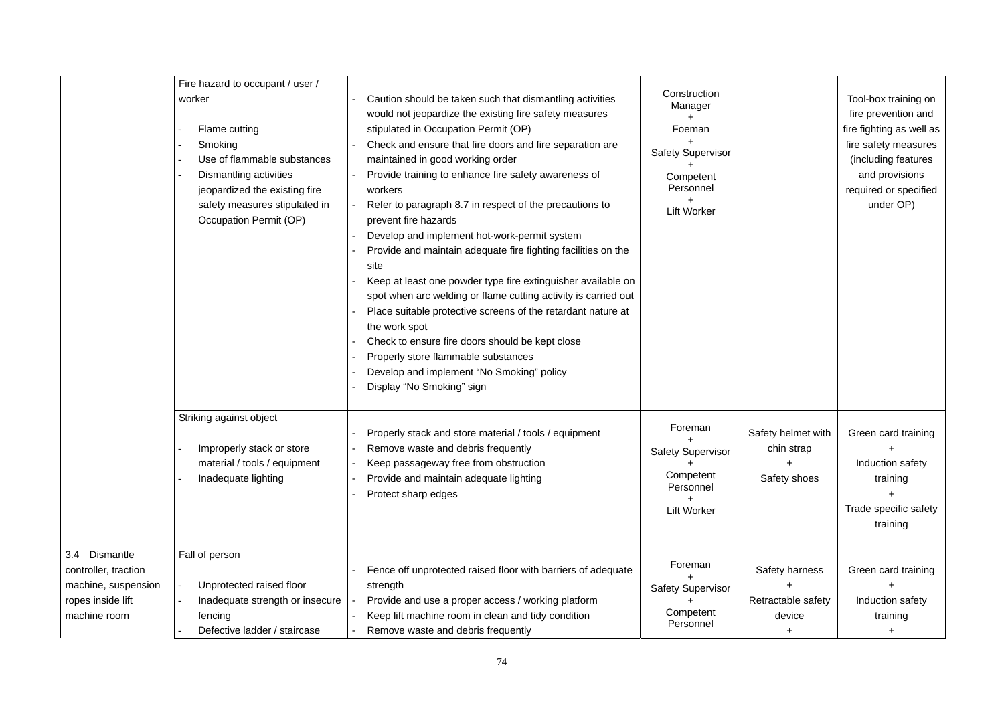|                                                                                                   | Fire hazard to occupant / user /<br>worker<br>Flame cutting<br>Smoking<br>Use of flammable substances<br>Dismantling activities<br>jeopardized the existing fire<br>safety measures stipulated in<br>Occupation Permit (OP) | Caution should be taken such that dismantling activities<br>would not jeopardize the existing fire safety measures<br>stipulated in Occupation Permit (OP)<br>Check and ensure that fire doors and fire separation are<br>maintained in good working order<br>Provide training to enhance fire safety awareness of<br>workers<br>Refer to paragraph 8.7 in respect of the precautions to<br>prevent fire hazards<br>Develop and implement hot-work-permit system<br>Provide and maintain adequate fire fighting facilities on the<br>site<br>Keep at least one powder type fire extinguisher available on<br>spot when arc welding or flame cutting activity is carried out<br>Place suitable protective screens of the retardant nature at<br>the work spot<br>Check to ensure fire doors should be kept close<br>Properly store flammable substances<br>Develop and implement "No Smoking" policy<br>Display "No Smoking" sign | Construction<br>Manager<br>Foeman<br><b>Safety Supervisor</b><br>Competent<br>Personnel<br><b>Lift Worker</b> |                                                       | Tool-box training on<br>fire prevention and<br>fire fighting as well as<br>fire safety measures<br>(including features<br>and provisions<br>required or specified<br>under OP) |
|---------------------------------------------------------------------------------------------------|-----------------------------------------------------------------------------------------------------------------------------------------------------------------------------------------------------------------------------|----------------------------------------------------------------------------------------------------------------------------------------------------------------------------------------------------------------------------------------------------------------------------------------------------------------------------------------------------------------------------------------------------------------------------------------------------------------------------------------------------------------------------------------------------------------------------------------------------------------------------------------------------------------------------------------------------------------------------------------------------------------------------------------------------------------------------------------------------------------------------------------------------------------------------------|---------------------------------------------------------------------------------------------------------------|-------------------------------------------------------|--------------------------------------------------------------------------------------------------------------------------------------------------------------------------------|
|                                                                                                   | Striking against object<br>Improperly stack or store<br>material / tools / equipment<br>Inadequate lighting                                                                                                                 | Properly stack and store material / tools / equipment<br>Remove waste and debris frequently<br>Keep passageway free from obstruction<br>Provide and maintain adequate lighting<br>Protect sharp edges                                                                                                                                                                                                                                                                                                                                                                                                                                                                                                                                                                                                                                                                                                                            | Foreman<br><b>Safety Supervisor</b><br>Competent<br>Personnel<br><b>Lift Worker</b>                           | Safety helmet with<br>chin strap<br>Safety shoes      | Green card training<br>Induction safety<br>training<br>Trade specific safety<br>training                                                                                       |
| 3.4 Dismantle<br>controller, traction<br>machine, suspension<br>ropes inside lift<br>machine room | Fall of person<br>Unprotected raised floor<br>Inadequate strength or insecure<br>fencing<br>Defective ladder / staircase                                                                                                    | Fence off unprotected raised floor with barriers of adequate<br>strength<br>Provide and use a proper access / working platform<br>Keep lift machine room in clean and tidy condition<br>Remove waste and debris frequently                                                                                                                                                                                                                                                                                                                                                                                                                                                                                                                                                                                                                                                                                                       | Foreman<br><b>Safety Supervisor</b><br>Competent<br>Personnel                                                 | <b>Safety harness</b><br>Retractable safety<br>device | Green card training<br>Induction safety<br>training                                                                                                                            |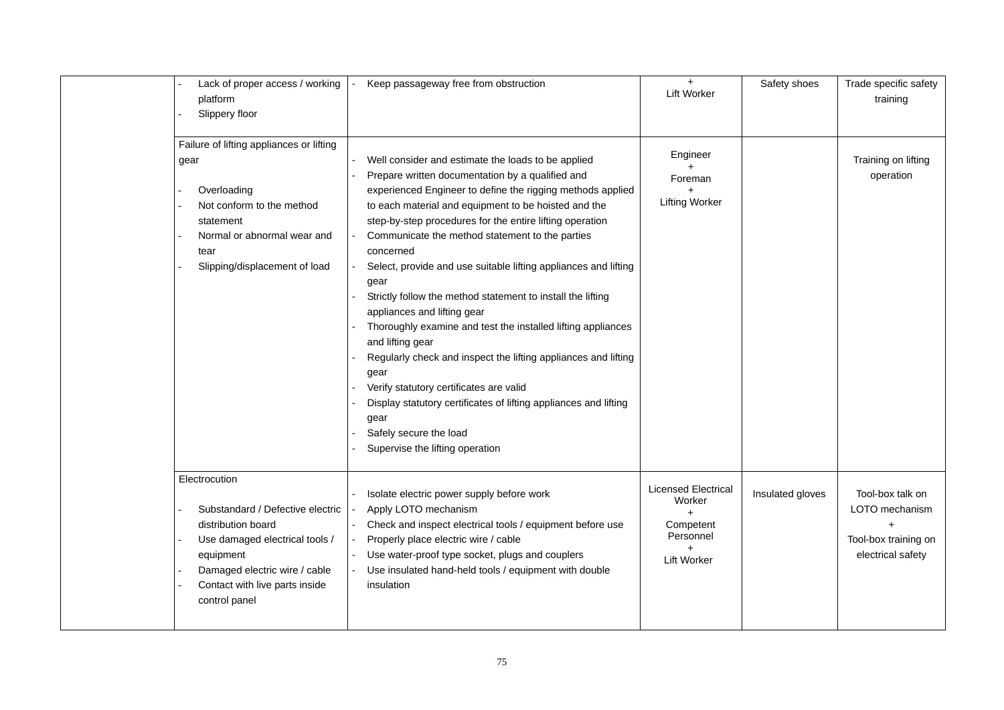| Lack of proper access / working<br>platform<br>Slippery floor                                                                                                                                              | Keep passageway free from obstruction                                                                                                                                                                                                                                                                                                                                                                                                                                                                                                                                                                                                                                                                                                                                                                                                                                               | <b>Lift Worker</b>                                                                   | Safety shoes     | Trade specific safety<br>training                                                            |
|------------------------------------------------------------------------------------------------------------------------------------------------------------------------------------------------------------|-------------------------------------------------------------------------------------------------------------------------------------------------------------------------------------------------------------------------------------------------------------------------------------------------------------------------------------------------------------------------------------------------------------------------------------------------------------------------------------------------------------------------------------------------------------------------------------------------------------------------------------------------------------------------------------------------------------------------------------------------------------------------------------------------------------------------------------------------------------------------------------|--------------------------------------------------------------------------------------|------------------|----------------------------------------------------------------------------------------------|
| Failure of lifting appliances or lifting<br>gear<br>Overloading<br>Not conform to the method<br>statement<br>Normal or abnormal wear and<br>tear<br>Slipping/displacement of load                          | Well consider and estimate the loads to be applied<br>Prepare written documentation by a qualified and<br>experienced Engineer to define the rigging methods applied<br>to each material and equipment to be hoisted and the<br>step-by-step procedures for the entire lifting operation<br>Communicate the method statement to the parties<br>concerned<br>Select, provide and use suitable lifting appliances and lifting<br>gear<br>Strictly follow the method statement to install the lifting<br>appliances and lifting gear<br>Thoroughly examine and test the installed lifting appliances<br>and lifting gear<br>Regularly check and inspect the lifting appliances and lifting<br>gear<br>Verify statutory certificates are valid<br>Display statutory certificates of lifting appliances and lifting<br>gear<br>Safely secure the load<br>Supervise the lifting operation | Engineer<br>Foreman<br><b>Lifting Worker</b>                                         |                  | Training on lifting<br>operation                                                             |
| Electrocution<br>Substandard / Defective electric<br>distribution board<br>Use damaged electrical tools /<br>equipment<br>Damaged electric wire / cable<br>Contact with live parts inside<br>control panel | Isolate electric power supply before work<br>Apply LOTO mechanism<br>Check and inspect electrical tools / equipment before use<br>Properly place electric wire / cable<br>Use water-proof type socket, plugs and couplers<br>Use insulated hand-held tools / equipment with double<br>insulation                                                                                                                                                                                                                                                                                                                                                                                                                                                                                                                                                                                    | <b>Licensed Electrical</b><br>Worker<br>Competent<br>Personnel<br><b>Lift Worker</b> | Insulated gloves | Tool-box talk on<br>LOTO mechanism<br>$\ddot{}$<br>Tool-box training on<br>electrical safety |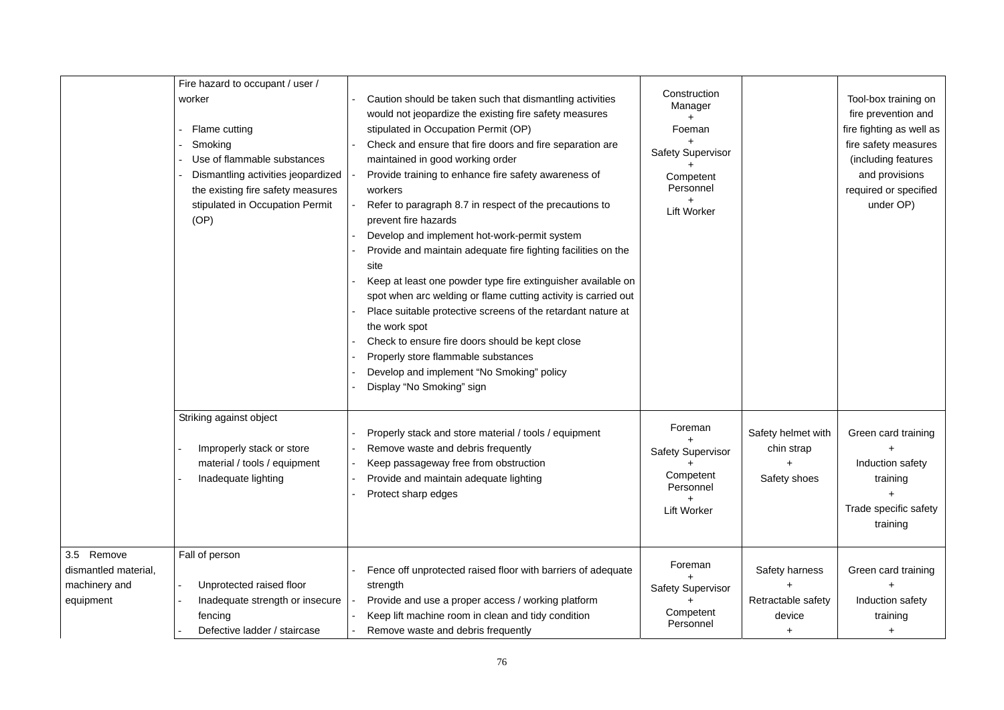|                                                                  | Fire hazard to occupant / user /<br>worker<br>Flame cutting<br>Smoking<br>Use of flammable substances<br>Dismantling activities jeopardized<br>the existing fire safety measures<br>stipulated in Occupation Permit<br>(OP) | Caution should be taken such that dismantling activities<br>would not jeopardize the existing fire safety measures<br>stipulated in Occupation Permit (OP)<br>Check and ensure that fire doors and fire separation are<br>maintained in good working order<br>Provide training to enhance fire safety awareness of<br>workers<br>Refer to paragraph 8.7 in respect of the precautions to<br>prevent fire hazards<br>Develop and implement hot-work-permit system<br>Provide and maintain adequate fire fighting facilities on the<br>site<br>Keep at least one powder type fire extinguisher available on<br>spot when arc welding or flame cutting activity is carried out<br>Place suitable protective screens of the retardant nature at<br>the work spot<br>Check to ensure fire doors should be kept close<br>Properly store flammable substances<br>Develop and implement "No Smoking" policy<br>Display "No Smoking" sign | Construction<br>Manager<br>Foeman<br><b>Safety Supervisor</b><br>Competent<br>Personnel<br><b>Lift Worker</b> |                                                  | Tool-box training on<br>fire prevention and<br>fire fighting as well as<br>fire safety measures<br>(including features<br>and provisions<br>required or specified<br>under OP) |
|------------------------------------------------------------------|-----------------------------------------------------------------------------------------------------------------------------------------------------------------------------------------------------------------------------|----------------------------------------------------------------------------------------------------------------------------------------------------------------------------------------------------------------------------------------------------------------------------------------------------------------------------------------------------------------------------------------------------------------------------------------------------------------------------------------------------------------------------------------------------------------------------------------------------------------------------------------------------------------------------------------------------------------------------------------------------------------------------------------------------------------------------------------------------------------------------------------------------------------------------------|---------------------------------------------------------------------------------------------------------------|--------------------------------------------------|--------------------------------------------------------------------------------------------------------------------------------------------------------------------------------|
|                                                                  | Striking against object<br>Improperly stack or store<br>material / tools / equipment<br>Inadequate lighting                                                                                                                 | Properly stack and store material / tools / equipment<br>Remove waste and debris frequently<br>Keep passageway free from obstruction<br>Provide and maintain adequate lighting<br>Protect sharp edges                                                                                                                                                                                                                                                                                                                                                                                                                                                                                                                                                                                                                                                                                                                            | Foreman<br><b>Safety Supervisor</b><br>Competent<br>Personnel<br><b>Lift Worker</b>                           | Safety helmet with<br>chin strap<br>Safety shoes | Green card training<br>Induction safety<br>training<br>Trade specific safety<br>training                                                                                       |
| 3.5 Remove<br>dismantled material,<br>machinery and<br>equipment | Fall of person<br>Unprotected raised floor<br>Inadequate strength or insecure<br>fencing<br>Defective ladder / staircase                                                                                                    | Fence off unprotected raised floor with barriers of adequate<br>strength<br>Provide and use a proper access / working platform<br>Keep lift machine room in clean and tidy condition<br>Remove waste and debris frequently                                                                                                                                                                                                                                                                                                                                                                                                                                                                                                                                                                                                                                                                                                       | Foreman<br><b>Safety Supervisor</b><br>Competent<br>Personnel                                                 | Safety harness<br>Retractable safety<br>device   | Green card training<br>Induction safety<br>training                                                                                                                            |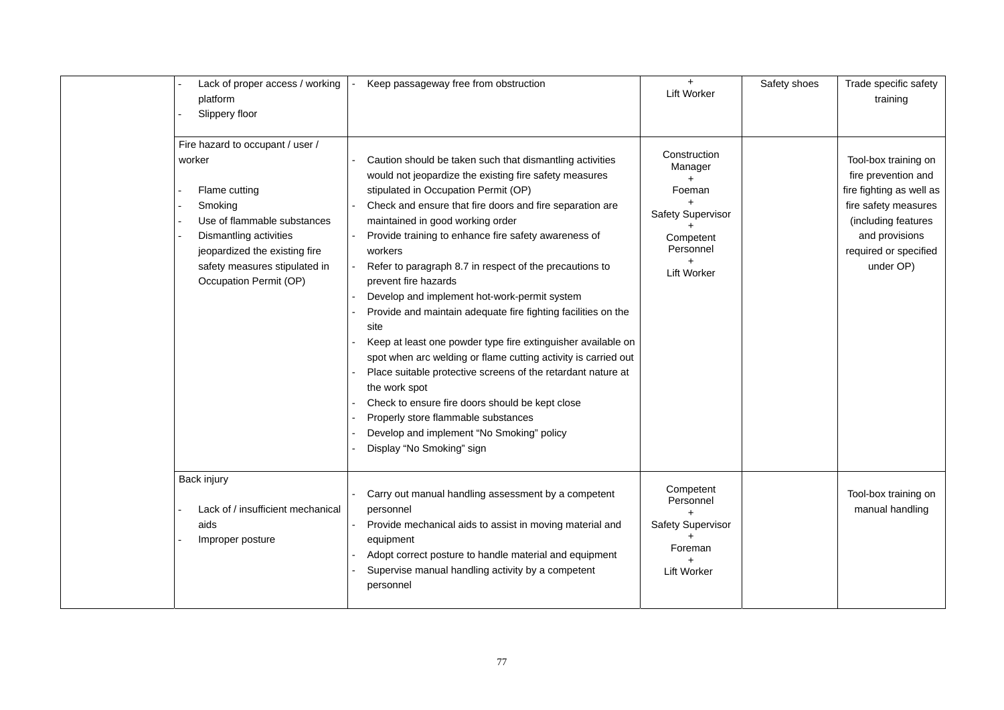| Lack of proper access / working<br>platform<br>Slippery floor |                                                                                                                                                                                                                             | Keep passageway free from obstruction                                                                                                                                                                                                                                                                                                                                                                                                                                                                                                                                                                                                                                                                                                                                                                                                                                                                                            | <b>Lift Worker</b>                                                                                            | Safety shoes | Trade specific safety<br>training                                                                                                                                              |
|---------------------------------------------------------------|-----------------------------------------------------------------------------------------------------------------------------------------------------------------------------------------------------------------------------|----------------------------------------------------------------------------------------------------------------------------------------------------------------------------------------------------------------------------------------------------------------------------------------------------------------------------------------------------------------------------------------------------------------------------------------------------------------------------------------------------------------------------------------------------------------------------------------------------------------------------------------------------------------------------------------------------------------------------------------------------------------------------------------------------------------------------------------------------------------------------------------------------------------------------------|---------------------------------------------------------------------------------------------------------------|--------------|--------------------------------------------------------------------------------------------------------------------------------------------------------------------------------|
|                                                               | Fire hazard to occupant / user /<br>worker<br>Flame cutting<br>Smoking<br>Use of flammable substances<br>Dismantling activities<br>jeopardized the existing fire<br>safety measures stipulated in<br>Occupation Permit (OP) | Caution should be taken such that dismantling activities<br>would not jeopardize the existing fire safety measures<br>stipulated in Occupation Permit (OP)<br>Check and ensure that fire doors and fire separation are<br>maintained in good working order<br>Provide training to enhance fire safety awareness of<br>workers<br>Refer to paragraph 8.7 in respect of the precautions to<br>prevent fire hazards<br>Develop and implement hot-work-permit system<br>Provide and maintain adequate fire fighting facilities on the<br>site<br>Keep at least one powder type fire extinguisher available on<br>spot when arc welding or flame cutting activity is carried out<br>Place suitable protective screens of the retardant nature at<br>the work spot<br>Check to ensure fire doors should be kept close<br>Properly store flammable substances<br>Develop and implement "No Smoking" policy<br>Display "No Smoking" sign | Construction<br>Manager<br>Foeman<br><b>Safety Supervisor</b><br>Competent<br>Personnel<br><b>Lift Worker</b> |              | Tool-box training on<br>fire prevention and<br>fire fighting as well as<br>fire safety measures<br>(including features<br>and provisions<br>required or specified<br>under OP) |
|                                                               | Back injury<br>Lack of / insufficient mechanical<br>aids<br>Improper posture                                                                                                                                                | Carry out manual handling assessment by a competent<br>personnel<br>Provide mechanical aids to assist in moving material and<br>equipment<br>Adopt correct posture to handle material and equipment<br>Supervise manual handling activity by a competent<br>personnel                                                                                                                                                                                                                                                                                                                                                                                                                                                                                                                                                                                                                                                            | Competent<br>Personnel<br><b>Safety Supervisor</b><br>Foreman<br><b>Lift Worker</b>                           |              | Tool-box training on<br>manual handling                                                                                                                                        |